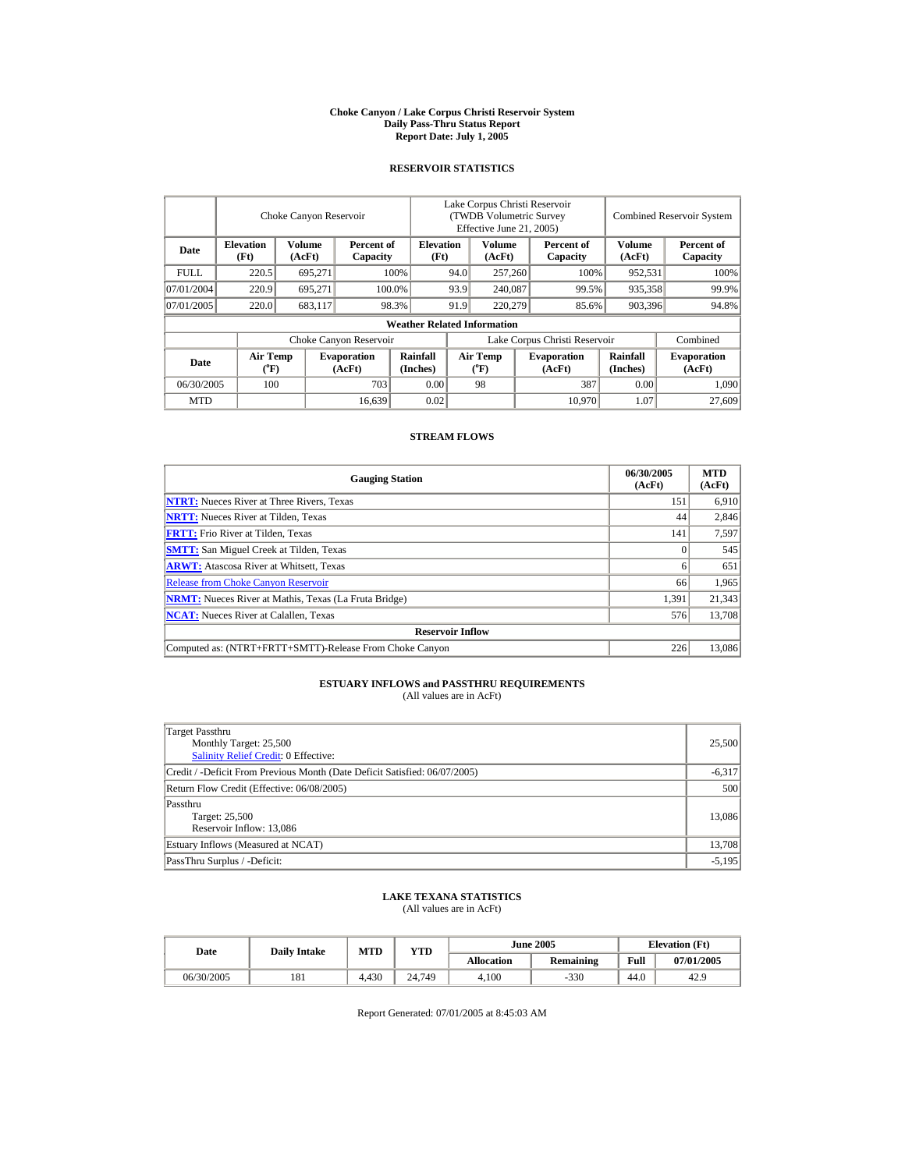#### **Choke Canyon / Lake Corpus Christi Reservoir System Daily Pass-Thru Status Report Report Date: July 1, 2005**

## **RESERVOIR STATISTICS**

|             |                          | Choke Canyon Reservoir |                              |                                    |                               | Lake Corpus Christi Reservoir<br>(TWDB Volumetric Survey<br>Effective June 21, 2005) |                  |                              |                         | Combined Reservoir System    |  |  |
|-------------|--------------------------|------------------------|------------------------------|------------------------------------|-------------------------------|--------------------------------------------------------------------------------------|------------------|------------------------------|-------------------------|------------------------------|--|--|
| Date        | <b>Elevation</b><br>(Ft) | Volume<br>(AcFt)       | Percent of<br>Capacity       | <b>Elevation</b><br>(Ft)           |                               | Volume<br>(AcFt)                                                                     |                  | Percent of<br>Capacity       | <b>Volume</b><br>(AcFt) | Percent of<br>Capacity       |  |  |
| <b>FULL</b> | 220.5                    | 695.271                |                              | 100%                               |                               | 257,260                                                                              |                  | 100%                         | 952,531                 | 100%                         |  |  |
| 07/01/2004  | 220.9                    | 695,271                |                              | 100.0%                             | 93.9<br>240,087               |                                                                                      |                  | 99.5%                        | 935,358                 | 99.9%                        |  |  |
| 07/01/2005  | 220.0                    | 683,117                |                              | 98.3%                              | 91.9                          |                                                                                      | 220,279<br>85.6% |                              | 903,396                 | 94.8%                        |  |  |
|             |                          |                        |                              | <b>Weather Related Information</b> |                               |                                                                                      |                  |                              |                         |                              |  |  |
|             |                          |                        | Choke Canyon Reservoir       |                                    | Lake Corpus Christi Reservoir |                                                                                      |                  |                              |                         | Combined                     |  |  |
| Date        | <b>Air Temp</b><br>(°F)  |                        | <b>Evaporation</b><br>(AcFt) | Rainfall<br>(Inches)               |                               | <b>Air Temp</b><br>$({}^o\mathrm{F})$                                                |                  | <b>Evaporation</b><br>(AcFt) | Rainfall<br>(Inches)    | <b>Evaporation</b><br>(AcFt) |  |  |
| 06/30/2005  | 100                      |                        | 703                          | 0.00                               |                               | 98                                                                                   |                  | 387                          | 0.00                    | 1.090                        |  |  |
| <b>MTD</b>  |                          |                        | 16,639                       | 0.02                               |                               |                                                                                      |                  | 10.970                       | 1.07                    | 27,609                       |  |  |

### **STREAM FLOWS**

| <b>Gauging Station</b>                                       | 06/30/2005<br>(AcFt) | <b>MTD</b><br>(AcFt) |
|--------------------------------------------------------------|----------------------|----------------------|
| <b>NTRT:</b> Nueces River at Three Rivers, Texas             | 151                  | 6.910                |
| <b>NRTT:</b> Nueces River at Tilden, Texas                   | 44                   | 2,846                |
| <b>FRTT:</b> Frio River at Tilden, Texas                     | 141                  | 7,597                |
| <b>SMTT:</b> San Miguel Creek at Tilden, Texas               |                      | 545                  |
| <b>ARWT:</b> Atascosa River at Whitsett, Texas               |                      | 651                  |
| <b>Release from Choke Canyon Reservoir</b>                   | 66                   | 1.965                |
| <b>NRMT:</b> Nueces River at Mathis, Texas (La Fruta Bridge) | 1.391                | 21,343               |
| <b>NCAT:</b> Nueces River at Calallen. Texas                 | 576                  | 13,708               |
| <b>Reservoir Inflow</b>                                      |                      |                      |
| Computed as: (NTRT+FRTT+SMTT)-Release From Choke Canyon      | 226                  | 13,086               |

## **ESTUARY INFLOWS and PASSTHRU REQUIREMENTS**<br>(All values are in AcFt)

| Target Passthru<br>Monthly Target: 25,500<br>Salinity Relief Credit: 0 Effective: | 25,500   |
|-----------------------------------------------------------------------------------|----------|
| Credit / -Deficit From Previous Month (Date Deficit Satisfied: 06/07/2005)        | $-6,317$ |
| Return Flow Credit (Effective: 06/08/2005)                                        | 500      |
| Passthru<br>Target: 25,500<br>Reservoir Inflow: 13,086                            | 13,086   |
| Estuary Inflows (Measured at NCAT)                                                | 13,708   |
| PassThru Surplus / -Deficit:                                                      | $-5.195$ |

# **LAKE TEXANA STATISTICS** (All values are in AcFt)

| Date       | <b>Daily Intake</b> | MTD   | <b>YTD</b> |            | <b>June 2005</b> | <b>Elevation</b> (Ft) |            |
|------------|---------------------|-------|------------|------------|------------------|-----------------------|------------|
|            |                     |       |            | Allocation | Remaining        | Full                  | 07/01/2005 |
| 06/30/2005 | 181                 | 4.430 | 24.749     | 4.100      | $-330$           | 44.0                  | 42.9       |

Report Generated: 07/01/2005 at 8:45:03 AM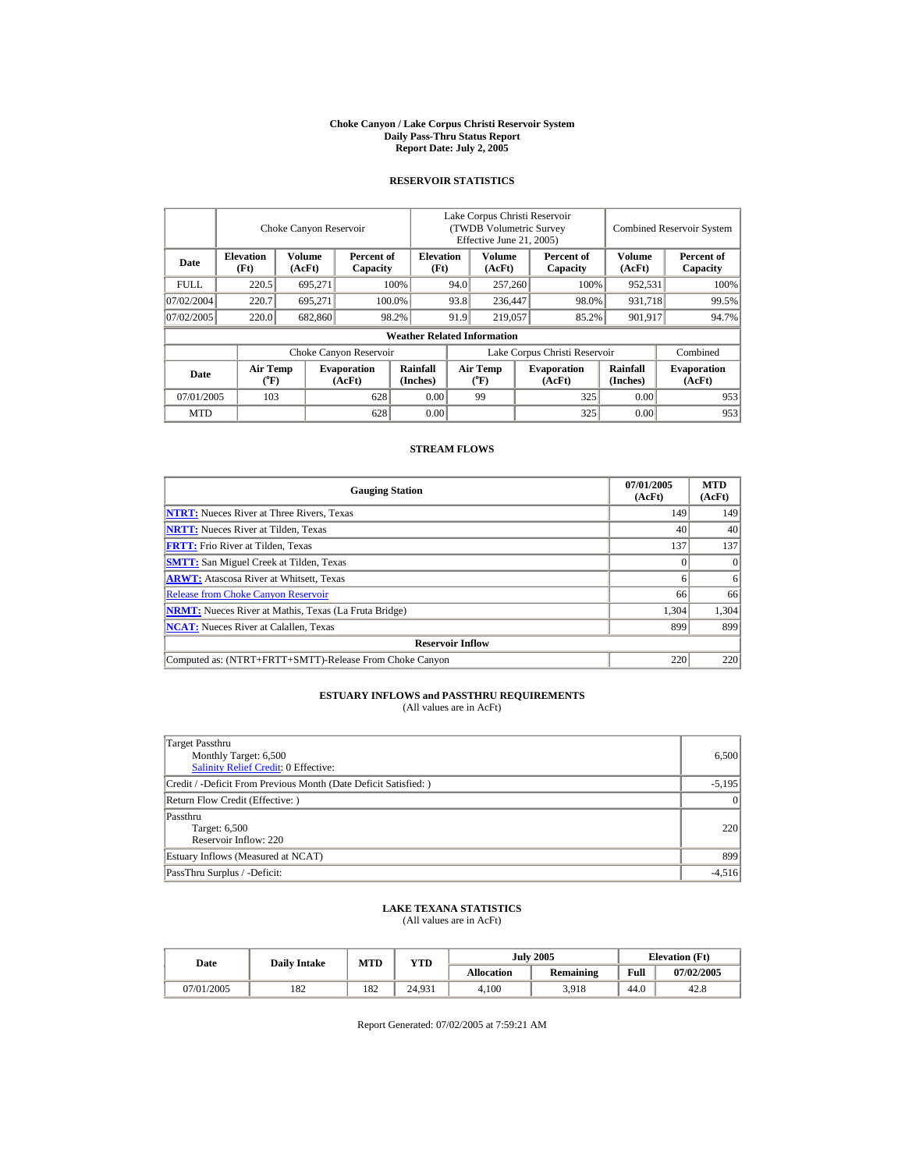#### **Choke Canyon / Lake Corpus Christi Reservoir System Daily Pass-Thru Status Report Report Date: July 2, 2005**

## **RESERVOIR STATISTICS**

|             |                                      | Choke Canyon Reservoir  |                              |                                    | Lake Corpus Christi Reservoir<br>(TWDB Volumetric Survey)<br>Effective June 21, 2005) |                                |                  |                              |                         | <b>Combined Reservoir System</b> |
|-------------|--------------------------------------|-------------------------|------------------------------|------------------------------------|---------------------------------------------------------------------------------------|--------------------------------|------------------|------------------------------|-------------------------|----------------------------------|
| Date        | <b>Elevation</b><br>(Ft)             | <b>Volume</b><br>(AcFt) | Percent of<br>Capacity       | <b>Elevation</b><br>(Ft)           |                                                                                       | Volume<br>(AcFt)               |                  | Percent of<br>Capacity       | <b>Volume</b><br>(AcFt) | Percent of<br>Capacity           |
| <b>FULL</b> | 220.5                                | 695.271                 |                              | 100%                               | 257,260<br>94.0                                                                       |                                |                  | 100%                         | 952.531                 | 100%                             |
| 07/02/2004  | 220.7                                | 695.271                 |                              | 100.0%                             | 93.8                                                                                  | 236,447                        |                  | 98.0%                        | 931.718                 | 99.5%                            |
| 07/02/2005  | 220.0                                | 682,860                 |                              | 98.2%                              | 91.9                                                                                  |                                | 219,057<br>85.2% |                              | 901,917                 | 94.7%                            |
|             |                                      |                         |                              | <b>Weather Related Information</b> |                                                                                       |                                |                  |                              |                         |                                  |
|             |                                      |                         | Choke Canyon Reservoir       |                                    | Lake Corpus Christi Reservoir                                                         |                                |                  |                              |                         | Combined                         |
| Date        | Air Temp<br>$({}^{\circ}\mathrm{F})$ |                         | <b>Evaporation</b><br>(AcFt) | Rainfall<br>(Inches)               |                                                                                       | Air Temp<br>$({}^o\mathrm{F})$ |                  | <b>Evaporation</b><br>(AcFt) | Rainfall<br>(Inches)    | <b>Evaporation</b><br>(AcFt)     |
| 07/01/2005  | 103                                  |                         | 628                          | 0.00                               |                                                                                       | 99                             |                  | 325                          | 0.00                    | 953                              |
| <b>MTD</b>  |                                      |                         | 628                          | 0.00                               |                                                                                       |                                |                  | 325                          | 0.00                    | 953                              |

## **STREAM FLOWS**

| <b>Gauging Station</b>                                       | 07/01/2005<br>(AcFt) | <b>MTD</b><br>(AcFt) |
|--------------------------------------------------------------|----------------------|----------------------|
| <b>NTRT:</b> Nueces River at Three Rivers, Texas             | 149                  | 149                  |
| <b>NRTT:</b> Nueces River at Tilden, Texas                   | 40                   | 40                   |
| <b>FRTT:</b> Frio River at Tilden, Texas                     | 137                  | 137                  |
| <b>SMTT:</b> San Miguel Creek at Tilden, Texas               |                      | $\Omega$             |
| <b>ARWT:</b> Atascosa River at Whitsett, Texas               |                      | 6                    |
| <b>Release from Choke Canyon Reservoir</b>                   | 66                   | 66                   |
| <b>NRMT:</b> Nueces River at Mathis, Texas (La Fruta Bridge) | 1.304                | 1,304                |
| <b>NCAT:</b> Nueces River at Calallen, Texas                 | 899                  | 899                  |
| <b>Reservoir Inflow</b>                                      |                      |                      |
| Computed as: (NTRT+FRTT+SMTT)-Release From Choke Canyon      | 220                  | 220                  |

# **ESTUARY INFLOWS and PASSTHRU REQUIREMENTS**<br>(All values are in AcFt)

| Target Passthru<br>Monthly Target: 6,500<br><b>Salinity Relief Credit: 0 Effective:</b> | 6,500           |
|-----------------------------------------------------------------------------------------|-----------------|
| Credit / -Deficit From Previous Month (Date Deficit Satisfied:)                         | $-5,195$        |
| Return Flow Credit (Effective: )                                                        | $\vert 0 \vert$ |
| Passthru<br>Target: 6,500<br>Reservoir Inflow: 220                                      | 220             |
| Estuary Inflows (Measured at NCAT)                                                      | 899             |
| PassThru Surplus / -Deficit:                                                            | $-4,516$        |

## **LAKE TEXANA STATISTICS** (All values are in AcFt)

| Date       | <b>Daily Intake</b> | <b>MTD</b> | <b>YTD</b> |            | <b>July 2005</b> | <b>Elevation</b> (Ft) |            |
|------------|---------------------|------------|------------|------------|------------------|-----------------------|------------|
|            |                     |            |            | Allocation | Remaining        | Full                  | 07/02/2005 |
| 07/01/2005 | 182                 | 182        | 24.931     | 4.100      | 3,918            | 44.0                  | 42.8       |

Report Generated: 07/02/2005 at 7:59:21 AM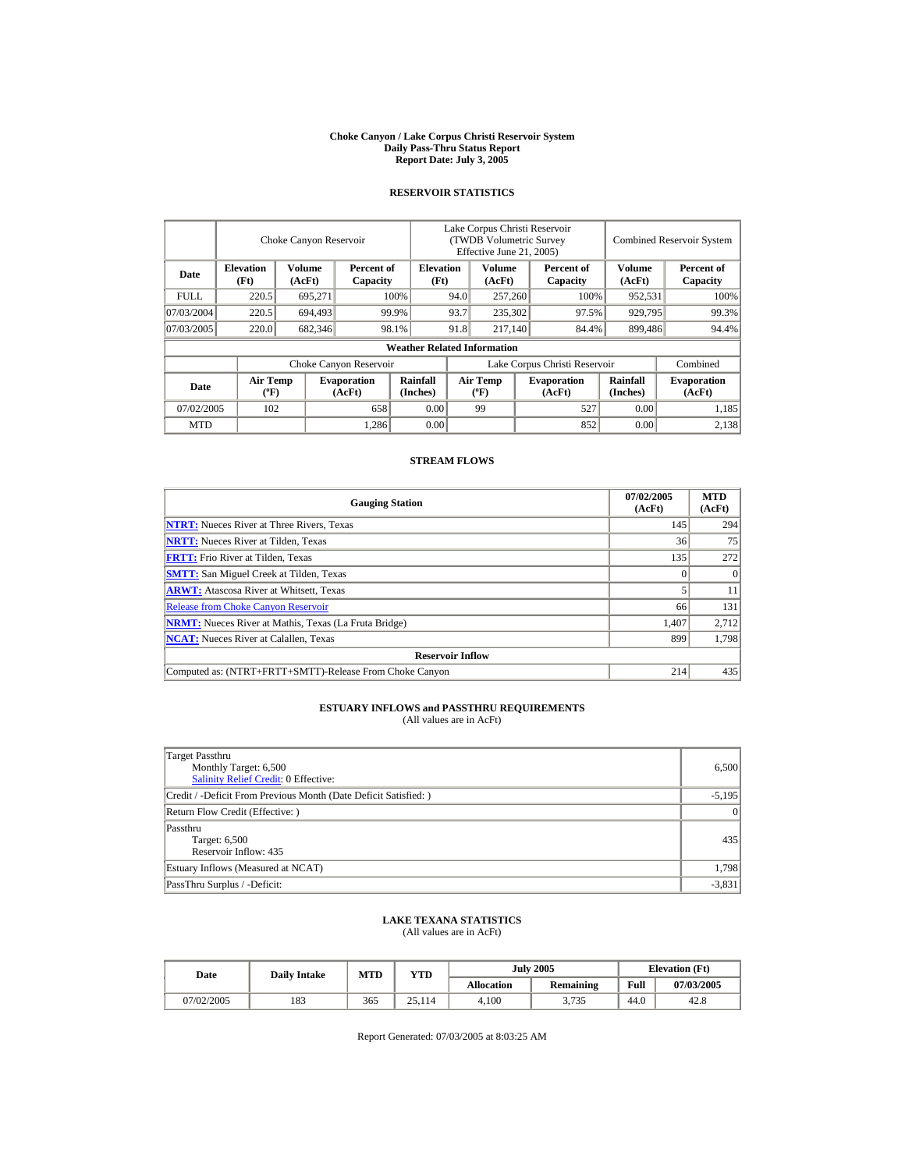#### **Choke Canyon / Lake Corpus Christi Reservoir System Daily Pass-Thru Status Report Report Date: July 3, 2005**

## **RESERVOIR STATISTICS**

|            | Choke Canyon Reservoir                      |                  |                              |                                    | Lake Corpus Christi Reservoir<br>(TWDB Volumetric Survey<br>Effective June 21, 2005) |                                  |  |                              | <b>Combined Reservoir System</b> |                              |  |
|------------|---------------------------------------------|------------------|------------------------------|------------------------------------|--------------------------------------------------------------------------------------|----------------------------------|--|------------------------------|----------------------------------|------------------------------|--|
| Date       | <b>Elevation</b><br>(Ft)                    | Volume<br>(AcFt) | Percent of<br>Capacity       | <b>Elevation</b><br>(Ft)           |                                                                                      | Volume<br>(AcFt)                 |  | Percent of<br>Capacity       | Volume<br>(AcFt)                 | Percent of<br>Capacity       |  |
| FULL.      | 220.5                                       | 695,271          |                              | 100%                               | 94.0                                                                                 | 257,260                          |  | 100%                         | 952,531                          | 100%                         |  |
| 07/03/2004 | 220.5                                       | 694.493          |                              | 99.9%                              | 93.7                                                                                 | 235,302                          |  | 97.5%                        | 929,795                          | 99.3%                        |  |
| 07/03/2005 | 220.0                                       | 682,346          |                              | 98.1%                              | 91.8                                                                                 | 217.140                          |  | 84.4%                        | 899,486                          | 94.4%                        |  |
|            |                                             |                  |                              | <b>Weather Related Information</b> |                                                                                      |                                  |  |                              |                                  |                              |  |
|            |                                             |                  | Choke Canyon Reservoir       |                                    | Lake Corpus Christi Reservoir                                                        |                                  |  |                              |                                  | Combined                     |  |
| Date       | <b>Air Temp</b><br>$({}^{\circ}\mathrm{F})$ |                  | <b>Evaporation</b><br>(AcFt) | Rainfall<br>(Inches)               |                                                                                      | <b>Air Temp</b><br>$(^{\circ}F)$ |  | <b>Evaporation</b><br>(AcFt) | Rainfall<br>(Inches)             | <b>Evaporation</b><br>(AcFt) |  |
| 07/02/2005 | 102                                         |                  | 658                          | 0.00                               |                                                                                      | 99                               |  | 527                          | 0.00                             | 1,185                        |  |
| <b>MTD</b> |                                             |                  | 1,286                        | 0.00                               |                                                                                      |                                  |  | 852                          | 0.00                             | 2,138                        |  |

## **STREAM FLOWS**

| <b>Gauging Station</b>                                       | 07/02/2005<br>(AcFt) | <b>MTD</b><br>(AcFt) |
|--------------------------------------------------------------|----------------------|----------------------|
| <b>NTRT:</b> Nueces River at Three Rivers, Texas             | 145                  | 294                  |
| <b>NRTT:</b> Nueces River at Tilden, Texas                   | 36                   | 75                   |
| <b>FRTT:</b> Frio River at Tilden, Texas                     | 135                  | 272                  |
| <b>SMTT:</b> San Miguel Creek at Tilden, Texas               |                      | $\Omega$             |
| <b>ARWT:</b> Atascosa River at Whitsett, Texas               |                      | 11                   |
| <b>Release from Choke Canyon Reservoir</b>                   | 66                   | 131                  |
| <b>NRMT:</b> Nueces River at Mathis, Texas (La Fruta Bridge) | 1.407                | 2,712                |
| <b>NCAT:</b> Nueces River at Calallen, Texas                 | 899                  | 1,798                |
| <b>Reservoir Inflow</b>                                      |                      |                      |
| Computed as: (NTRT+FRTT+SMTT)-Release From Choke Canyon      | 214                  | 435                  |

# **ESTUARY INFLOWS and PASSTHRU REQUIREMENTS**<br>(All values are in AcFt)

| Target Passthru<br>Monthly Target: 6,500<br>Salinity Relief Credit: 0 Effective: | 6,500    |
|----------------------------------------------------------------------------------|----------|
| Credit / -Deficit From Previous Month (Date Deficit Satisfied:)                  | $-5,195$ |
| Return Flow Credit (Effective: )                                                 | $\Omega$ |
| Passthru<br>Target: 6,500<br>Reservoir Inflow: 435                               | 435      |
| Estuary Inflows (Measured at NCAT)                                               | 1,798    |
| PassThru Surplus / -Deficit:                                                     | $-3,831$ |

## **LAKE TEXANA STATISTICS**

(All values are in AcFt)

| Date       | <b>Daily Intake</b> | MTD | YTD       |                   | <b>July 2005</b> | <b>Elevation</b> (Ft) |            |
|------------|---------------------|-----|-----------|-------------------|------------------|-----------------------|------------|
|            |                     |     |           | <b>Allocation</b> | <b>Remaining</b> | Full                  | 07/03/2005 |
| 07/02/2005 | 183                 | 365 | 25<br>114 | 4.100             | 3,735            | 44.0                  | 42.8       |

Report Generated: 07/03/2005 at 8:03:25 AM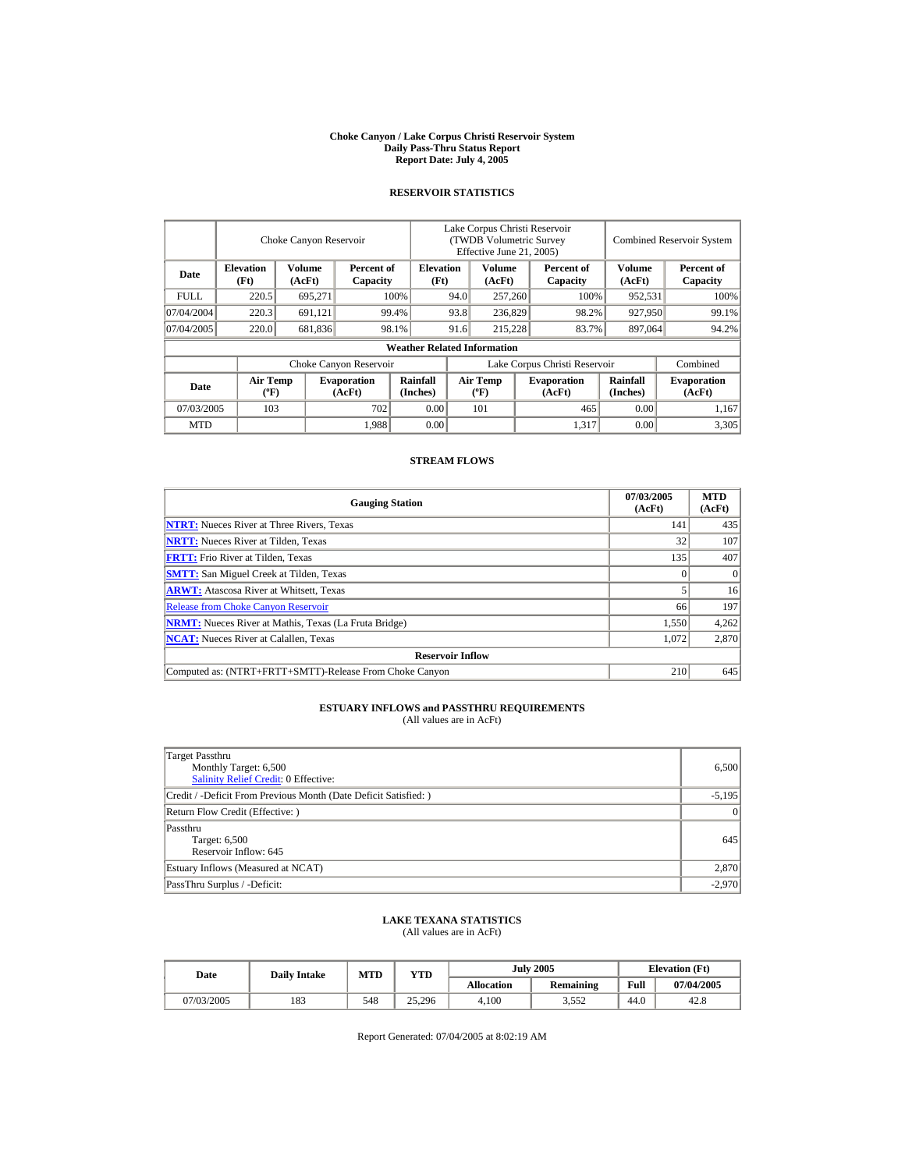#### **Choke Canyon / Lake Corpus Christi Reservoir System Daily Pass-Thru Status Report Report Date: July 4, 2005**

## **RESERVOIR STATISTICS**

|             |                                             | Choke Canyon Reservoir |                              |                                    | Lake Corpus Christi Reservoir<br>(TWDB Volumetric Survey<br>Effective June 21, 2005) |                                  |  |                              |                      | <b>Combined Reservoir System</b> |
|-------------|---------------------------------------------|------------------------|------------------------------|------------------------------------|--------------------------------------------------------------------------------------|----------------------------------|--|------------------------------|----------------------|----------------------------------|
| Date        | <b>Elevation</b><br>(Ft)                    | Volume<br>(AcFt)       | Percent of<br>Capacity       | <b>Elevation</b><br>(Ft)           |                                                                                      | Volume<br>(AcFt)                 |  | Percent of<br>Capacity       | Volume<br>(AcFt)     | Percent of<br>Capacity           |
| <b>FULL</b> | 220.5                                       | 695,271                |                              | 100%                               | 94.0                                                                                 | 257,260                          |  | 100%                         | 952,531              | 100%                             |
| 07/04/2004  | 220.3                                       | 691,121                |                              | 99.4%                              | 93.8                                                                                 | 236,829                          |  | 98.2%                        | 927,950              | 99.1%                            |
| 07/04/2005  | 220.0                                       | 681,836                |                              | 98.1%                              | 91.6                                                                                 | 215.228                          |  | 83.7%                        | 897,064              | 94.2%                            |
|             |                                             |                        |                              | <b>Weather Related Information</b> |                                                                                      |                                  |  |                              |                      |                                  |
|             |                                             |                        | Choke Canyon Reservoir       |                                    | Lake Corpus Christi Reservoir                                                        |                                  |  |                              |                      | Combined                         |
| Date        | <b>Air Temp</b><br>$({}^{\circ}\mathrm{F})$ |                        | <b>Evaporation</b><br>(AcFt) | Rainfall<br>(Inches)               |                                                                                      | <b>Air Temp</b><br>$(^{\circ}F)$ |  | <b>Evaporation</b><br>(AcFt) | Rainfall<br>(Inches) | <b>Evaporation</b><br>(AcFt)     |
| 07/03/2005  | 103                                         |                        | 702                          | 0.00                               |                                                                                      | 101                              |  | 465                          | 0.00                 | 1,167                            |
| <b>MTD</b>  |                                             |                        | 1,988                        | 0.00                               |                                                                                      |                                  |  | 1,317                        | 0.00                 | 3,305                            |

## **STREAM FLOWS**

| <b>Gauging Station</b>                                       | 07/03/2005<br>(AcFt) | <b>MTD</b><br>(AcFt) |
|--------------------------------------------------------------|----------------------|----------------------|
| <b>NTRT:</b> Nueces River at Three Rivers, Texas             | 141                  | 435                  |
| <b>NRTT:</b> Nueces River at Tilden, Texas                   | 32                   | 107                  |
| <b>FRTT:</b> Frio River at Tilden, Texas                     | 135                  | 407                  |
| <b>SMTT:</b> San Miguel Creek at Tilden, Texas               |                      | $\Omega$             |
| <b>ARWT:</b> Atascosa River at Whitsett, Texas               |                      | 16                   |
| <b>Release from Choke Canyon Reservoir</b>                   | 66                   | 197                  |
| <b>NRMT:</b> Nueces River at Mathis, Texas (La Fruta Bridge) | 1,550                | 4,262                |
| <b>NCAT:</b> Nueces River at Calallen, Texas                 | 1,072                | 2,870                |
| <b>Reservoir Inflow</b>                                      |                      |                      |
| Computed as: (NTRT+FRTT+SMTT)-Release From Choke Canyon      | 210                  | 645                  |

# **ESTUARY INFLOWS and PASSTHRU REQUIREMENTS**<br>(All values are in AcFt)

| Target Passthru<br>Monthly Target: 6,500<br><b>Salinity Relief Credit: 0 Effective:</b> | 6,500     |
|-----------------------------------------------------------------------------------------|-----------|
| Credit / -Deficit From Previous Month (Date Deficit Satisfied: )                        | $-5,195$  |
| Return Flow Credit (Effective: )                                                        | $\vert$ 0 |
| Passthru<br>Target: 6,500<br>Reservoir Inflow: 645                                      | 645       |
| Estuary Inflows (Measured at NCAT)                                                      | 2,870     |
| PassThru Surplus / -Deficit:                                                            | $-2,970$  |

## **LAKE TEXANA STATISTICS**

(All values are in AcFt)

| Date       | <b>Daily Intake</b> | MTD | VTD    |                   | <b>July 2005</b> |      | <b>Elevation</b> (Ft) |
|------------|---------------------|-----|--------|-------------------|------------------|------|-----------------------|
|            |                     |     |        | <b>Allocation</b> | <b>Remaining</b> | Full | 07/04/2005            |
| 07/03/2005 | 183                 | 548 | 25.296 | 4.100             | 3,552            | 44.0 | 42.8                  |

Report Generated: 07/04/2005 at 8:02:19 AM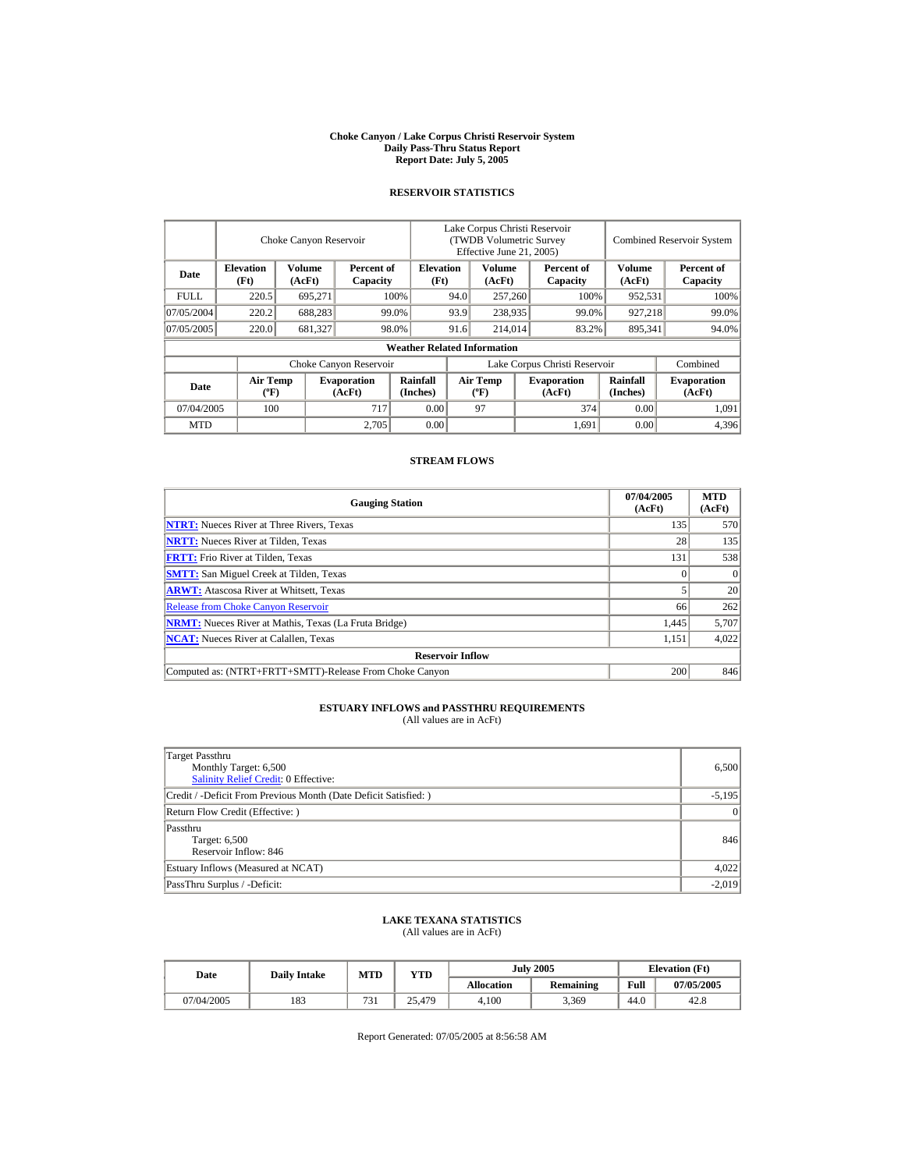#### **Choke Canyon / Lake Corpus Christi Reservoir System Daily Pass-Thru Status Report Report Date: July 5, 2005**

## **RESERVOIR STATISTICS**

|             |                                             | Choke Canyon Reservoir |                              |                                    | Lake Corpus Christi Reservoir<br>(TWDB Volumetric Survey<br>Effective June 21, 2005) |                                          |  |                              |                             | <b>Combined Reservoir System</b> |
|-------------|---------------------------------------------|------------------------|------------------------------|------------------------------------|--------------------------------------------------------------------------------------|------------------------------------------|--|------------------------------|-----------------------------|----------------------------------|
| Date        | <b>Elevation</b><br>(Ft)                    | Volume<br>(AcFt)       | Percent of<br>Capacity       | <b>Elevation</b><br>(Ft)           |                                                                                      | Volume<br>(AcFt)                         |  | Percent of<br>Capacity       | <b>Volume</b><br>(AcFt)     | Percent of<br>Capacity           |
| <b>FULL</b> | 220.5                                       | 695,271                |                              | 100%                               | 94.0                                                                                 | 257,260                                  |  | 100%                         | 952,531                     | 100%                             |
| 07/05/2004  | 220.2                                       | 688,283                |                              | 99.0%                              | 93.9                                                                                 | 238,935                                  |  | 99.0%                        | 927,218                     | 99.0%                            |
| 07/05/2005  | 220.0                                       | 681,327                |                              | 98.0%                              | 91.6                                                                                 | 214,014                                  |  | 83.2%                        | 895,341                     | 94.0%                            |
|             |                                             |                        |                              | <b>Weather Related Information</b> |                                                                                      |                                          |  |                              |                             |                                  |
|             |                                             |                        | Choke Canyon Reservoir       |                                    | Lake Corpus Christi Reservoir                                                        |                                          |  |                              |                             | Combined                         |
| Date        | <b>Air Temp</b><br>$({}^{\circ}\mathrm{F})$ |                        | <b>Evaporation</b><br>(AcFt) | <b>Rainfall</b><br>(Inches)        |                                                                                      | <b>Air Temp</b><br>$({}^{\circ}{\rm F})$ |  | <b>Evaporation</b><br>(AcFt) | <b>Rainfall</b><br>(Inches) | <b>Evaporation</b><br>(AcFt)     |
| 07/04/2005  | 100                                         |                        | 717                          | 0.00                               |                                                                                      | 97                                       |  | 374                          | 0.00                        | 1,091                            |
| <b>MTD</b>  |                                             |                        | 2,705                        | 0.00                               |                                                                                      |                                          |  | 1.691                        | 0.00                        | 4,396                            |

## **STREAM FLOWS**

| <b>Gauging Station</b>                                       | 07/04/2005<br>(AcFt) | <b>MTD</b><br>(AcFt) |
|--------------------------------------------------------------|----------------------|----------------------|
| <b>NTRT:</b> Nueces River at Three Rivers, Texas             | 135                  | 570                  |
| <b>NRTT:</b> Nueces River at Tilden, Texas                   | 28                   | 135                  |
| <b>FRTT:</b> Frio River at Tilden, Texas                     | 131                  | 538                  |
| <b>SMTT:</b> San Miguel Creek at Tilden, Texas               |                      | $\Omega$             |
| <b>ARWT:</b> Atascosa River at Whitsett, Texas               |                      | 20                   |
| <b>Release from Choke Canyon Reservoir</b>                   | 66                   | 262                  |
| <b>NRMT:</b> Nueces River at Mathis, Texas (La Fruta Bridge) | 1.445                | 5,707                |
| <b>NCAT:</b> Nueces River at Calallen, Texas                 | 1,151                | 4,022                |
| <b>Reservoir Inflow</b>                                      |                      |                      |
| Computed as: (NTRT+FRTT+SMTT)-Release From Choke Canyon      | 200                  | 846                  |

# **ESTUARY INFLOWS and PASSTHRU REQUIREMENTS**<br>(All values are in AcFt)

| Target Passthru<br>Monthly Target: 6,500<br>Salinity Relief Credit: 0 Effective: | 6,500    |
|----------------------------------------------------------------------------------|----------|
| Credit / -Deficit From Previous Month (Date Deficit Satisfied:)                  | $-5,195$ |
| Return Flow Credit (Effective: )                                                 | $\Omega$ |
| Passthru<br>Target: 6,500<br>Reservoir Inflow: 846                               | 846      |
| Estuary Inflows (Measured at NCAT)                                               | 4,022    |
| PassThru Surplus / -Deficit:                                                     | $-2,019$ |

## **LAKE TEXANA STATISTICS**

(All values are in AcFt)

|  | Date       | <b>Daily Intake</b> | MTD          | YTD    |                   | <b>July 2005</b> | <b>Elevation</b> (Ft) |            |
|--|------------|---------------------|--------------|--------|-------------------|------------------|-----------------------|------------|
|  |            |                     |              |        | <b>Allocation</b> | <b>Remaining</b> | Full                  | 07/05/2005 |
|  | 07/04/2005 | 183                 | 721<br>' J 1 | 25.479 | 4.100             | 3,369            | 44.0                  | 42.8       |

Report Generated: 07/05/2005 at 8:56:58 AM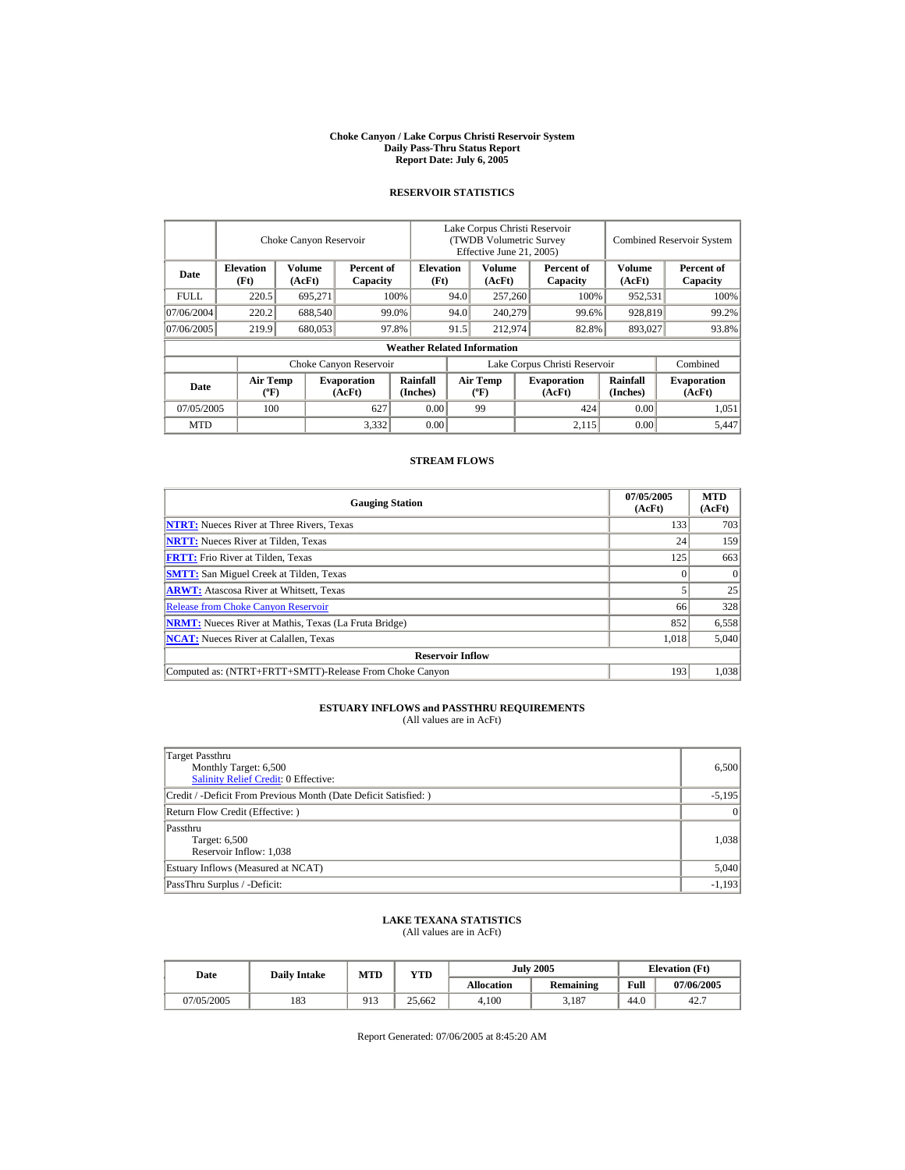#### **Choke Canyon / Lake Corpus Christi Reservoir System Daily Pass-Thru Status Report Report Date: July 6, 2005**

## **RESERVOIR STATISTICS**

|             |                                             | Choke Canyon Reservoir |                              |                                    | Lake Corpus Christi Reservoir<br>(TWDB Volumetric Survey<br>Effective June 21, 2005) |                                  |  |                              |                             | <b>Combined Reservoir System</b> |
|-------------|---------------------------------------------|------------------------|------------------------------|------------------------------------|--------------------------------------------------------------------------------------|----------------------------------|--|------------------------------|-----------------------------|----------------------------------|
| Date        | <b>Elevation</b><br>(Ft)                    | Volume<br>(AcFt)       | Percent of<br>Capacity       | <b>Elevation</b><br>(Ft)           |                                                                                      | Volume<br>(AcFt)                 |  | Percent of<br>Capacity       | Volume<br>(AcFt)            | Percent of<br>Capacity           |
| <b>FULL</b> | 220.5                                       | 695,271                |                              | 100%                               | 94.0                                                                                 | 257,260                          |  | 100%                         | 952,531                     | 100%                             |
| 07/06/2004  | 220.2                                       | 688,540                |                              | 99.0%                              | 94.0                                                                                 | 240,279                          |  | 99.6%                        | 928,819                     | 99.2%                            |
| 07/06/2005  | 219.9                                       | 680,053                |                              | 97.8%                              | 91.5<br>212,974                                                                      |                                  |  | 82.8%                        | 893,027                     | 93.8%                            |
|             |                                             |                        |                              | <b>Weather Related Information</b> |                                                                                      |                                  |  |                              |                             |                                  |
|             |                                             |                        | Choke Canyon Reservoir       |                                    | Lake Corpus Christi Reservoir                                                        |                                  |  |                              |                             | Combined                         |
| Date        | <b>Air Temp</b><br>$({}^{\circ}\mathrm{F})$ |                        | <b>Evaporation</b><br>(AcFt) | Rainfall<br>(Inches)               |                                                                                      | <b>Air Temp</b><br>$(^{\circ}F)$ |  | <b>Evaporation</b><br>(AcFt) | <b>Rainfall</b><br>(Inches) | <b>Evaporation</b><br>(AcFt)     |
| 07/05/2005  | 100                                         |                        | 627                          | 0.00                               |                                                                                      | 99                               |  | 424                          | 0.00                        | 1,051                            |
| <b>MTD</b>  |                                             |                        | 3,332                        | 0.00                               |                                                                                      |                                  |  | 2,115                        | 0.00                        | 5.447                            |

## **STREAM FLOWS**

| <b>Gauging Station</b>                                       | 07/05/2005<br>(AcFt) | <b>MTD</b><br>(AcFt) |
|--------------------------------------------------------------|----------------------|----------------------|
| <b>NTRT:</b> Nueces River at Three Rivers, Texas             | 133                  | 703                  |
| <b>NRTT:</b> Nueces River at Tilden, Texas                   | 24                   | 159                  |
| <b>FRTT:</b> Frio River at Tilden, Texas                     | 125                  | 663                  |
| <b>SMTT:</b> San Miguel Creek at Tilden, Texas               |                      | $\Omega$             |
| <b>ARWT:</b> Atascosa River at Whitsett, Texas               |                      | 25                   |
| <b>Release from Choke Canvon Reservoir</b>                   | 66                   | 328                  |
| <b>NRMT:</b> Nueces River at Mathis, Texas (La Fruta Bridge) | 852                  | 6,558                |
| <b>NCAT:</b> Nueces River at Calallen, Texas                 | 1,018                | 5,040                |
| <b>Reservoir Inflow</b>                                      |                      |                      |
| Computed as: (NTRT+FRTT+SMTT)-Release From Choke Canyon      | 193                  | 1.038                |

# **ESTUARY INFLOWS and PASSTHRU REQUIREMENTS**<br>(All values are in AcFt)

| Target Passthru<br>Monthly Target: 6,500<br><b>Salinity Relief Credit: 0 Effective:</b> | 6.500    |
|-----------------------------------------------------------------------------------------|----------|
| Credit / -Deficit From Previous Month (Date Deficit Satisfied:)                         | $-5,195$ |
| Return Flow Credit (Effective: )                                                        | $\Omega$ |
| Passthru<br>Target: 6,500<br>Reservoir Inflow: 1,038                                    | 1,038    |
| Estuary Inflows (Measured at NCAT)                                                      | 5,040    |
| PassThru Surplus / -Deficit:                                                            | $-1,193$ |

## **LAKE TEXANA STATISTICS**

(All values are in AcFt)

| Date       | <b>Daily Intake</b> | MTD<br><b>VTD</b> |        |                   | <b>July 2005</b> | <b>Elevation</b> (Ft) |            |
|------------|---------------------|-------------------|--------|-------------------|------------------|-----------------------|------------|
|            |                     |                   |        | <b>Allocation</b> | <b>Remaining</b> | Full                  | 07/06/2005 |
| 07/05/2005 | 183                 | 913               | 25.662 | 4.100             | 3,187            | 44.0                  | 42.7       |

Report Generated: 07/06/2005 at 8:45:20 AM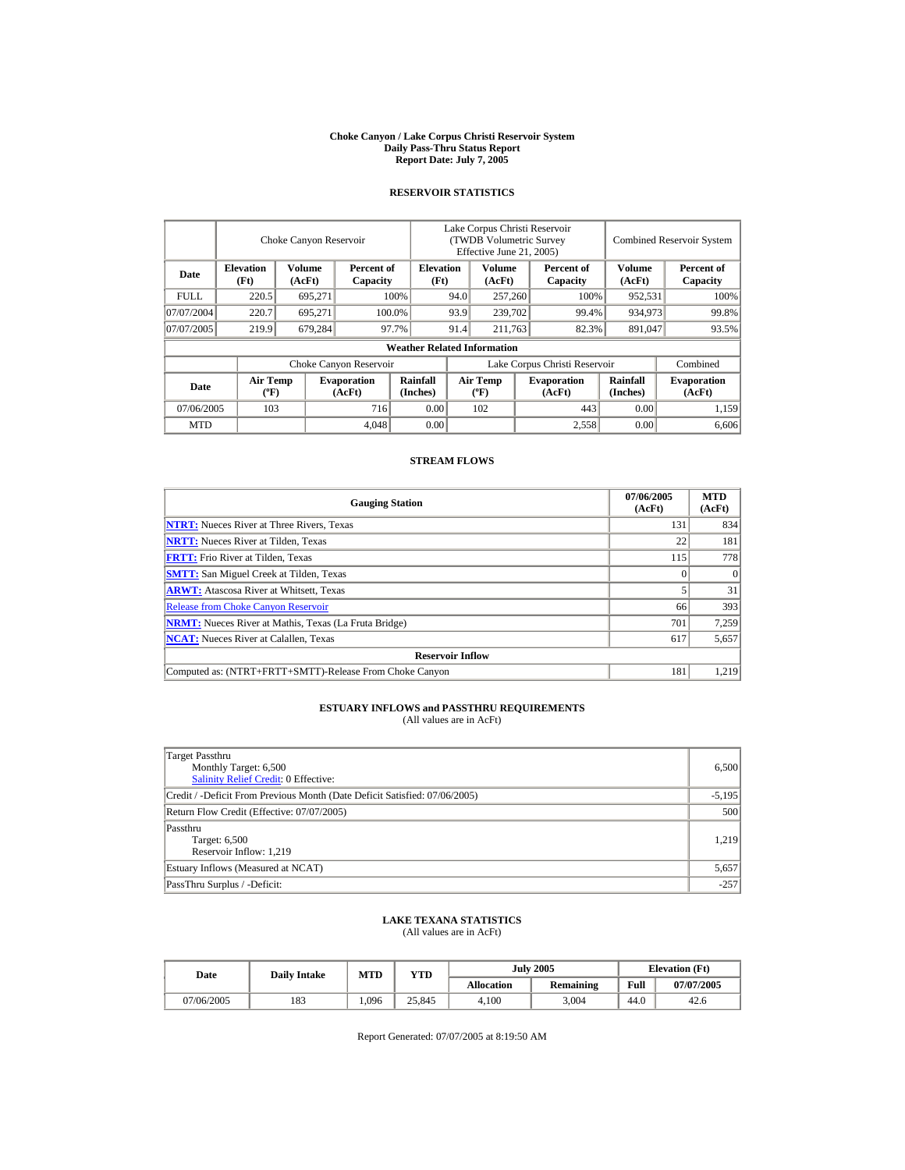#### **Choke Canyon / Lake Corpus Christi Reservoir System Daily Pass-Thru Status Report Report Date: July 7, 2005**

## **RESERVOIR STATISTICS**

|                        | Choke Canyon Reservoir                                                                              |                  |                                  |                                    | Lake Corpus Christi Reservoir<br>(TWDB Volumetric Survey<br>Effective June 21, 2005) |                      |                              |                        |                  | <b>Combined Reservoir System</b> |  |
|------------------------|-----------------------------------------------------------------------------------------------------|------------------|----------------------------------|------------------------------------|--------------------------------------------------------------------------------------|----------------------|------------------------------|------------------------|------------------|----------------------------------|--|
| Date                   | <b>Elevation</b><br>(Ft)                                                                            | Volume<br>(AcFt) | Percent of<br>Capacity           | <b>Elevation</b><br>(Ft)           |                                                                                      | Volume<br>(AcFt)     |                              | Percent of<br>Capacity | Volume<br>(AcFt) | Percent of<br>Capacity           |  |
| FULL.                  | 220.5                                                                                               | 695,271          |                                  | 100%                               | 94.0                                                                                 | 257,260              |                              | 100%                   | 952,531          | 100%                             |  |
| 07/07/2004             | 220.7                                                                                               | 695.271          |                                  | 93.9<br>100.0%                     |                                                                                      | 239,702              |                              | 99.4%                  | 934,973          | 99.8%                            |  |
| 07/07/2005             | 219.9                                                                                               | 679,284          |                                  | 97.7%                              | 91.4                                                                                 | 211,763              |                              | 82.3%                  | 891,047          | 93.5%                            |  |
|                        |                                                                                                     |                  |                                  | <b>Weather Related Information</b> |                                                                                      |                      |                              |                        |                  |                                  |  |
| Choke Canyon Reservoir |                                                                                                     |                  |                                  | Lake Corpus Christi Reservoir      |                                                                                      |                      |                              | Combined               |                  |                                  |  |
| Date                   | Rainfall<br><b>Evaporation</b><br><b>Air Temp</b><br>$({}^{\circ}\mathrm{F})$<br>(AcFt)<br>(Inches) |                  | <b>Air Temp</b><br>$(^{\circ}F)$ |                                    | <b>Evaporation</b><br>(AcFt)                                                         | Rainfall<br>(Inches) | <b>Evaporation</b><br>(AcFt) |                        |                  |                                  |  |
|                        | 716<br>103<br>07/06/2005                                                                            |                  | 0.00                             |                                    | 102                                                                                  |                      | 443                          | 0.00                   | 1,159            |                                  |  |
| <b>MTD</b>             |                                                                                                     |                  | 4,048                            | 0.00                               |                                                                                      |                      |                              | 2,558                  | 0.00             | 6,606                            |  |

## **STREAM FLOWS**

| <b>Gauging Station</b>                                       | 07/06/2005<br>(AcFt) | <b>MTD</b><br>(AcFt) |
|--------------------------------------------------------------|----------------------|----------------------|
| <b>NTRT:</b> Nueces River at Three Rivers, Texas             | 131                  | 834                  |
| <b>NRTT:</b> Nueces River at Tilden, Texas                   | 22                   | 181                  |
| <b>FRTT:</b> Frio River at Tilden, Texas                     | 115                  | 778                  |
| <b>SMTT:</b> San Miguel Creek at Tilden, Texas               |                      | $\Omega$             |
| <b>ARWT:</b> Atascosa River at Whitsett, Texas               |                      | 31                   |
| <b>Release from Choke Canyon Reservoir</b>                   | 66                   | 393                  |
| <b>NRMT:</b> Nueces River at Mathis, Texas (La Fruta Bridge) | 701                  | 7,259                |
| <b>NCAT:</b> Nueces River at Calallen, Texas                 | 617                  | 5,657                |
| <b>Reservoir Inflow</b>                                      |                      |                      |
| Computed as: (NTRT+FRTT+SMTT)-Release From Choke Canyon      | 181                  | 1,219                |

# **ESTUARY INFLOWS and PASSTHRU REQUIREMENTS**<br>(All values are in AcFt)

| Target Passthru<br>Monthly Target: 6,500<br>Salinity Relief Credit: 0 Effective: | 6,500    |
|----------------------------------------------------------------------------------|----------|
| Credit / -Deficit From Previous Month (Date Deficit Satisfied: 07/06/2005)       | $-5,195$ |
| Return Flow Credit (Effective: 07/07/2005)                                       | 500      |
| Passthru<br>Target: 6,500<br>Reservoir Inflow: 1,219                             | 1.219    |
| Estuary Inflows (Measured at NCAT)                                               | 5,657    |
| PassThru Surplus / -Deficit:                                                     | $-257$   |

## **LAKE TEXANA STATISTICS**

(All values are in AcFt)

| Date       | <b>Daily Intake</b> |      | MTD<br>YTD |                   | <b>July 2005</b> | <b>Elevation</b> (Ft) |            |
|------------|---------------------|------|------------|-------------------|------------------|-----------------------|------------|
|            |                     |      |            | <b>Allocation</b> | <b>Remaining</b> | Full                  | 07/07/2005 |
| 07/06/2005 | 183                 | .096 | 25.845     | 4.100             | 3.004            | 44.0                  | 42.6       |

Report Generated: 07/07/2005 at 8:19:50 AM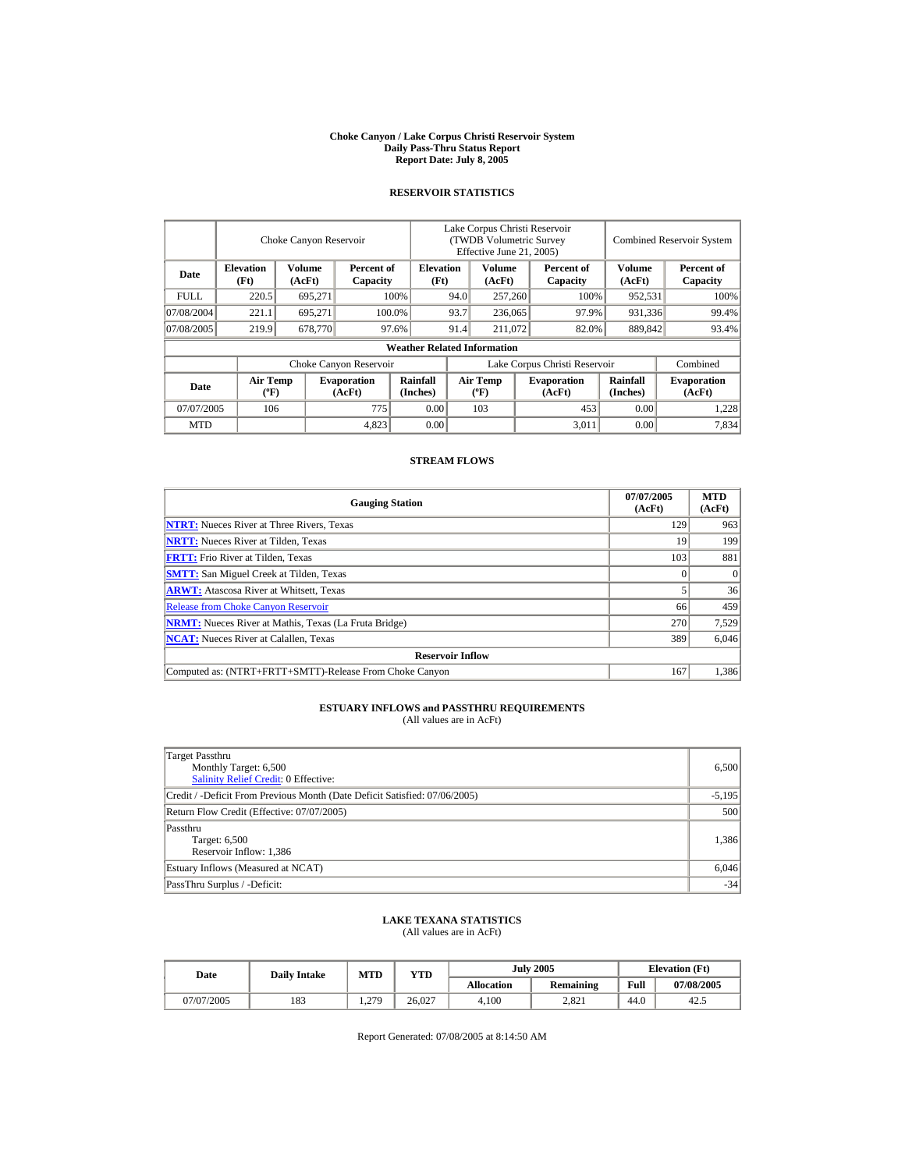#### **Choke Canyon / Lake Corpus Christi Reservoir System Daily Pass-Thru Status Report Report Date: July 8, 2005**

## **RESERVOIR STATISTICS**

|                        | Choke Canyon Reservoir                      |                         |                              |                                    | Lake Corpus Christi Reservoir<br><b>(TWDB Volumetric Survey)</b><br>Effective June 21, 2005) |                                  |  |                              |                             | <b>Combined Reservoir System</b> |  |  |
|------------------------|---------------------------------------------|-------------------------|------------------------------|------------------------------------|----------------------------------------------------------------------------------------------|----------------------------------|--|------------------------------|-----------------------------|----------------------------------|--|--|
| Date                   | <b>Elevation</b><br>(Ft)                    | <b>Volume</b><br>(AcFt) | Percent of<br>Capacity       | <b>Elevation</b><br>(Ft)           |                                                                                              | <b>Volume</b><br>(AcFt)          |  | Percent of<br>Capacity       | Volume<br>(AcFt)            | Percent of<br>Capacity           |  |  |
| <b>FULL</b>            | 220.5                                       | 695,271                 |                              | 100%                               | 94.0                                                                                         | 257,260                          |  | 100%                         | 952,531                     | 100%                             |  |  |
| 07/08/2004             | 221.1                                       | 695.271                 |                              | 100.0%                             | 93.7                                                                                         | 236,065                          |  | 97.9%                        | 931,336                     | 99.4%                            |  |  |
| 07/08/2005             | 219.9                                       | 678,770                 |                              | 97.6%                              | 91.4                                                                                         | 211,072                          |  | 82.0%                        | 889,842                     | 93.4%                            |  |  |
|                        |                                             |                         |                              | <b>Weather Related Information</b> |                                                                                              |                                  |  |                              |                             |                                  |  |  |
| Choke Canyon Reservoir |                                             |                         |                              | Lake Corpus Christi Reservoir      |                                                                                              |                                  |  |                              | Combined                    |                                  |  |  |
| Date                   | <b>Air Temp</b><br>$({}^{\circ}\mathrm{F})$ |                         | <b>Evaporation</b><br>(AcFt) | Rainfall<br>(Inches)               |                                                                                              | <b>Air Temp</b><br>$(^{\circ}F)$ |  | <b>Evaporation</b><br>(AcFt) | <b>Rainfall</b><br>(Inches) | <b>Evaporation</b><br>(AcFt)     |  |  |
| 07/07/2005             | 106                                         |                         | 775                          |                                    | 0.00                                                                                         | 103                              |  | 453                          | 0.00                        | 1,228                            |  |  |
| <b>MTD</b>             |                                             |                         | 4,823                        | 0.00                               |                                                                                              |                                  |  | 3,011                        | 0.00                        | 7.834                            |  |  |

## **STREAM FLOWS**

| <b>Gauging Station</b>                                       | 07/07/2005<br>(AcFt) | <b>MTD</b><br>(AcFt) |
|--------------------------------------------------------------|----------------------|----------------------|
| <b>NTRT:</b> Nueces River at Three Rivers, Texas             | 129                  | 963                  |
| <b>NRTT:</b> Nueces River at Tilden, Texas                   | 19                   | 199                  |
| <b>FRTT:</b> Frio River at Tilden, Texas                     | 103                  | 881                  |
| <b>SMTT:</b> San Miguel Creek at Tilden, Texas               |                      | $\Omega$             |
| <b>ARWT:</b> Atascosa River at Whitsett, Texas               |                      | 36                   |
| <b>Release from Choke Canyon Reservoir</b>                   | 66                   | 459                  |
| <b>NRMT:</b> Nueces River at Mathis, Texas (La Fruta Bridge) | 270                  | 7,529                |
| <b>NCAT:</b> Nueces River at Calallen, Texas                 | 389                  | 6,046                |
| <b>Reservoir Inflow</b>                                      |                      |                      |
| Computed as: (NTRT+FRTT+SMTT)-Release From Choke Canyon      | 167                  | 1.386                |

# **ESTUARY INFLOWS and PASSTHRU REQUIREMENTS**<br>(All values are in AcFt)

| Target Passthru<br>Monthly Target: 6,500<br><b>Salinity Relief Credit: 0 Effective:</b> | 6.500    |
|-----------------------------------------------------------------------------------------|----------|
| Credit / -Deficit From Previous Month (Date Deficit Satisfied: 07/06/2005)              | $-5,195$ |
| Return Flow Credit (Effective: 07/07/2005)                                              | 500      |
| Passthru<br>Target: 6,500<br>Reservoir Inflow: 1,386                                    | 1,386    |
| Estuary Inflows (Measured at NCAT)                                                      | 6,046    |
| PassThru Surplus / -Deficit:                                                            | $-34$    |

## **LAKE TEXANA STATISTICS**

(All values are in AcFt)

| Date       | <b>Daily Intake</b> | <b>MTD</b><br>VTD               |        | <b>July 2005</b> |                  |      | <b>Elevation</b> (Ft) |
|------------|---------------------|---------------------------------|--------|------------------|------------------|------|-----------------------|
|            |                     |                                 |        | Allocation       | <b>Remaining</b> | Full | 07/08/2005            |
| 07/07/2005 | 183                 | 270<br>$\sqrt{1 + \frac{1}{2}}$ | 26.027 | 4.100            | 2.821            | 44.0 | 42.5                  |

Report Generated: 07/08/2005 at 8:14:50 AM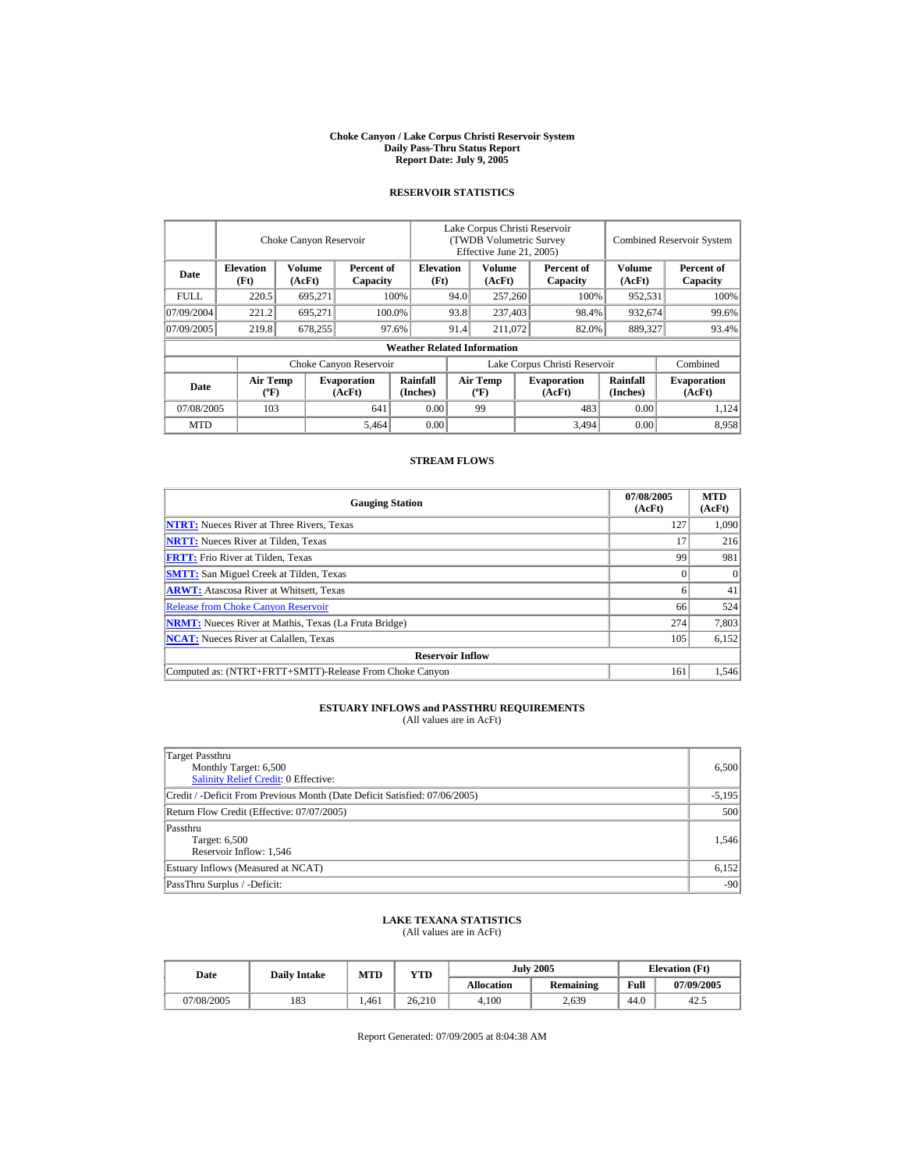#### **Choke Canyon / Lake Corpus Christi Reservoir System Daily Pass-Thru Status Report Report Date: July 9, 2005**

## **RESERVOIR STATISTICS**

|                        | Choke Canyon Reservoir                      |                  |                              |                                    | Lake Corpus Christi Reservoir<br>(TWDB Volumetric Survey<br>Effective June 21, 2005) |                                             |  |                              |                      | <b>Combined Reservoir System</b> |  |  |
|------------------------|---------------------------------------------|------------------|------------------------------|------------------------------------|--------------------------------------------------------------------------------------|---------------------------------------------|--|------------------------------|----------------------|----------------------------------|--|--|
| Date                   | <b>Elevation</b><br>(Ft)                    | Volume<br>(AcFt) | Percent of<br>Capacity       | <b>Elevation</b><br>(Ft)           |                                                                                      | Volume<br>(AcFt)                            |  | Percent of<br>Capacity       | Volume<br>(AcFt)     | Percent of<br>Capacity           |  |  |
| FULL.                  | 220.5                                       | 695,271          |                              | 100%                               | 94.0                                                                                 | 257,260                                     |  | 100%                         | 952,531              | 100%                             |  |  |
| 07/09/2004             | 221.2                                       | 695.271          |                              | 93.8<br>100.0%                     |                                                                                      | 237,403                                     |  | 98.4%                        | 932,674              | 99.6%                            |  |  |
| 07/09/2005             | 219.8                                       | 678,255          |                              | 97.6%                              | 91.4                                                                                 | 211,072                                     |  | 82.0%                        | 889,327              | 93.4%                            |  |  |
|                        |                                             |                  |                              | <b>Weather Related Information</b> |                                                                                      |                                             |  |                              |                      |                                  |  |  |
| Choke Canyon Reservoir |                                             |                  |                              | Lake Corpus Christi Reservoir      |                                                                                      |                                             |  | Combined                     |                      |                                  |  |  |
| Date                   | <b>Air Temp</b><br>$({}^{\circ}\mathrm{F})$ |                  | <b>Evaporation</b><br>(AcFt) | Rainfall<br>(Inches)               |                                                                                      | <b>Air Temp</b><br>$({}^{\circ}\mathbf{F})$ |  | <b>Evaporation</b><br>(AcFt) | Rainfall<br>(Inches) | <b>Evaporation</b><br>(AcFt)     |  |  |
| 07/08/2005             |                                             | 103<br>641       |                              | 0.00                               |                                                                                      | 99                                          |  | 483                          | 0.00                 | 1,124                            |  |  |
| <b>MTD</b>             |                                             |                  | 5,464                        | 0.00                               |                                                                                      |                                             |  | 3,494                        | 0.00                 | 8.958                            |  |  |

## **STREAM FLOWS**

| <b>Gauging Station</b>                                       | 07/08/2005<br>(AcFt) | <b>MTD</b><br>(AcFt) |
|--------------------------------------------------------------|----------------------|----------------------|
| <b>NTRT:</b> Nueces River at Three Rivers, Texas             | 127                  | 1,090                |
| <b>NRTT:</b> Nueces River at Tilden, Texas                   |                      | 216                  |
| <b>FRTT:</b> Frio River at Tilden, Texas                     | 99                   | 981                  |
| <b>SMTT:</b> San Miguel Creek at Tilden, Texas               |                      | $\Omega$             |
| <b>ARWT:</b> Atascosa River at Whitsett, Texas               |                      | 41                   |
| <b>Release from Choke Canyon Reservoir</b>                   | 66                   | 524                  |
| <b>NRMT:</b> Nueces River at Mathis, Texas (La Fruta Bridge) | 274                  | 7,803                |
| <b>NCAT:</b> Nueces River at Calallen, Texas                 | 105                  | 6,152                |
| <b>Reservoir Inflow</b>                                      |                      |                      |
| Computed as: (NTRT+FRTT+SMTT)-Release From Choke Canyon      | 161                  | 1.546                |

# **ESTUARY INFLOWS and PASSTHRU REQUIREMENTS**<br>(All values are in AcFt)

| Target Passthru<br>Monthly Target: 6,500<br>Salinity Relief Credit: 0 Effective: | 6,500    |
|----------------------------------------------------------------------------------|----------|
| Credit / -Deficit From Previous Month (Date Deficit Satisfied: 07/06/2005)       | $-5,195$ |
| Return Flow Credit (Effective: 07/07/2005)                                       | 500      |
| Passthru<br>Target: 6,500<br>Reservoir Inflow: 1,546                             | 1.546    |
| Estuary Inflows (Measured at NCAT)                                               | 6,152    |
| PassThru Surplus / -Deficit:                                                     | $-90$    |

## **LAKE TEXANA STATISTICS**

(All values are in AcFt)

| Date       | <b>Daily Intake</b> | <b>July 2005</b><br>MTD<br>YTD |        |                   | <b>Elevation</b> (Ft) |      |            |
|------------|---------------------|--------------------------------|--------|-------------------|-----------------------|------|------------|
|            |                     |                                |        | <b>Allocation</b> | <b>Remaining</b>      | Full | 07/09/2005 |
| 07/08/2005 | 183                 | .461                           | 26.210 | 4.100             | 2,639                 | 44.0 | 42.5       |

Report Generated: 07/09/2005 at 8:04:38 AM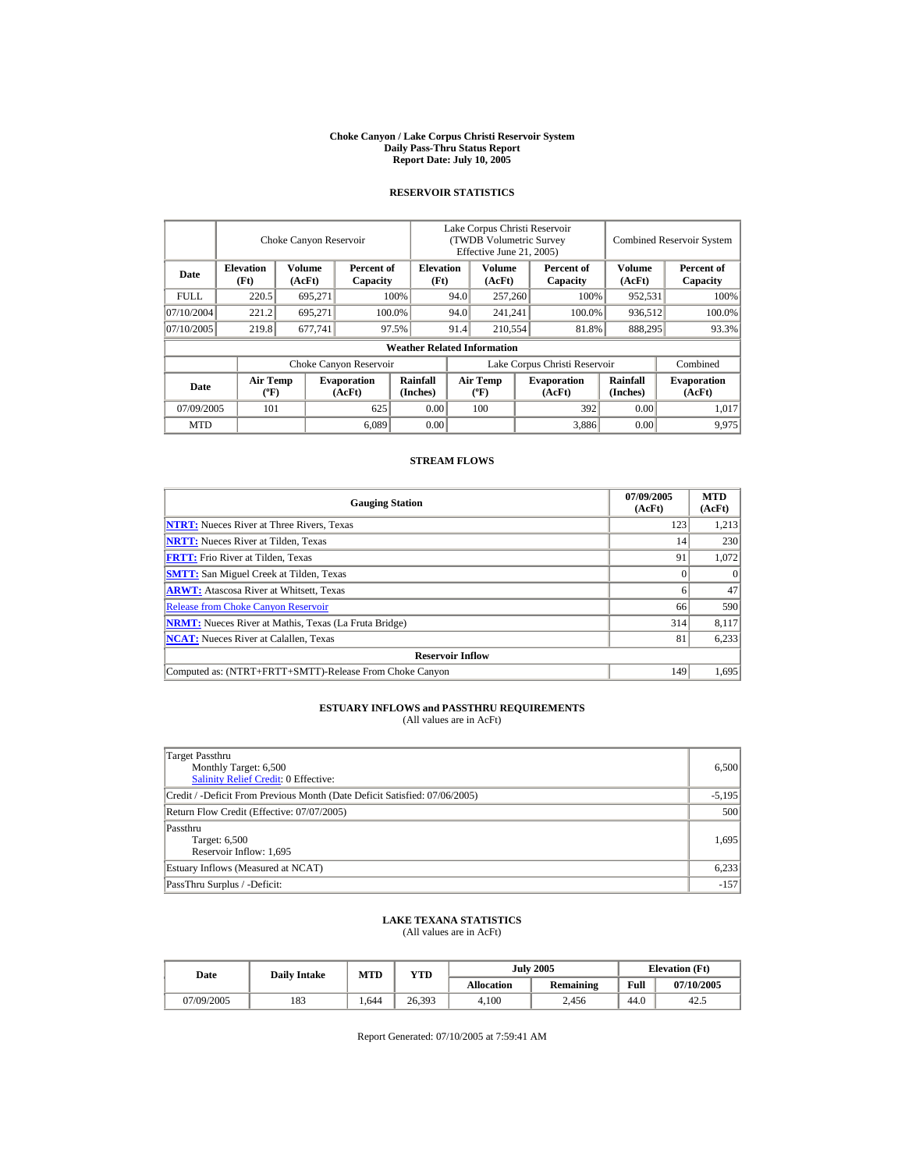#### **Choke Canyon / Lake Corpus Christi Reservoir System Daily Pass-Thru Status Report Report Date: July 10, 2005**

## **RESERVOIR STATISTICS**

|            |                                             | Choke Canyon Reservoir |                              |                                    | Lake Corpus Christi Reservoir<br>(TWDB Volumetric Survey<br>Effective June 21, 2005) |                                             |  |                              | <b>Combined Reservoir System</b> |                              |
|------------|---------------------------------------------|------------------------|------------------------------|------------------------------------|--------------------------------------------------------------------------------------|---------------------------------------------|--|------------------------------|----------------------------------|------------------------------|
| Date       | <b>Elevation</b><br>(Ft)                    | Volume<br>(AcFt)       | Percent of<br>Capacity       | <b>Elevation</b><br>(Ft)           |                                                                                      | Volume<br>(AcFt)                            |  | Percent of<br>Capacity       | Volume<br>(AcFt)                 | Percent of<br>Capacity       |
| FULL.      | 220.5                                       | 695,271                |                              | 100%                               | 94.0                                                                                 | 257,260                                     |  | 100%                         | 952,531                          | 100%                         |
| 07/10/2004 | 221.2                                       | 695.271                |                              | 100.0%                             | 94.0                                                                                 | 241,241                                     |  | 100.0%                       | 936,512                          | 100.0%                       |
| 07/10/2005 | 219.8                                       | 677.741                |                              | 97.5%                              | 91.4                                                                                 | 210,554                                     |  | 81.8%                        | 888,295                          | 93.3%                        |
|            |                                             |                        |                              | <b>Weather Related Information</b> |                                                                                      |                                             |  |                              |                                  |                              |
|            |                                             |                        | Choke Canyon Reservoir       |                                    | Lake Corpus Christi Reservoir                                                        |                                             |  |                              | Combined                         |                              |
| Date       | <b>Air Temp</b><br>$({}^{\circ}\mathrm{F})$ |                        | <b>Evaporation</b><br>(AcFt) | Rainfall<br>(Inches)               |                                                                                      | <b>Air Temp</b><br>$({}^{\circ}\mathbf{F})$ |  | <b>Evaporation</b><br>(AcFt) | Rainfall<br>(Inches)             | <b>Evaporation</b><br>(AcFt) |
| 07/09/2005 | 101                                         |                        | 625                          | 0.00                               |                                                                                      | 100                                         |  | 392                          | 0.00                             | 1,017                        |
| <b>MTD</b> |                                             |                        | 6,089                        | 0.00                               |                                                                                      |                                             |  | 3,886                        | 0.00                             | 9.975                        |

## **STREAM FLOWS**

| <b>Gauging Station</b>                                       | 07/09/2005<br>(AcFt) | <b>MTD</b><br>(AcFt) |
|--------------------------------------------------------------|----------------------|----------------------|
| <b>NTRT:</b> Nueces River at Three Rivers, Texas             | 123                  | 1,213                |
| <b>NRTT:</b> Nueces River at Tilden, Texas                   | 14 <sub>1</sub>      | 230                  |
| <b>FRTT:</b> Frio River at Tilden, Texas                     | 91                   | 1,072                |
| <b>SMTT:</b> San Miguel Creek at Tilden, Texas               |                      | $\Omega$             |
| <b>ARWT:</b> Atascosa River at Whitsett, Texas               |                      | 47                   |
| <b>Release from Choke Canyon Reservoir</b>                   | 66                   | 590                  |
| <b>NRMT:</b> Nueces River at Mathis, Texas (La Fruta Bridge) | 314                  | 8,117                |
| <b>NCAT:</b> Nueces River at Calallen, Texas                 | 81                   | 6,233                |
| <b>Reservoir Inflow</b>                                      |                      |                      |
| Computed as: (NTRT+FRTT+SMTT)-Release From Choke Canyon      | 149                  | 1,695                |

# **ESTUARY INFLOWS and PASSTHRU REQUIREMENTS**<br>(All values are in AcFt)

| Target Passthru<br>Monthly Target: 6,500<br><b>Salinity Relief Credit: 0 Effective:</b> | 6,500    |
|-----------------------------------------------------------------------------------------|----------|
| Credit / -Deficit From Previous Month (Date Deficit Satisfied: 07/06/2005)              | $-5,195$ |
| Return Flow Credit (Effective: 07/07/2005)                                              | 500      |
| Passthru<br>Target: 6,500<br>Reservoir Inflow: 1,695                                    | 1,695    |
| Estuary Inflows (Measured at NCAT)                                                      | 6,233    |
| PassThru Surplus / -Deficit:                                                            | $-157$   |

## **LAKE TEXANA STATISTICS**

(All values are in AcFt)

| Date       | <b>Daily Intake</b> | <b>MTD</b> | VTD    |            | <b>July 2005</b> | <b>Elevation</b> (Ft) |            |
|------------|---------------------|------------|--------|------------|------------------|-----------------------|------------|
|            |                     |            |        | Allocation | <b>Remaining</b> | Full                  | 07/10/2005 |
| 07/09/2005 | 183                 | .644       | 26,393 | 4.100      | 2.456            | 44.0                  | 42.5       |

Report Generated: 07/10/2005 at 7:59:41 AM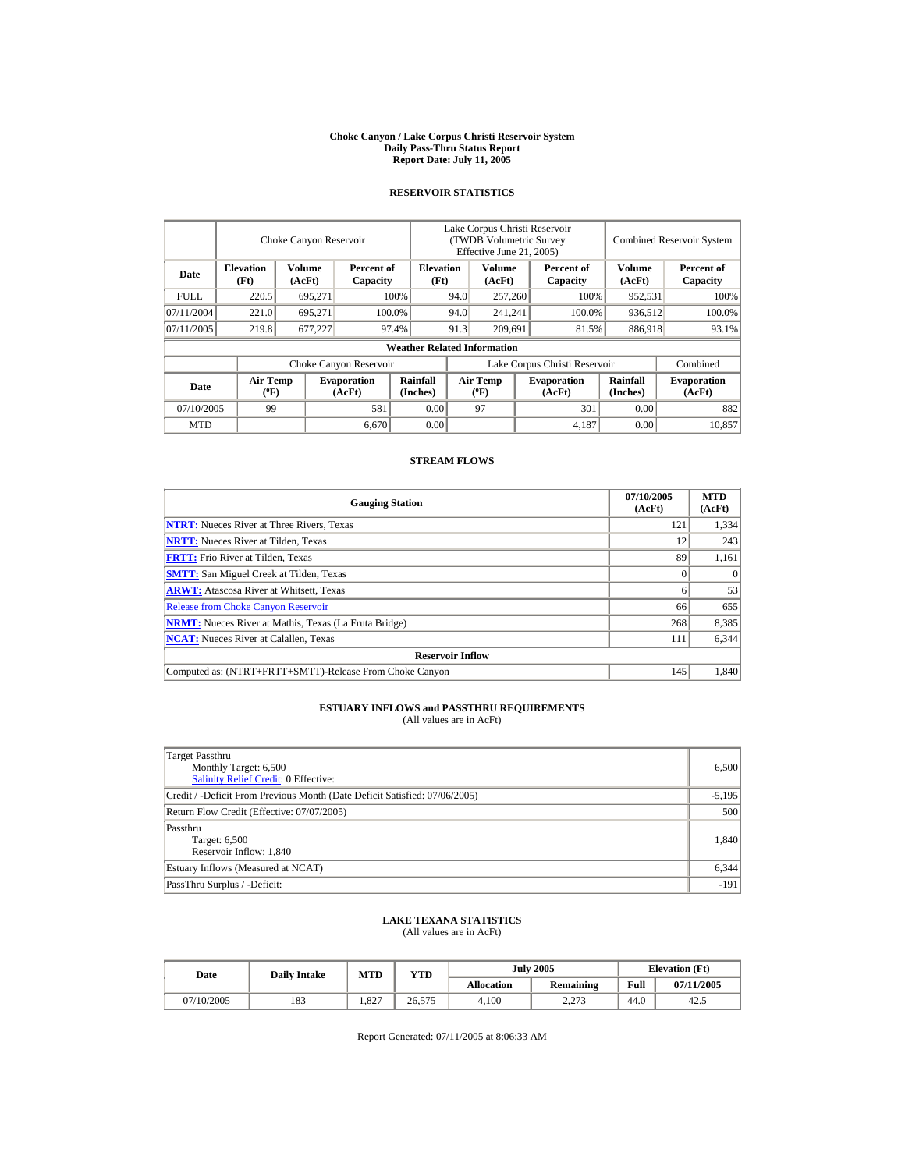#### **Choke Canyon / Lake Corpus Christi Reservoir System Daily Pass-Thru Status Report Report Date: July 11, 2005**

## **RESERVOIR STATISTICS**

|            |                                             | Choke Canyon Reservoir |                              |                                    | Lake Corpus Christi Reservoir<br>(TWDB Volumetric Survey<br>Effective June 21, 2005) |                                          |  |                               |                             | <b>Combined Reservoir System</b> |
|------------|---------------------------------------------|------------------------|------------------------------|------------------------------------|--------------------------------------------------------------------------------------|------------------------------------------|--|-------------------------------|-----------------------------|----------------------------------|
| Date       | <b>Elevation</b><br>(Ft)                    | Volume<br>(AcFt)       | Percent of<br>Capacity       | <b>Elevation</b><br>(Ft)           |                                                                                      | Volume<br>(AcFt)                         |  | Percent of<br>Capacity        | <b>Volume</b><br>(AcFt)     | Percent of<br>Capacity           |
| FULL.      | 220.5                                       | 695,271                |                              | 100%                               | 94.0                                                                                 | 257,260                                  |  | 100%                          | 952,531                     | 100%                             |
| 07/11/2004 | 221.0                                       | 695.271                |                              | 100.0%                             | 94.0                                                                                 | 241,241                                  |  | 100.0%                        | 936,512                     | 100.0%                           |
| 07/11/2005 | 219.8                                       | 677,227                |                              | 97.4%                              | 91.3                                                                                 | 209.691                                  |  | 81.5%                         | 886,918                     | 93.1%                            |
|            |                                             |                        |                              | <b>Weather Related Information</b> |                                                                                      |                                          |  |                               |                             |                                  |
|            |                                             |                        | Choke Canyon Reservoir       |                                    |                                                                                      |                                          |  | Lake Corpus Christi Reservoir |                             | Combined                         |
| Date       | <b>Air Temp</b><br>$({}^{\circ}\mathrm{F})$ |                        | <b>Evaporation</b><br>(AcFt) | <b>Rainfall</b><br>(Inches)        |                                                                                      | <b>Air Temp</b><br>$({}^{\circ}{\rm F})$ |  | <b>Evaporation</b><br>(AcFt)  | <b>Rainfall</b><br>(Inches) | <b>Evaporation</b><br>(AcFt)     |
| 07/10/2005 | 99                                          |                        | 581                          | 0.00                               |                                                                                      | 97                                       |  | 301                           | 0.00                        | 882                              |
| <b>MTD</b> |                                             |                        | 6,670                        | 0.00                               |                                                                                      |                                          |  | 4,187                         | 0.00                        | 10.857                           |

## **STREAM FLOWS**

| <b>Gauging Station</b>                                       | 07/10/2005<br>(AcFt) | <b>MTD</b><br>(AcFt) |
|--------------------------------------------------------------|----------------------|----------------------|
| <b>NTRT:</b> Nueces River at Three Rivers, Texas             | 121                  | 1,334                |
| <b>NRTT:</b> Nueces River at Tilden, Texas                   | 12                   | 243                  |
| <b>FRTT:</b> Frio River at Tilden, Texas                     | 89                   | 1,161                |
| <b>SMTT:</b> San Miguel Creek at Tilden, Texas               |                      | $\Omega$             |
| <b>ARWT:</b> Atascosa River at Whitsett, Texas               |                      | 53                   |
| <b>Release from Choke Canyon Reservoir</b>                   | 66                   | 655                  |
| <b>NRMT:</b> Nueces River at Mathis, Texas (La Fruta Bridge) | 268                  | 8,385                |
| <b>NCAT:</b> Nueces River at Calallen, Texas                 | 111                  | 6,344                |
| <b>Reservoir Inflow</b>                                      |                      |                      |
| Computed as: (NTRT+FRTT+SMTT)-Release From Choke Canyon      | 145                  | 1.840                |

# **ESTUARY INFLOWS and PASSTHRU REQUIREMENTS**<br>(All values are in AcFt)

| Target Passthru<br>Monthly Target: 6,500<br>Salinity Relief Credit: 0 Effective: | 6,500    |
|----------------------------------------------------------------------------------|----------|
| Credit / -Deficit From Previous Month (Date Deficit Satisfied: 07/06/2005)       | $-5,195$ |
| Return Flow Credit (Effective: 07/07/2005)                                       | 500      |
| Passthru<br>Target: 6,500<br>Reservoir Inflow: 1,840                             | 1,840    |
| Estuary Inflows (Measured at NCAT)                                               | 6,344    |
| PassThru Surplus / -Deficit:                                                     | $-191$   |

## **LAKE TEXANA STATISTICS**

(All values are in AcFt)

|  | Date       | <b>Daily Intake</b> | MTD   | YTD    |                   | <b>July 2005</b> | <b>Elevation</b> (Ft) |            |
|--|------------|---------------------|-------|--------|-------------------|------------------|-----------------------|------------|
|  |            |                     |       |        | <b>Allocation</b> | <b>Remaining</b> | Full                  | 07/11/2005 |
|  | 07/10/2005 | 183                 | 1.827 | 26,575 | 4.100             | 2.273            | 44.0                  | 42.5       |

Report Generated: 07/11/2005 at 8:06:33 AM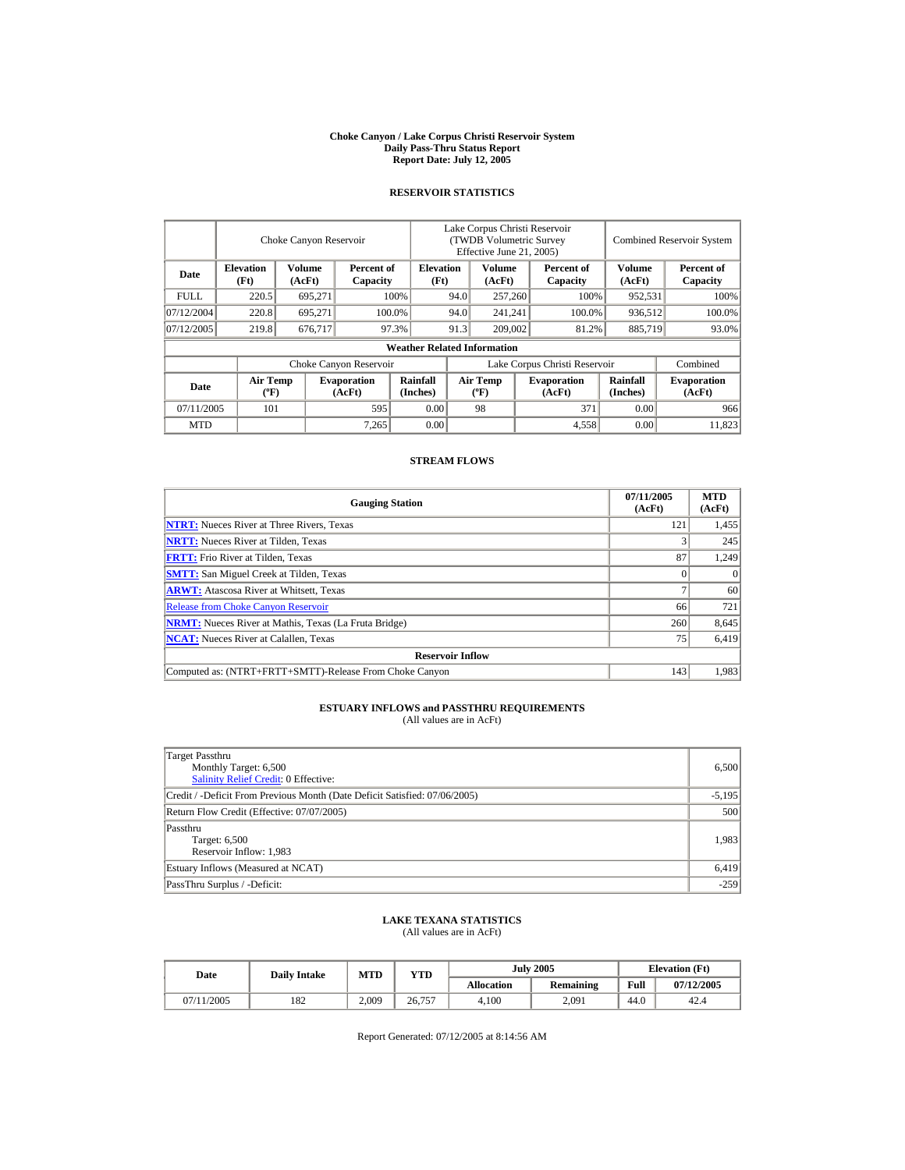#### **Choke Canyon / Lake Corpus Christi Reservoir System Daily Pass-Thru Status Report Report Date: July 12, 2005**

## **RESERVOIR STATISTICS**

|            |                                             | Choke Canyon Reservoir |                              |                                    | Lake Corpus Christi Reservoir<br>(TWDB Volumetric Survey<br>Effective June 21, 2005) |                                          |  |                              |                             | <b>Combined Reservoir System</b> |
|------------|---------------------------------------------|------------------------|------------------------------|------------------------------------|--------------------------------------------------------------------------------------|------------------------------------------|--|------------------------------|-----------------------------|----------------------------------|
| Date       | <b>Elevation</b><br>(Ft)                    | Volume<br>(AcFt)       | Percent of<br>Capacity       | <b>Elevation</b><br>(Ft)           |                                                                                      | Volume<br>(AcFt)                         |  | Percent of<br>Capacity       | <b>Volume</b><br>(AcFt)     | Percent of<br>Capacity           |
| FULL.      | 220.5                                       | 695,271                |                              | 100%                               | 94.0                                                                                 | 257,260                                  |  | 100%                         | 952,531                     | 100%                             |
| 07/12/2004 | 220.8                                       | 695,271                |                              | 100.0%                             | 94.0                                                                                 | 241,241                                  |  | 100.0%                       | 936,512                     | 100.0%                           |
| 07/12/2005 | 219.8                                       | 676,717                |                              | 97.3%                              | 91.3                                                                                 | 209,002                                  |  | 81.2%                        | 885,719                     | 93.0%                            |
|            |                                             |                        |                              | <b>Weather Related Information</b> |                                                                                      |                                          |  |                              |                             |                                  |
|            |                                             |                        | Choke Canyon Reservoir       |                                    | Lake Corpus Christi Reservoir                                                        |                                          |  |                              |                             | Combined                         |
| Date       | <b>Air Temp</b><br>$({}^{\circ}\mathrm{F})$ |                        | <b>Evaporation</b><br>(AcFt) | <b>Rainfall</b><br>(Inches)        |                                                                                      | <b>Air Temp</b><br>$({}^{\circ}{\rm F})$ |  | <b>Evaporation</b><br>(AcFt) | <b>Rainfall</b><br>(Inches) | <b>Evaporation</b><br>(AcFt)     |
| 07/11/2005 | 101                                         |                        | 595                          | 0.00                               |                                                                                      | 98                                       |  | 371                          | 0.00                        | 966                              |
| <b>MTD</b> |                                             |                        | 7,265                        | 0.00                               |                                                                                      |                                          |  | 4,558                        | 0.00                        | 11.823                           |

## **STREAM FLOWS**

| <b>Gauging Station</b>                                       | 07/11/2005<br>(AcFt) | <b>MTD</b><br>(AcFt) |
|--------------------------------------------------------------|----------------------|----------------------|
| <b>NTRT:</b> Nueces River at Three Rivers, Texas             | 121                  | 1,455                |
| <b>NRTT:</b> Nueces River at Tilden, Texas                   |                      | 245                  |
| <b>FRTT:</b> Frio River at Tilden, Texas                     | 87                   | 1,249                |
| <b>SMTT:</b> San Miguel Creek at Tilden, Texas               |                      | $\Omega$             |
| <b>ARWT:</b> Atascosa River at Whitsett, Texas               |                      | 60                   |
| <b>Release from Choke Canyon Reservoir</b>                   | 66                   | 721                  |
| <b>NRMT:</b> Nueces River at Mathis, Texas (La Fruta Bridge) | 260                  | 8,645                |
| <b>NCAT:</b> Nueces River at Calallen. Texas                 | 75                   | 6,419                |
| <b>Reservoir Inflow</b>                                      |                      |                      |
| Computed as: (NTRT+FRTT+SMTT)-Release From Choke Canyon      | 143                  | 1.983                |

# **ESTUARY INFLOWS and PASSTHRU REQUIREMENTS**<br>(All values are in AcFt)

| Target Passthru<br>Monthly Target: 6,500<br><b>Salinity Relief Credit: 0 Effective:</b> | 6,500    |
|-----------------------------------------------------------------------------------------|----------|
| Credit / -Deficit From Previous Month (Date Deficit Satisfied: 07/06/2005)              | $-5,195$ |
| Return Flow Credit (Effective: 07/07/2005)                                              | 500      |
| Passthru<br>Target: 6,500<br>Reservoir Inflow: 1,983                                    | 1,983    |
| Estuary Inflows (Measured at NCAT)                                                      | 6,419    |
| PassThru Surplus / -Deficit:                                                            | $-259$   |

## **LAKE TEXANA STATISTICS**

(All values are in AcFt)

| Date       | <b>Daily Intake</b> | <b>MTD</b> | VTD    |            | <b>July 2005</b> | <b>Elevation</b> (Ft) |            |
|------------|---------------------|------------|--------|------------|------------------|-----------------------|------------|
|            |                     |            |        | Allocation | <b>Remaining</b> | Full                  | 07/12/2005 |
| 07/11/2005 | 182                 | 2.009      | 26,757 | 4.100      | 2,091            | 44.0                  | 42.4       |

Report Generated: 07/12/2005 at 8:14:56 AM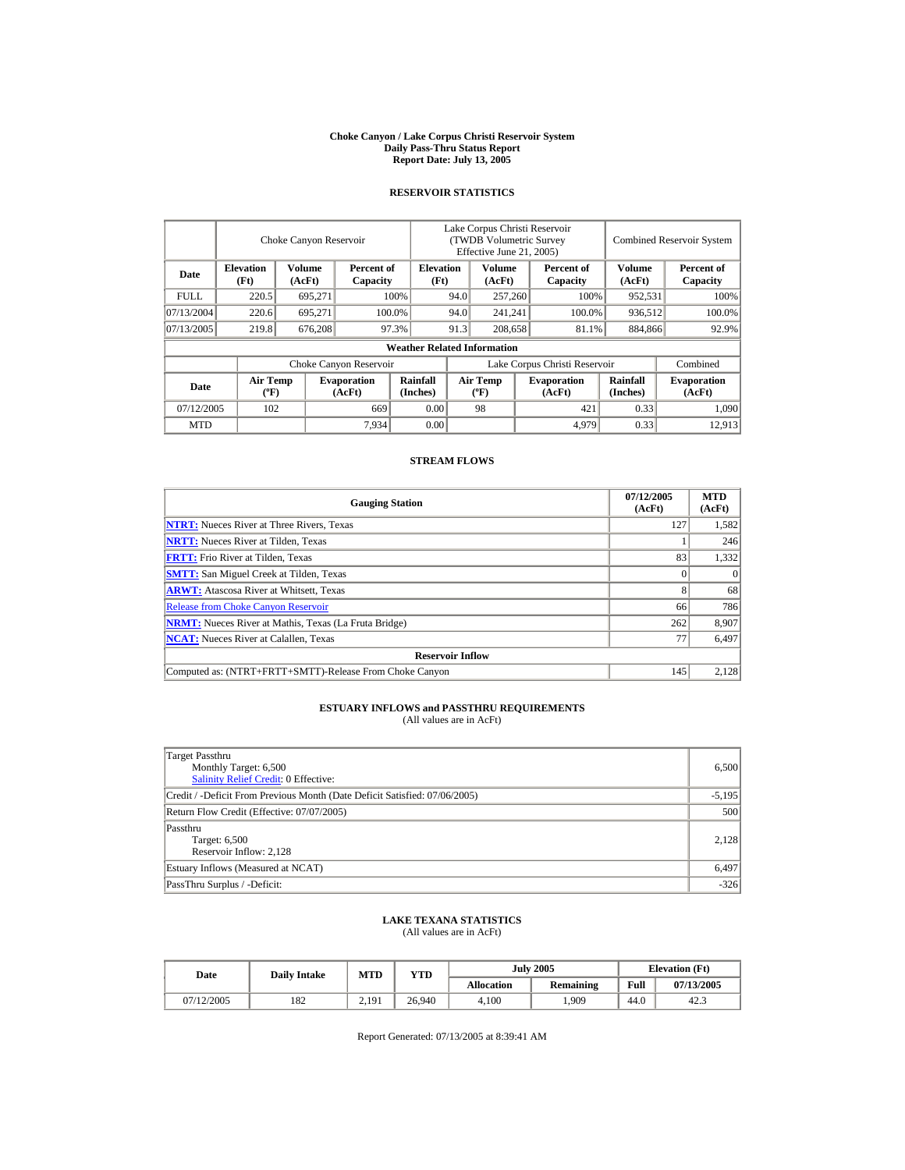#### **Choke Canyon / Lake Corpus Christi Reservoir System Daily Pass-Thru Status Report Report Date: July 13, 2005**

## **RESERVOIR STATISTICS**

|             | Choke Canyon Reservoir                      |                  |                              |                                    | Lake Corpus Christi Reservoir<br>(TWDB Volumetric Survey<br>Effective June 21, 2005) |                                  |  |                              |                      | <b>Combined Reservoir System</b> |  |  |
|-------------|---------------------------------------------|------------------|------------------------------|------------------------------------|--------------------------------------------------------------------------------------|----------------------------------|--|------------------------------|----------------------|----------------------------------|--|--|
| Date        | <b>Elevation</b><br>(Ft)                    | Volume<br>(AcFt) | Percent of<br>Capacity       | <b>Elevation</b><br>(Ft)           |                                                                                      | Volume<br>(AcFt)                 |  | Percent of<br>Capacity       | Volume<br>(AcFt)     | Percent of<br>Capacity           |  |  |
| <b>FULL</b> | 220.5                                       | 695,271          |                              | 100%                               | 94.0                                                                                 | 257,260                          |  | 100%                         | 952,531              | 100%                             |  |  |
| 07/13/2004  | 220.6                                       | 695.271          |                              | 100.0%                             | 94.0                                                                                 | 241,241                          |  | 100.0%                       | 936,512              | 100.0%                           |  |  |
| 07/13/2005  | 219.8                                       | 676,208          |                              | 97.3%                              | 91.3                                                                                 | 208,658                          |  | 81.1%                        | 884,866              | 92.9%                            |  |  |
|             |                                             |                  |                              | <b>Weather Related Information</b> |                                                                                      |                                  |  |                              |                      |                                  |  |  |
|             |                                             |                  | Choke Canyon Reservoir       |                                    | Lake Corpus Christi Reservoir                                                        |                                  |  |                              |                      | Combined                         |  |  |
| Date        | <b>Air Temp</b><br>$({}^{\circ}\mathrm{F})$ |                  | <b>Evaporation</b><br>(AcFt) | Rainfall<br>(Inches)               |                                                                                      | <b>Air Temp</b><br>$(^{\circ}F)$ |  | <b>Evaporation</b><br>(AcFt) | Rainfall<br>(Inches) | <b>Evaporation</b><br>(AcFt)     |  |  |
| 07/12/2005  | 102                                         |                  | 669                          | 0.00                               |                                                                                      | 98                               |  | 421                          | 0.33                 | 1,090                            |  |  |
| <b>MTD</b>  |                                             |                  | 7,934                        | 0.00                               |                                                                                      |                                  |  | 4,979                        | 0.33                 | 12.913                           |  |  |

## **STREAM FLOWS**

| <b>Gauging Station</b>                                       | 07/12/2005<br>(AcFt) | <b>MTD</b><br>(AcFt) |
|--------------------------------------------------------------|----------------------|----------------------|
| <b>NTRT:</b> Nueces River at Three Rivers, Texas             | 127                  | 1,582                |
| <b>NRTT:</b> Nueces River at Tilden, Texas                   |                      | 246                  |
| <b>FRTT:</b> Frio River at Tilden, Texas                     | 83                   | 1,332                |
| <b>SMTT:</b> San Miguel Creek at Tilden, Texas               |                      | $\Omega$             |
| <b>ARWT:</b> Atascosa River at Whitsett, Texas               |                      | 68                   |
| <b>Release from Choke Canyon Reservoir</b>                   | 66                   | 786                  |
| <b>NRMT:</b> Nueces River at Mathis, Texas (La Fruta Bridge) | 262                  | 8,907                |
| <b>NCAT:</b> Nueces River at Calallen, Texas                 | 77                   | 6,497                |
| <b>Reservoir Inflow</b>                                      |                      |                      |
| Computed as: (NTRT+FRTT+SMTT)-Release From Choke Canyon      | 145                  | 2.128                |

# **ESTUARY INFLOWS and PASSTHRU REQUIREMENTS**<br>(All values are in AcFt)

| Target Passthru<br>Monthly Target: 6,500<br><b>Salinity Relief Credit: 0 Effective:</b> | 6,500    |
|-----------------------------------------------------------------------------------------|----------|
| Credit / -Deficit From Previous Month (Date Deficit Satisfied: 07/06/2005)              | $-5,195$ |
| Return Flow Credit (Effective: 07/07/2005)                                              | 500      |
| Passthru<br>Target: 6,500<br>Reservoir Inflow: 2,128                                    | 2,128    |
| Estuary Inflows (Measured at NCAT)                                                      | 6,497    |
| PassThru Surplus / -Deficit:                                                            | $-326$   |

## **LAKE TEXANA STATISTICS**

(All values are in AcFt)

|  | Date       | <b>Daily Intake</b> | MTD               | YTD    |                   | <b>July 2005</b> | <b>Elevation</b> (Ft) |            |
|--|------------|---------------------|-------------------|--------|-------------------|------------------|-----------------------|------------|
|  |            |                     |                   |        | <b>Allocation</b> | <b>Remaining</b> | Full                  | 07/13/2005 |
|  | 07/12/2005 | 182                 | 2.19 <sup>1</sup> | 26.940 | 4.100             | .909             | 44.0                  | 42.3       |

Report Generated: 07/13/2005 at 8:39:41 AM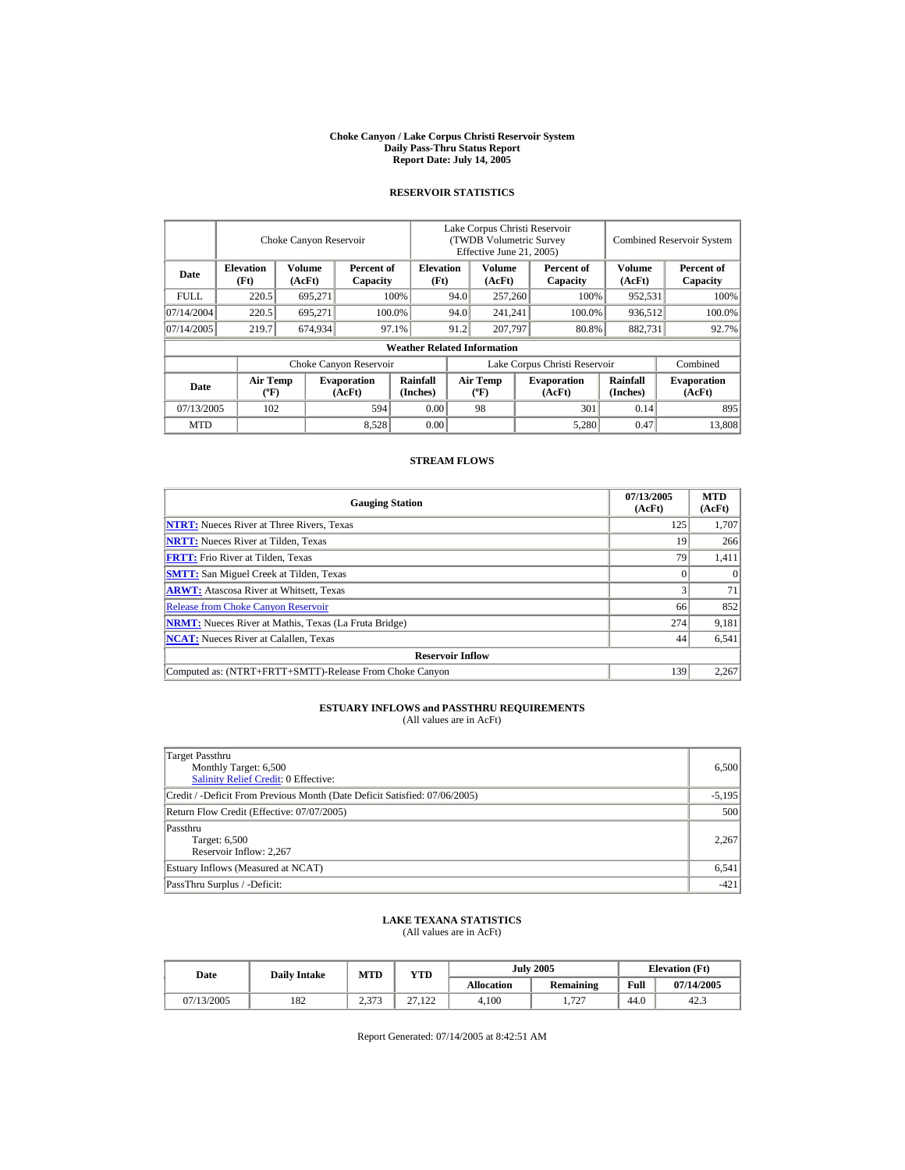#### **Choke Canyon / Lake Corpus Christi Reservoir System Daily Pass-Thru Status Report Report Date: July 14, 2005**

## **RESERVOIR STATISTICS**

|            | Choke Canyon Reservoir                      |                  |                              |                                    | Lake Corpus Christi Reservoir<br>(TWDB Volumetric Survey<br>Effective June 21, 2005) |                                  |  |                              | <b>Combined Reservoir System</b> |                              |  |
|------------|---------------------------------------------|------------------|------------------------------|------------------------------------|--------------------------------------------------------------------------------------|----------------------------------|--|------------------------------|----------------------------------|------------------------------|--|
| Date       | <b>Elevation</b><br>(Ft)                    | Volume<br>(AcFt) | Percent of<br>Capacity       | <b>Elevation</b><br>(Ft)           |                                                                                      | Volume<br>(AcFt)                 |  | Percent of<br>Capacity       | Volume<br>(AcFt)                 | Percent of<br>Capacity       |  |
| FULL.      | 220.5                                       | 695,271          |                              | 100%                               | 94.0                                                                                 | 257,260                          |  | 100%                         | 952,531                          | 100%                         |  |
| 07/14/2004 | 220.5                                       | 695.271          |                              | 100.0%                             | 94.0                                                                                 | 241,241                          |  | 100.0%                       | 936,512                          | 100.0%                       |  |
| 07/14/2005 | 219.7                                       | 674,934          |                              | 97.1%                              | 91.2                                                                                 | 207,797                          |  | 80.8%                        | 882,731                          | 92.7%                        |  |
|            |                                             |                  |                              | <b>Weather Related Information</b> |                                                                                      |                                  |  |                              |                                  |                              |  |
|            |                                             |                  | Choke Canyon Reservoir       |                                    | Lake Corpus Christi Reservoir                                                        |                                  |  |                              |                                  | Combined                     |  |
| Date       | <b>Air Temp</b><br>$({}^{\circ}\mathrm{F})$ |                  | <b>Evaporation</b><br>(AcFt) | Rainfall<br>(Inches)               |                                                                                      | <b>Air Temp</b><br>$(^{\circ}F)$ |  | <b>Evaporation</b><br>(AcFt) | Rainfall<br>(Inches)             | <b>Evaporation</b><br>(AcFt) |  |
| 07/13/2005 | 102                                         |                  | 594                          | 0.00                               |                                                                                      | 98                               |  | 301                          | 0.14                             | 895                          |  |
| <b>MTD</b> |                                             |                  | 8,528                        | 0.00                               |                                                                                      |                                  |  | 5,280                        | 0.47                             | 13,808                       |  |

## **STREAM FLOWS**

| <b>Gauging Station</b>                                       | 07/13/2005<br>(AcFt) | <b>MTD</b><br>(AcFt) |
|--------------------------------------------------------------|----------------------|----------------------|
| <b>NTRT:</b> Nueces River at Three Rivers, Texas             | 125                  | 1,707                |
| <b>NRTT:</b> Nueces River at Tilden, Texas                   | 19                   | 266                  |
| <b>FRTT:</b> Frio River at Tilden, Texas                     | 79                   | 1,411                |
| <b>SMTT:</b> San Miguel Creek at Tilden, Texas               |                      | $\Omega$             |
| <b>ARWT:</b> Atascosa River at Whitsett, Texas               |                      | 71                   |
| <b>Release from Choke Canyon Reservoir</b>                   | 66                   | 852                  |
| <b>NRMT:</b> Nueces River at Mathis, Texas (La Fruta Bridge) | 274                  | 9,181                |
| <b>NCAT:</b> Nueces River at Calallen, Texas                 | 44                   | 6,541                |
| <b>Reservoir Inflow</b>                                      |                      |                      |
| Computed as: (NTRT+FRTT+SMTT)-Release From Choke Canyon      | 139                  | 2,267                |

# **ESTUARY INFLOWS and PASSTHRU REQUIREMENTS**<br>(All values are in AcFt)

| Target Passthru<br>Monthly Target: 6,500<br><b>Salinity Relief Credit: 0 Effective:</b> | 6,500    |
|-----------------------------------------------------------------------------------------|----------|
| Credit / -Deficit From Previous Month (Date Deficit Satisfied: 07/06/2005)              | $-5,195$ |
| Return Flow Credit (Effective: 07/07/2005)                                              | 500      |
| Passthru<br>Target: 6,500<br>Reservoir Inflow: 2,267                                    | 2,267    |
| Estuary Inflows (Measured at NCAT)                                                      | 6,541    |
| PassThru Surplus / -Deficit:                                                            | $-421$   |

## **LAKE TEXANA STATISTICS**

(All values are in AcFt)

| Date       | <b>Daily Intake</b> | <b>MTD</b>  | VTD    |            | <b>July 2005</b> | <b>Elevation</b> (Ft) |            |
|------------|---------------------|-------------|--------|------------|------------------|-----------------------|------------|
|            |                     |             |        | Allocation | <b>Remaining</b> | Full                  | 07/14/2005 |
| 07/13/2005 | 182                 | 272<br>ل ال | 27.122 | 4.100      | 727<br>1.721     | 44.0                  | 42.3       |

Report Generated: 07/14/2005 at 8:42:51 AM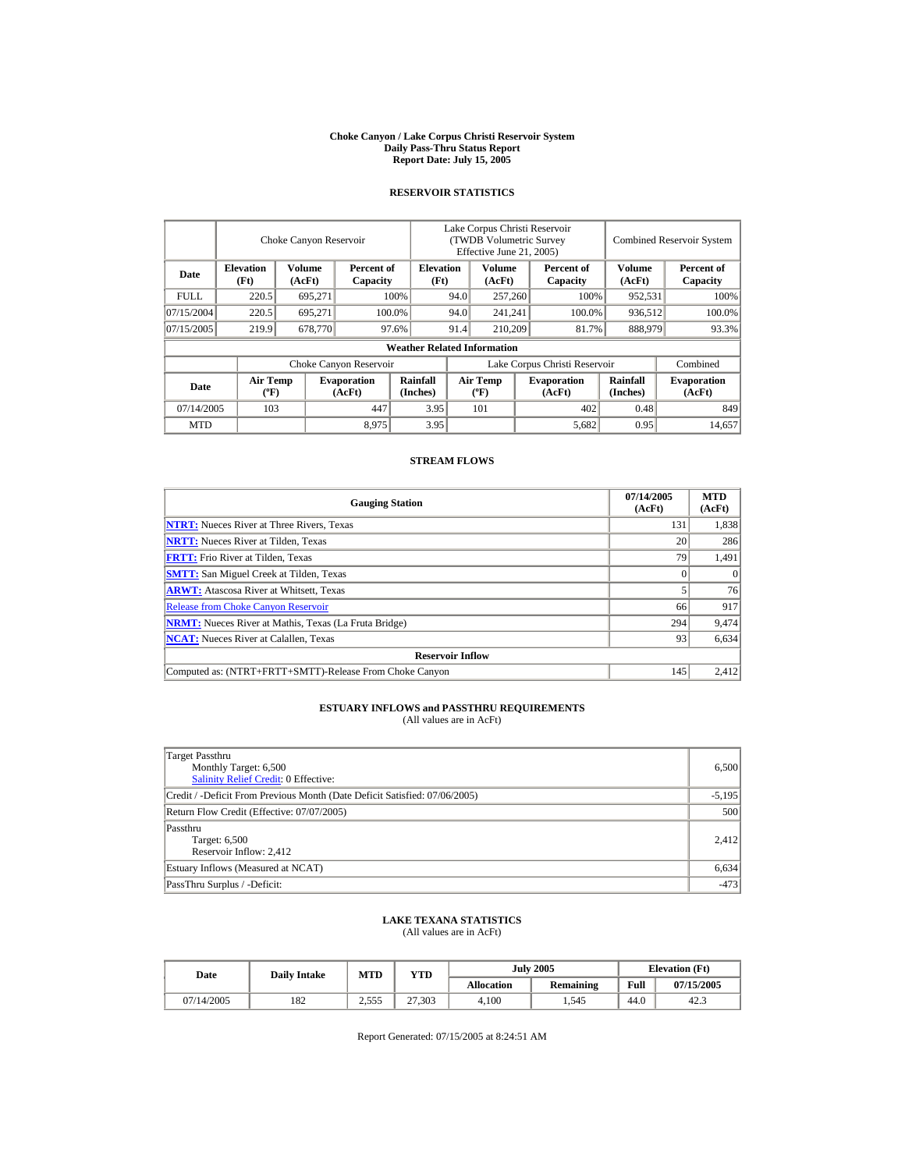#### **Choke Canyon / Lake Corpus Christi Reservoir System Daily Pass-Thru Status Report Report Date: July 15, 2005**

## **RESERVOIR STATISTICS**

|             |                                             | Choke Canyon Reservoir |                              |                                    | Lake Corpus Christi Reservoir<br>(TWDB Volumetric Survey<br>Effective June 21, 2005) |                                  |  |                              | <b>Combined Reservoir System</b> |                              |
|-------------|---------------------------------------------|------------------------|------------------------------|------------------------------------|--------------------------------------------------------------------------------------|----------------------------------|--|------------------------------|----------------------------------|------------------------------|
| Date        | <b>Elevation</b><br>(Ft)                    | Volume<br>(AcFt)       | Percent of<br>Capacity       | <b>Elevation</b><br>(Ft)           |                                                                                      | Volume<br>(AcFt)                 |  | Percent of<br>Capacity       | Volume<br>(AcFt)                 | Percent of<br>Capacity       |
| <b>FULL</b> | 220.5                                       | 695,271                |                              | 100%                               | 94.0                                                                                 | 257,260                          |  | 100%                         | 952,531                          | 100%                         |
| 07/15/2004  | 220.5                                       | 695.271                |                              | 100.0%                             | 94.0                                                                                 | 241,241                          |  | 100.0%                       | 936,512                          | 100.0%                       |
| 07/15/2005  | 219.9                                       | 678,770                |                              | 97.6%                              | 91.4<br>210,209                                                                      |                                  |  | 81.7%                        | 888,979                          | 93.3%                        |
|             |                                             |                        |                              | <b>Weather Related Information</b> |                                                                                      |                                  |  |                              |                                  |                              |
|             |                                             |                        | Choke Canyon Reservoir       |                                    | Lake Corpus Christi Reservoir                                                        |                                  |  |                              |                                  | Combined                     |
| Date        | <b>Air Temp</b><br>$({}^{\circ}\mathrm{F})$ |                        | <b>Evaporation</b><br>(AcFt) | Rainfall<br>(Inches)               |                                                                                      | <b>Air Temp</b><br>$(^{\circ}F)$ |  | <b>Evaporation</b><br>(AcFt) | Rainfall<br>(Inches)             | <b>Evaporation</b><br>(AcFt) |
| 07/14/2005  | 103                                         |                        | 447                          | 3.95                               |                                                                                      | 101                              |  | 402                          | 0.48                             | 849                          |
| <b>MTD</b>  |                                             |                        | 8,975                        | 3.95                               |                                                                                      |                                  |  | 5,682                        | 0.95                             | 14.657                       |

## **STREAM FLOWS**

| <b>Gauging Station</b>                                       | 07/14/2005<br>(AcFt) | <b>MTD</b><br>(AcFt) |
|--------------------------------------------------------------|----------------------|----------------------|
| <b>NTRT:</b> Nueces River at Three Rivers, Texas             | 131                  | 1,838                |
| <b>NRTT:</b> Nueces River at Tilden, Texas                   | 20                   | 286                  |
| <b>FRTT:</b> Frio River at Tilden, Texas                     | 79                   | 1,491                |
| <b>SMTT:</b> San Miguel Creek at Tilden, Texas               |                      | $\Omega$             |
| <b>ARWT:</b> Atascosa River at Whitsett, Texas               |                      | 76                   |
| <b>Release from Choke Canyon Reservoir</b>                   | 66                   | 917                  |
| <b>NRMT:</b> Nueces River at Mathis, Texas (La Fruta Bridge) | 294                  | 9,474                |
| <b>NCAT:</b> Nueces River at Calallen. Texas                 | 93                   | 6,634                |
| <b>Reservoir Inflow</b>                                      |                      |                      |
| Computed as: (NTRT+FRTT+SMTT)-Release From Choke Canyon      | 145                  | 2.412                |

# **ESTUARY INFLOWS and PASSTHRU REQUIREMENTS**<br>(All values are in AcFt)

| Target Passthru<br>Monthly Target: 6,500<br><b>Salinity Relief Credit: 0 Effective:</b> | 6,500    |
|-----------------------------------------------------------------------------------------|----------|
| Credit / -Deficit From Previous Month (Date Deficit Satisfied: 07/06/2005)              | $-5,195$ |
| Return Flow Credit (Effective: 07/07/2005)                                              | 500      |
| Passthru<br>Target: 6,500<br>Reservoir Inflow: 2,412                                    | 2.412    |
| Estuary Inflows (Measured at NCAT)                                                      | 6,634    |
| PassThru Surplus / -Deficit:                                                            | $-473$   |

## **LAKE TEXANA STATISTICS**

(All values are in AcFt)

| Date       | <b>Daily Intake</b> | <b>MTD</b>       | <b>VTD</b> |            | <b>July 2005</b> | <b>Elevation</b> (Ft) |            |
|------------|---------------------|------------------|------------|------------|------------------|-----------------------|------------|
|            |                     |                  |            | Allocation | <b>Remaining</b> | Full                  | 07/15/2005 |
| 07/14/2005 | 182                 | 255<br>ے کہ کہ ک | 27,303     | 4.100      | . .545           | 44.0                  | 42.3       |

Report Generated: 07/15/2005 at 8:24:51 AM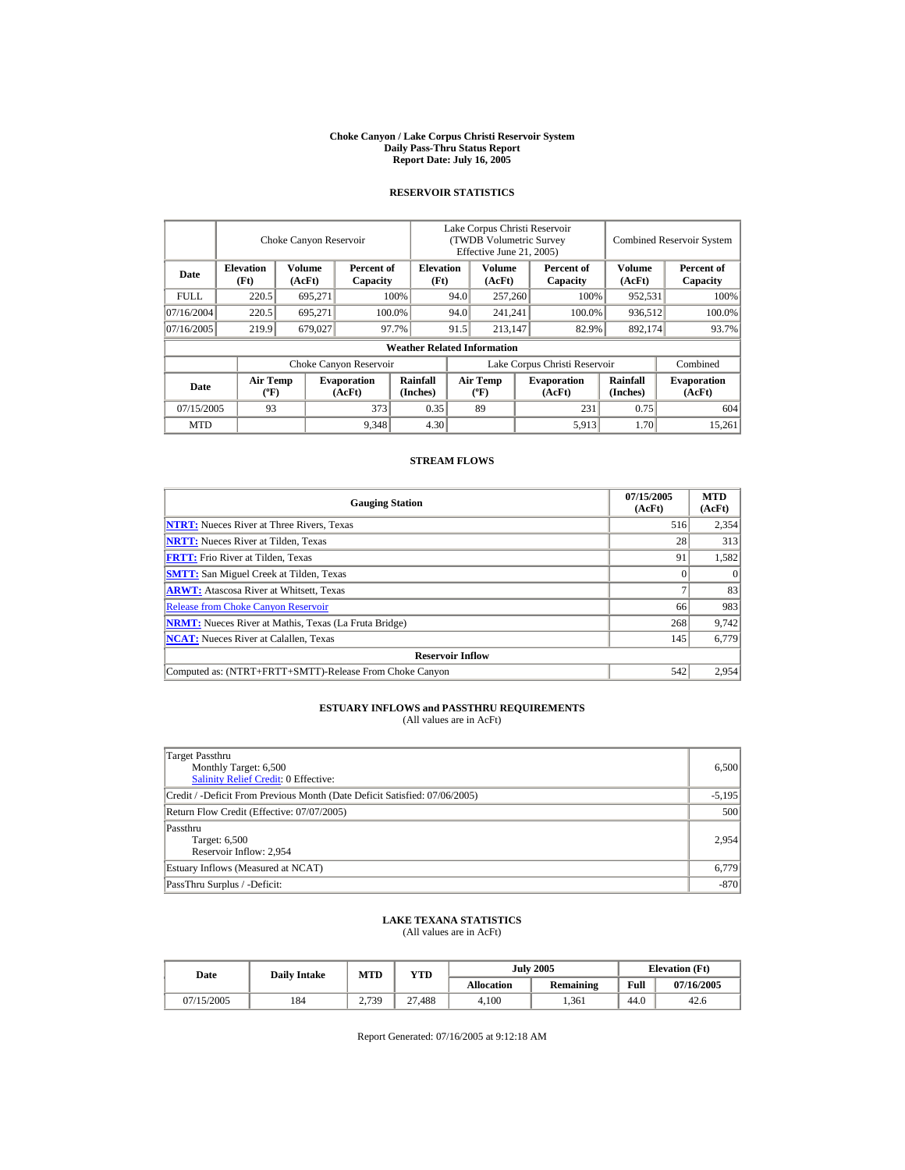#### **Choke Canyon / Lake Corpus Christi Reservoir System Daily Pass-Thru Status Report Report Date: July 16, 2005**

## **RESERVOIR STATISTICS**

|                                               | Choke Canyon Reservoir   |                  |                              |                                    | Lake Corpus Christi Reservoir<br>(TWDB Volumetric Survey<br>Effective June 21, 2005) |                                          |     |                              |                             | <b>Combined Reservoir System</b> |  |
|-----------------------------------------------|--------------------------|------------------|------------------------------|------------------------------------|--------------------------------------------------------------------------------------|------------------------------------------|-----|------------------------------|-----------------------------|----------------------------------|--|
| Date                                          | <b>Elevation</b><br>(Ft) | Volume<br>(AcFt) | Percent of<br>Capacity       | <b>Elevation</b><br>(Ft)           |                                                                                      | Volume<br>(AcFt)                         |     | Percent of<br>Capacity       | Volume<br>(AcFt)            | Percent of<br>Capacity           |  |
| <b>FULL</b>                                   | 220.5                    | 695,271          |                              | 100%                               | 94.0                                                                                 | 257,260                                  |     | 100%                         | 952,531                     | 100%                             |  |
| 07/16/2004                                    | 220.5                    | 695.271          |                              | 100.0%                             | 94.0                                                                                 | 241,241                                  |     | 100.0%                       | 936,512                     | 100.0%                           |  |
| 07/16/2005                                    | 219.9                    | 679,027          |                              | 97.7%                              | 91.5                                                                                 | 213.147                                  |     | 82.9%                        | 892,174                     | 93.7%                            |  |
|                                               |                          |                  |                              | <b>Weather Related Information</b> |                                                                                      |                                          |     |                              |                             |                                  |  |
|                                               |                          |                  | Choke Canyon Reservoir       |                                    | Lake Corpus Christi Reservoir                                                        |                                          |     |                              |                             | Combined                         |  |
| <b>Air Temp</b><br>Date<br>$({}^o\mathrm{F})$ |                          |                  | <b>Evaporation</b><br>(AcFt) | <b>Rainfall</b><br>(Inches)        |                                                                                      | <b>Air Temp</b><br>$({}^{\circ}{\rm F})$ |     | <b>Evaporation</b><br>(AcFt) | <b>Rainfall</b><br>(Inches) | <b>Evaporation</b><br>(AcFt)     |  |
| 07/15/2005                                    | 373<br>93                |                  | 0.35                         |                                    | 89                                                                                   |                                          | 231 | 0.75                         | 604                         |                                  |  |
| <b>MTD</b>                                    |                          |                  | 9,348                        | 4.30                               |                                                                                      |                                          |     | 5,913                        | 1.70                        | 15.261                           |  |

## **STREAM FLOWS**

| <b>Gauging Station</b>                                       | 07/15/2005<br>(AcFt) | <b>MTD</b><br>(AcFt) |
|--------------------------------------------------------------|----------------------|----------------------|
| <b>NTRT:</b> Nueces River at Three Rivers, Texas             | 516                  | 2,354                |
| <b>NRTT:</b> Nueces River at Tilden, Texas                   | 28                   | 313                  |
| <b>FRTT:</b> Frio River at Tilden, Texas                     | 91                   | 1,582                |
| <b>SMTT:</b> San Miguel Creek at Tilden, Texas               |                      | $\Omega$             |
| <b>ARWT:</b> Atascosa River at Whitsett, Texas               |                      | 83                   |
| <b>Release from Choke Canyon Reservoir</b>                   | 66                   | 983                  |
| <b>NRMT:</b> Nueces River at Mathis, Texas (La Fruta Bridge) | 268                  | 9,742                |
| <b>NCAT:</b> Nueces River at Calallen. Texas                 | 145                  | 6,779                |
| <b>Reservoir Inflow</b>                                      |                      |                      |
| Computed as: (NTRT+FRTT+SMTT)-Release From Choke Canyon      | 542                  | 2.954                |

# **ESTUARY INFLOWS and PASSTHRU REQUIREMENTS**<br>(All values are in AcFt)

| Target Passthru<br>Monthly Target: 6,500<br><b>Salinity Relief Credit: 0 Effective:</b> | 6,500    |
|-----------------------------------------------------------------------------------------|----------|
| Credit / -Deficit From Previous Month (Date Deficit Satisfied: 07/06/2005)              | $-5,195$ |
| Return Flow Credit (Effective: 07/07/2005)                                              | 500      |
| Passthru<br>Target: 6,500<br>Reservoir Inflow: 2,954                                    | 2,954    |
| Estuary Inflows (Measured at NCAT)                                                      | 6,779    |
| PassThru Surplus / -Deficit:                                                            | $-870$   |

## **LAKE TEXANA STATISTICS**

(All values are in AcFt)

| Date       | <b>Daily Intake</b> | MTD   | YTD    |                   | <b>July 2005</b> | <b>Elevation</b> (Ft) |            |
|------------|---------------------|-------|--------|-------------------|------------------|-----------------------|------------|
|            |                     |       |        | <b>Allocation</b> | <b>Remaining</b> | Full                  | 07/16/2005 |
| 07/15/2005 | 184                 | 2.739 | 27.488 | 4.100             | . 361            | 44.0                  | 42.6       |

Report Generated: 07/16/2005 at 9:12:18 AM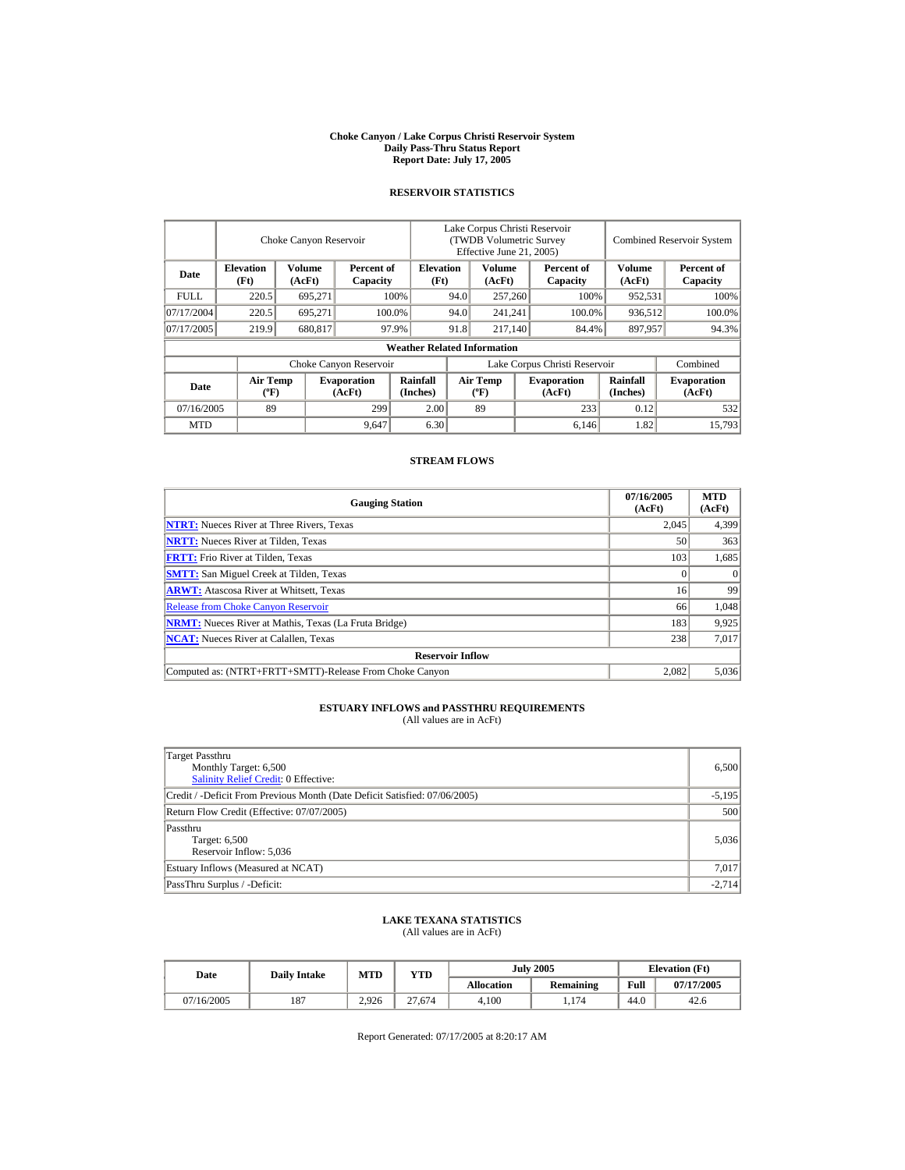#### **Choke Canyon / Lake Corpus Christi Reservoir System Daily Pass-Thru Status Report Report Date: July 17, 2005**

## **RESERVOIR STATISTICS**

|             | Choke Canyon Reservoir                      |                  |                              |                                                                                          | Lake Corpus Christi Reservoir<br>(TWDB Volumetric Survey<br>Effective June 21, 2005) |                  |                             |                              | <b>Combined Reservoir System</b> |                        |  |
|-------------|---------------------------------------------|------------------|------------------------------|------------------------------------------------------------------------------------------|--------------------------------------------------------------------------------------|------------------|-----------------------------|------------------------------|----------------------------------|------------------------|--|
| Date        | <b>Elevation</b><br>(Ft)                    | Volume<br>(AcFt) | Percent of<br>Capacity       | <b>Elevation</b><br>(Ft)                                                                 |                                                                                      | Volume<br>(AcFt) |                             | Percent of<br>Capacity       | Volume<br>(AcFt)                 | Percent of<br>Capacity |  |
| <b>FULL</b> | 220.5                                       | 695,271          |                              | 100%                                                                                     | 94.0                                                                                 | 257,260          |                             | 100%                         | 952,531                          | 100%                   |  |
| 07/17/2004  | 220.5                                       | 695.271          |                              | 100.0%                                                                                   | 94.0                                                                                 | 241,241          |                             | 100.0%                       | 936,512                          | 100.0%                 |  |
| 07/17/2005  | 219.9                                       | 680,817          |                              | 97.9%                                                                                    | 91.8                                                                                 | 217.140          |                             | 84.4%                        | 897,957                          | 94.3%                  |  |
|             |                                             |                  |                              | <b>Weather Related Information</b>                                                       |                                                                                      |                  |                             |                              |                                  |                        |  |
|             |                                             |                  | Choke Canyon Reservoir       |                                                                                          | Lake Corpus Christi Reservoir                                                        |                  |                             |                              |                                  | Combined               |  |
| Date        | <b>Air Temp</b><br>$({}^{\circ}\mathrm{F})$ |                  | <b>Evaporation</b><br>(AcFt) | Rainfall<br><b>Air Temp</b><br><b>Evaporation</b><br>(Inches)<br>$(^{\circ}F)$<br>(AcFt) |                                                                                      |                  | <b>Rainfall</b><br>(Inches) | <b>Evaporation</b><br>(AcFt) |                                  |                        |  |
| 07/16/2005  | 89<br>299                                   |                  | 2.00                         |                                                                                          | 89                                                                                   |                  | 233                         | 0.12                         | 532                              |                        |  |
| <b>MTD</b>  |                                             |                  | 9,647                        | 6.30                                                                                     |                                                                                      |                  |                             | 6,146                        | 1.82                             | 15.793                 |  |

## **STREAM FLOWS**

| <b>Gauging Station</b>                                       | 07/16/2005<br>(AcFt) | <b>MTD</b><br>(AcFt) |
|--------------------------------------------------------------|----------------------|----------------------|
| <b>NTRT:</b> Nueces River at Three Rivers, Texas             | 2.045                | 4,399                |
| <b>NRTT:</b> Nueces River at Tilden, Texas                   | 50                   | 363                  |
| <b>FRTT:</b> Frio River at Tilden, Texas                     | 103                  | 1,685                |
| <b>SMTT:</b> San Miguel Creek at Tilden, Texas               |                      | $\Omega$             |
| <b>ARWT:</b> Atascosa River at Whitsett, Texas               | 16                   | 99                   |
| <b>Release from Choke Canyon Reservoir</b>                   | 66                   | 1,048                |
| <b>NRMT:</b> Nueces River at Mathis, Texas (La Fruta Bridge) | 183                  | 9,925                |
| <b>NCAT:</b> Nueces River at Calallen, Texas                 | 238                  | 7,017                |
| <b>Reservoir Inflow</b>                                      |                      |                      |
| Computed as: (NTRT+FRTT+SMTT)-Release From Choke Canyon      | 2.082                | 5,036                |

# **ESTUARY INFLOWS and PASSTHRU REQUIREMENTS**<br>(All values are in AcFt)

| Target Passthru<br>Monthly Target: 6,500<br><b>Salinity Relief Credit: 0 Effective:</b> | 6,500    |
|-----------------------------------------------------------------------------------------|----------|
| Credit / -Deficit From Previous Month (Date Deficit Satisfied: 07/06/2005)              | $-5,195$ |
| Return Flow Credit (Effective: 07/07/2005)                                              | 500      |
| Passthru<br>Target: 6,500<br>Reservoir Inflow: 5,036                                    | 5,036    |
| Estuary Inflows (Measured at NCAT)                                                      | 7,017    |
| PassThru Surplus / -Deficit:                                                            | $-2.714$ |

## **LAKE TEXANA STATISTICS**

(All values are in AcFt)

| Date       | <b>Daily Intake</b> | MTD   | YTD    |                   | <b>July 2005</b> | <b>Elevation</b> (Ft) |            |
|------------|---------------------|-------|--------|-------------------|------------------|-----------------------|------------|
|            |                     |       |        | <b>Allocation</b> | <b>Remaining</b> | Full                  | 07/17/2005 |
| 07/16/2005 | 187                 | 2.926 | 27.674 | 4.100             | 1.174            | 44.0                  | 42.6       |

Report Generated: 07/17/2005 at 8:20:17 AM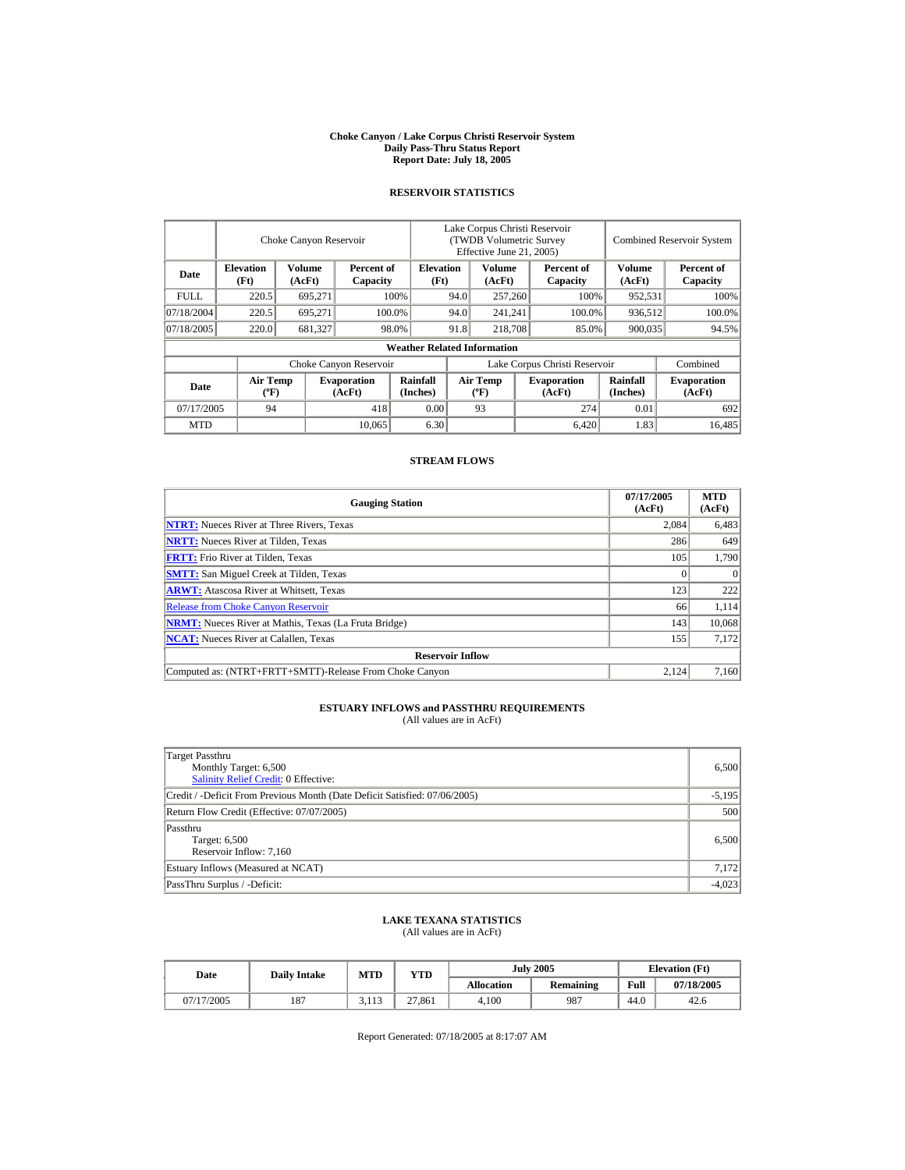#### **Choke Canyon / Lake Corpus Christi Reservoir System Daily Pass-Thru Status Report Report Date: July 18, 2005**

## **RESERVOIR STATISTICS**

|                                                     | Choke Canyon Reservoir   |                  |                              |                                    | Lake Corpus Christi Reservoir<br>(TWDB Volumetric Survey<br>Effective June 21, 2005) |                                  |  |                              |                      | <b>Combined Reservoir System</b> |  |
|-----------------------------------------------------|--------------------------|------------------|------------------------------|------------------------------------|--------------------------------------------------------------------------------------|----------------------------------|--|------------------------------|----------------------|----------------------------------|--|
| Date                                                | <b>Elevation</b><br>(Ft) | Volume<br>(AcFt) | Percent of<br>Capacity       | <b>Elevation</b><br>(Ft)           |                                                                                      | Volume<br>(AcFt)                 |  | Percent of<br>Capacity       | Volume<br>(AcFt)     | Percent of<br>Capacity           |  |
| FULL.                                               | 220.5                    | 695,271          |                              | 100%                               | 94.0                                                                                 | 257,260                          |  | 100%                         | 952,531              | 100%                             |  |
| 07/18/2004                                          | 220.5                    | 695.271          |                              | 100.0%                             | 94.0                                                                                 | 241,241                          |  | 100.0%                       | 936,512              | 100.0%                           |  |
| 07/18/2005                                          | 220.0                    | 681,327          |                              | 98.0%                              | 91.8                                                                                 | 218,708                          |  | 85.0%                        | 900,035              | 94.5%                            |  |
|                                                     |                          |                  |                              | <b>Weather Related Information</b> |                                                                                      |                                  |  |                              |                      |                                  |  |
|                                                     |                          |                  | Choke Canyon Reservoir       |                                    | Lake Corpus Christi Reservoir                                                        |                                  |  |                              |                      | Combined                         |  |
| <b>Air Temp</b><br>Date<br>$({}^{\circ}\mathrm{F})$ |                          |                  | <b>Evaporation</b><br>(AcFt) | Rainfall<br>(Inches)               |                                                                                      | <b>Air Temp</b><br>$(^{\circ}F)$ |  | <b>Evaporation</b><br>(AcFt) | Rainfall<br>(Inches) | <b>Evaporation</b><br>(AcFt)     |  |
| 07/17/2005                                          |                          | 418<br>94        |                              | 0.00                               |                                                                                      | 93                               |  | 274                          | 0.01                 | 692                              |  |
| <b>MTD</b>                                          |                          |                  | 10.065                       | 6.30                               |                                                                                      |                                  |  | 6.420                        | 1.83                 | 16.485                           |  |

## **STREAM FLOWS**

| <b>Gauging Station</b>                                       | 07/17/2005<br>(AcFt) | <b>MTD</b><br>(AcFt) |
|--------------------------------------------------------------|----------------------|----------------------|
| <b>NTRT:</b> Nueces River at Three Rivers, Texas             | 2.084                | 6,483                |
| <b>NRTT:</b> Nueces River at Tilden, Texas                   | 286                  | 649                  |
| <b>FRTT:</b> Frio River at Tilden, Texas                     | 105                  | 1,790                |
| <b>SMTT:</b> San Miguel Creek at Tilden, Texas               |                      | $\Omega$             |
| <b>ARWT:</b> Atascosa River at Whitsett, Texas               | 123                  | 222                  |
| <b>Release from Choke Canyon Reservoir</b>                   | 66                   | 1.114                |
| <b>NRMT:</b> Nueces River at Mathis, Texas (La Fruta Bridge) | 143                  | 10,068               |
| <b>NCAT:</b> Nueces River at Calallen, Texas                 | 155                  | 7,172                |
| <b>Reservoir Inflow</b>                                      |                      |                      |
| Computed as: (NTRT+FRTT+SMTT)-Release From Choke Canyon      | 2.124                | 7,160                |

# **ESTUARY INFLOWS and PASSTHRU REQUIREMENTS**<br>(All values are in AcFt)

| Target Passthru<br>Monthly Target: 6,500<br><b>Salinity Relief Credit: 0 Effective:</b> | 6,500    |
|-----------------------------------------------------------------------------------------|----------|
| Credit / -Deficit From Previous Month (Date Deficit Satisfied: 07/06/2005)              | $-5,195$ |
| Return Flow Credit (Effective: 07/07/2005)                                              | 500      |
| Passthru<br>Target: 6,500<br>Reservoir Inflow: 7,160                                    | 6,500    |
| Estuary Inflows (Measured at NCAT)                                                      | 7,172    |
| PassThru Surplus / -Deficit:                                                            | $-4,023$ |

## **LAKE TEXANA STATISTICS**

(All values are in AcFt)

| Date       | <b>Daily Intake</b> | MTD   | YTD    |                   | <b>July 2005</b> | <b>Elevation</b> (Ft) |            |
|------------|---------------------|-------|--------|-------------------|------------------|-----------------------|------------|
|            |                     |       |        | <b>Allocation</b> | <b>Remaining</b> | Full                  | 07/18/2005 |
| 07/17/2005 | 187                 | 3.113 | 27,861 | 4.100             | 987              | 44.0                  | 42.6       |

Report Generated: 07/18/2005 at 8:17:07 AM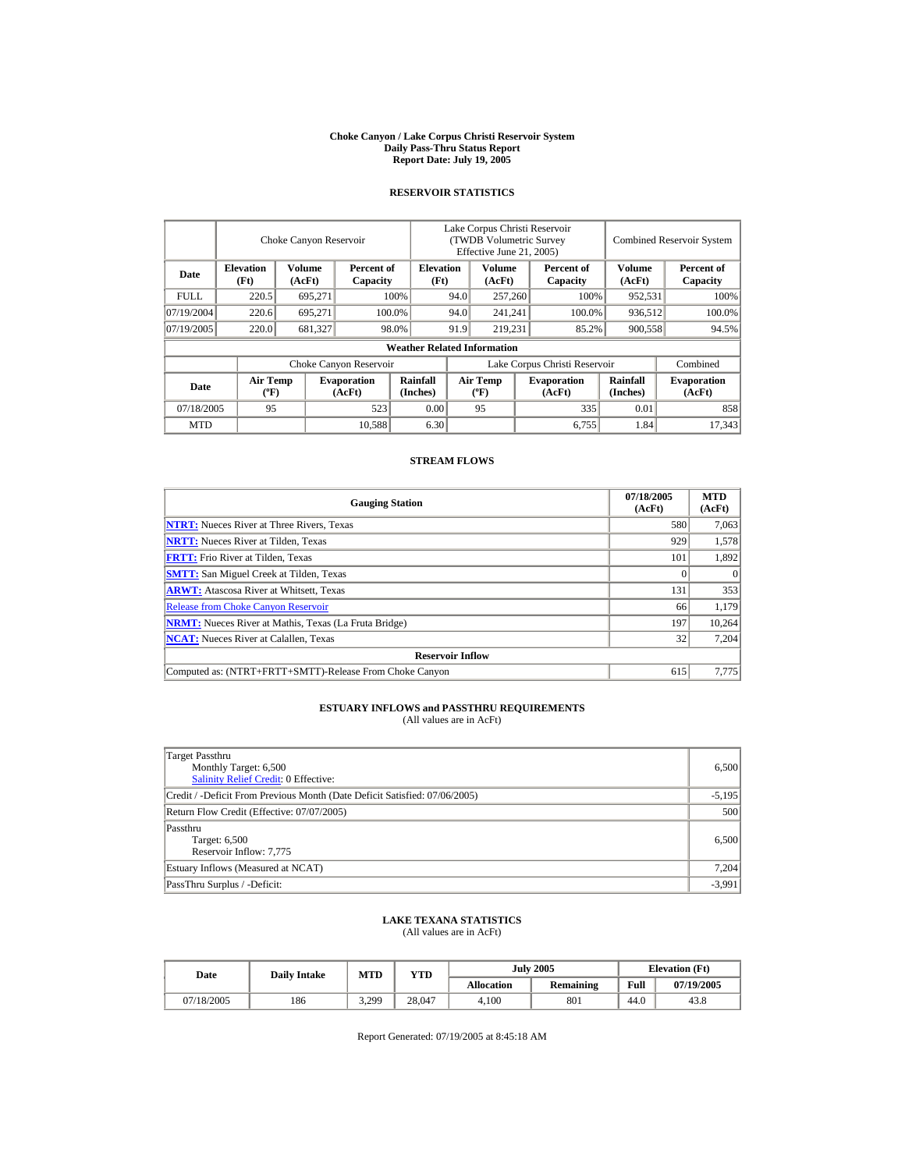#### **Choke Canyon / Lake Corpus Christi Reservoir System Daily Pass-Thru Status Report Report Date: July 19, 2005**

## **RESERVOIR STATISTICS**

|             | Choke Canyon Reservoir                                                 |         |                              |                                    | Lake Corpus Christi Reservoir<br>(TWDB Volumetric Survey<br>Effective June 21, 2005) |                                  |                        |                              |                             | <b>Combined Reservoir System</b> |  |
|-------------|------------------------------------------------------------------------|---------|------------------------------|------------------------------------|--------------------------------------------------------------------------------------|----------------------------------|------------------------|------------------------------|-----------------------------|----------------------------------|--|
| Date        | <b>Elevation</b><br>Volume<br>Percent of<br>(Ft)<br>(AcFt)<br>Capacity |         | <b>Elevation</b><br>(Ft)     |                                    | Volume<br>(AcFt)                                                                     |                                  | Percent of<br>Capacity | Volume<br>(AcFt)             | Percent of<br>Capacity      |                                  |  |
| <b>FULL</b> | 220.5                                                                  | 695,271 |                              | 100%                               | 94.0                                                                                 | 257,260                          |                        | 100%                         | 952,531                     | 100%                             |  |
| 07/19/2004  | 220.6                                                                  | 695,271 |                              | 100.0%                             | 94.0                                                                                 | 241,241                          |                        | 100.0%                       | 936,512                     | 100.0%                           |  |
| 07/19/2005  | 220.0                                                                  | 681,327 |                              | 98.0%                              | 91.9                                                                                 | 219.231                          |                        | 85.2%                        | 900,558                     | 94.5%                            |  |
|             |                                                                        |         |                              | <b>Weather Related Information</b> |                                                                                      |                                  |                        |                              |                             |                                  |  |
|             |                                                                        |         | Choke Canyon Reservoir       |                                    | Lake Corpus Christi Reservoir                                                        |                                  |                        |                              | Combined                    |                                  |  |
| Date        | <b>Air Temp</b><br>$({}^{\circ}\mathrm{F})$                            |         | <b>Evaporation</b><br>(AcFt) | Rainfall<br>(Inches)               |                                                                                      | <b>Air Temp</b><br>$(^{\circ}F)$ |                        | <b>Evaporation</b><br>(AcFt) | <b>Rainfall</b><br>(Inches) | <b>Evaporation</b><br>(AcFt)     |  |
| 07/18/2005  | 95                                                                     |         | 523                          | 0.00                               |                                                                                      | 95                               |                        | 335                          | 0.01                        | 858                              |  |
| <b>MTD</b>  |                                                                        |         | 10.588                       | 6.30                               |                                                                                      |                                  |                        | 6,755                        | 1.84                        | 17.343                           |  |

## **STREAM FLOWS**

| <b>Gauging Station</b>                                       | 07/18/2005<br>(AcFt) | <b>MTD</b><br>(AcFt) |
|--------------------------------------------------------------|----------------------|----------------------|
| <b>NTRT:</b> Nueces River at Three Rivers, Texas             | 580                  | 7,063                |
| <b>NRTT:</b> Nueces River at Tilden, Texas                   | 929                  | 1,578                |
| <b>FRTT:</b> Frio River at Tilden, Texas                     | 101                  | 1,892                |
| <b>SMTT:</b> San Miguel Creek at Tilden, Texas               |                      | $\Omega$             |
| <b>ARWT:</b> Atascosa River at Whitsett, Texas               | 131                  | 353                  |
| <b>Release from Choke Canyon Reservoir</b>                   | 66                   | 1,179                |
| <b>NRMT:</b> Nueces River at Mathis, Texas (La Fruta Bridge) | 197                  | 10,264               |
| <b>NCAT:</b> Nueces River at Calallen, Texas                 | 32                   | 7,204                |
| <b>Reservoir Inflow</b>                                      |                      |                      |
| Computed as: (NTRT+FRTT+SMTT)-Release From Choke Canyon      | 615                  | 7,775                |

# **ESTUARY INFLOWS and PASSTHRU REQUIREMENTS**<br>(All values are in AcFt)

| Target Passthru<br>Monthly Target: 6,500<br><b>Salinity Relief Credit: 0 Effective:</b> | 6,500    |
|-----------------------------------------------------------------------------------------|----------|
| Credit / -Deficit From Previous Month (Date Deficit Satisfied: 07/06/2005)              | $-5,195$ |
| Return Flow Credit (Effective: 07/07/2005)                                              | 500      |
| Passthru<br>Target: 6,500<br>Reservoir Inflow: 7,775                                    | 6,500    |
| Estuary Inflows (Measured at NCAT)                                                      | 7,204    |
| PassThru Surplus / -Deficit:                                                            | $-3,991$ |

## **LAKE TEXANA STATISTICS**

(All values are in AcFt)

|  | Date       | <b>Daily Intake</b> | MTD   | YTD    |                   | <b>July 2005</b> | <b>Elevation</b> (Ft) |            |
|--|------------|---------------------|-------|--------|-------------------|------------------|-----------------------|------------|
|  |            |                     |       |        | <b>Allocation</b> | <b>Remaining</b> | Full                  | 07/19/2005 |
|  | 07/18/2005 | 186                 | 3,299 | 28.047 | 4.100             | 801              | 44.0                  | 43.8       |

Report Generated: 07/19/2005 at 8:45:18 AM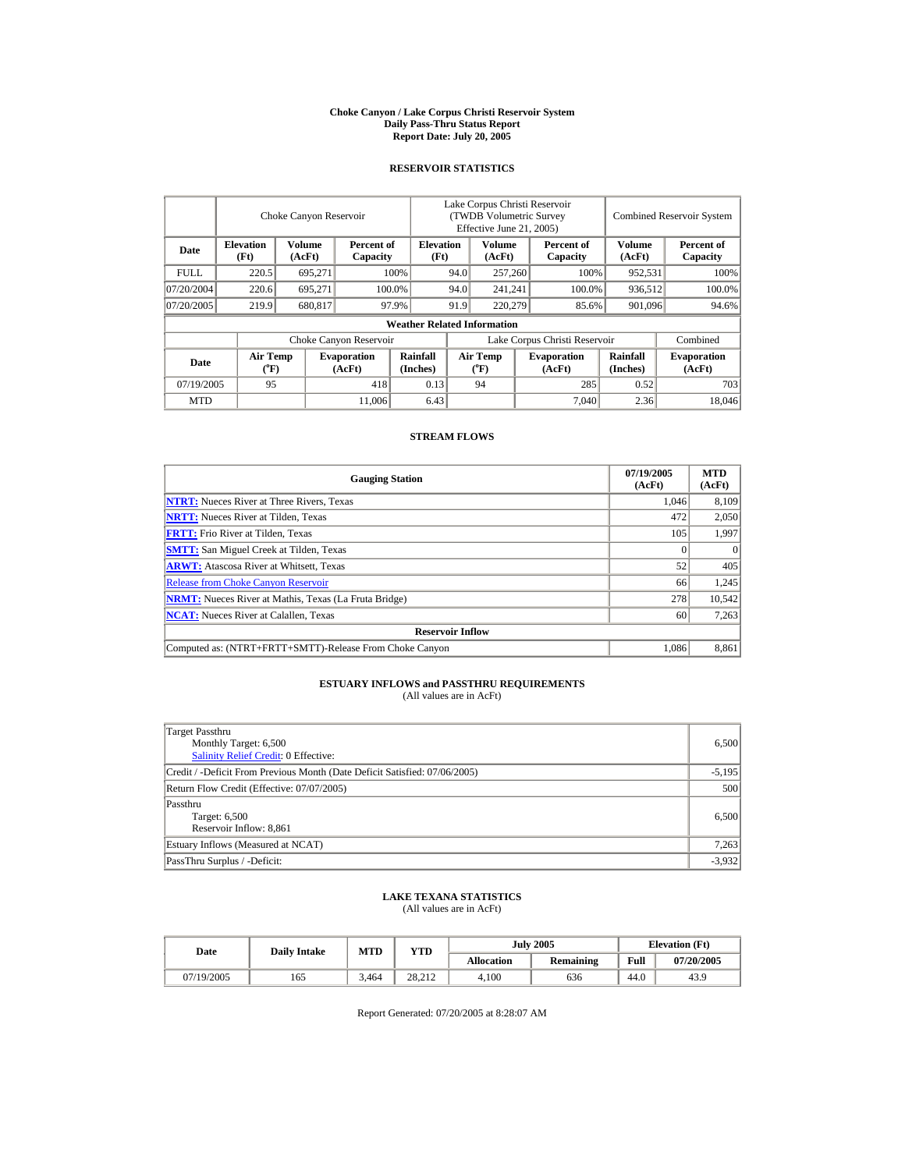#### **Choke Canyon / Lake Corpus Christi Reservoir System Daily Pass-Thru Status Report Report Date: July 20, 2005**

## **RESERVOIR STATISTICS**

|             | Choke Canyon Reservoir   |                         |                              |                                    | Lake Corpus Christi Reservoir<br>(TWDB Volumetric Survey<br>Effective June 21, 2005) |                                |                  |                              |                      | <b>Combined Reservoir System</b> |  |  |
|-------------|--------------------------|-------------------------|------------------------------|------------------------------------|--------------------------------------------------------------------------------------|--------------------------------|------------------|------------------------------|----------------------|----------------------------------|--|--|
| Date        | <b>Elevation</b><br>(Ft) | <b>Volume</b><br>(AcFt) | Percent of<br>Capacity       |                                    | <b>Elevation</b><br>(Ft)                                                             | Volume<br>(AcFt)               |                  | Percent of<br>Capacity       | Volume<br>(AcFt)     | Percent of<br>Capacity           |  |  |
| <b>FULL</b> | 220.5                    | 695.271                 |                              | 100%                               | 94.0                                                                                 | 257,260                        |                  | 100%                         | 952,531              | 100%                             |  |  |
| 07/20/2004  | 220.6                    | 695.271                 |                              | 100.0%                             | 94.0                                                                                 | 241.241                        |                  | 100.0%                       | 936.512              | 100.0%                           |  |  |
| 07/20/2005  | 219.9                    | 680,817                 |                              | 91.9<br>97.9%                      |                                                                                      |                                | 220,279<br>85.6% |                              | 901,096              | 94.6%                            |  |  |
|             |                          |                         |                              | <b>Weather Related Information</b> |                                                                                      |                                |                  |                              |                      |                                  |  |  |
|             |                          |                         | Choke Canyon Reservoir       |                                    | Lake Corpus Christi Reservoir                                                        |                                |                  |                              | Combined             |                                  |  |  |
| Date        | <b>Air Temp</b><br>(°F)  |                         | <b>Evaporation</b><br>(AcFt) | Rainfall<br>(Inches)               |                                                                                      | <b>Air Temp</b><br>$({}^o\!F)$ |                  | <b>Evaporation</b><br>(AcFt) | Rainfall<br>(Inches) | <b>Evaporation</b><br>(AcFt)     |  |  |
| 07/19/2005  | 95                       |                         | 418                          | 0.13                               |                                                                                      | 94                             |                  | 285                          | 0.52                 | 703                              |  |  |
| <b>MTD</b>  |                          |                         | 11,006                       | 6.43                               |                                                                                      |                                |                  | 7.040                        | 2.36                 | 18,046                           |  |  |

### **STREAM FLOWS**

| <b>Gauging Station</b>                                       | 07/19/2005<br>(AcFt) | <b>MTD</b><br>(AcFt) |
|--------------------------------------------------------------|----------------------|----------------------|
| <b>NTRT:</b> Nueces River at Three Rivers, Texas             | 1,046                | 8.109                |
| <b>NRTT:</b> Nueces River at Tilden, Texas                   | 472                  | 2,050                |
| <b>FRTT:</b> Frio River at Tilden, Texas                     | 105                  | 1,997                |
| <b>SMTT:</b> San Miguel Creek at Tilden, Texas               |                      | $\Omega$             |
| <b>ARWT:</b> Atascosa River at Whitsett, Texas               | 52                   | 405                  |
| <b>Release from Choke Canyon Reservoir</b>                   | 66                   | 1.245                |
| <b>NRMT:</b> Nueces River at Mathis, Texas (La Fruta Bridge) | 278                  | 10,542               |
| <b>NCAT:</b> Nueces River at Calallen. Texas                 | 60                   | 7,263                |
| <b>Reservoir Inflow</b>                                      |                      |                      |
| Computed as: (NTRT+FRTT+SMTT)-Release From Choke Canyon      | 1.086                | 8.861                |

## **ESTUARY INFLOWS and PASSTHRU REQUIREMENTS**<br>(All values are in AcFt)

| Target Passthru<br>Monthly Target: 6,500<br>Salinity Relief Credit: 0 Effective: | 6,500    |
|----------------------------------------------------------------------------------|----------|
| Credit / -Deficit From Previous Month (Date Deficit Satisfied: 07/06/2005)       | $-5,195$ |
| Return Flow Credit (Effective: 07/07/2005)                                       | 500      |
| Passthru<br>Target: 6,500<br>Reservoir Inflow: 8,861                             | 6,500    |
| Estuary Inflows (Measured at NCAT)                                               | 7,263    |
| PassThru Surplus / -Deficit:                                                     | $-3,932$ |

## **LAKE TEXANA STATISTICS** (All values are in AcFt)

| Date       | <b>Daily Intake</b> | <b>MTD</b> | <b>YTD</b> |                   | <b>July 2005</b> | <b>Elevation</b> (Ft) |            |
|------------|---------------------|------------|------------|-------------------|------------------|-----------------------|------------|
|            |                     |            |            | <b>Allocation</b> | <b>Remaining</b> | Full                  | 07/20/2005 |
| 07/19/2005 | 165                 | 3.464      | 28.212     | 4.100             | 636              | 44.0                  | 43.9       |

Report Generated: 07/20/2005 at 8:28:07 AM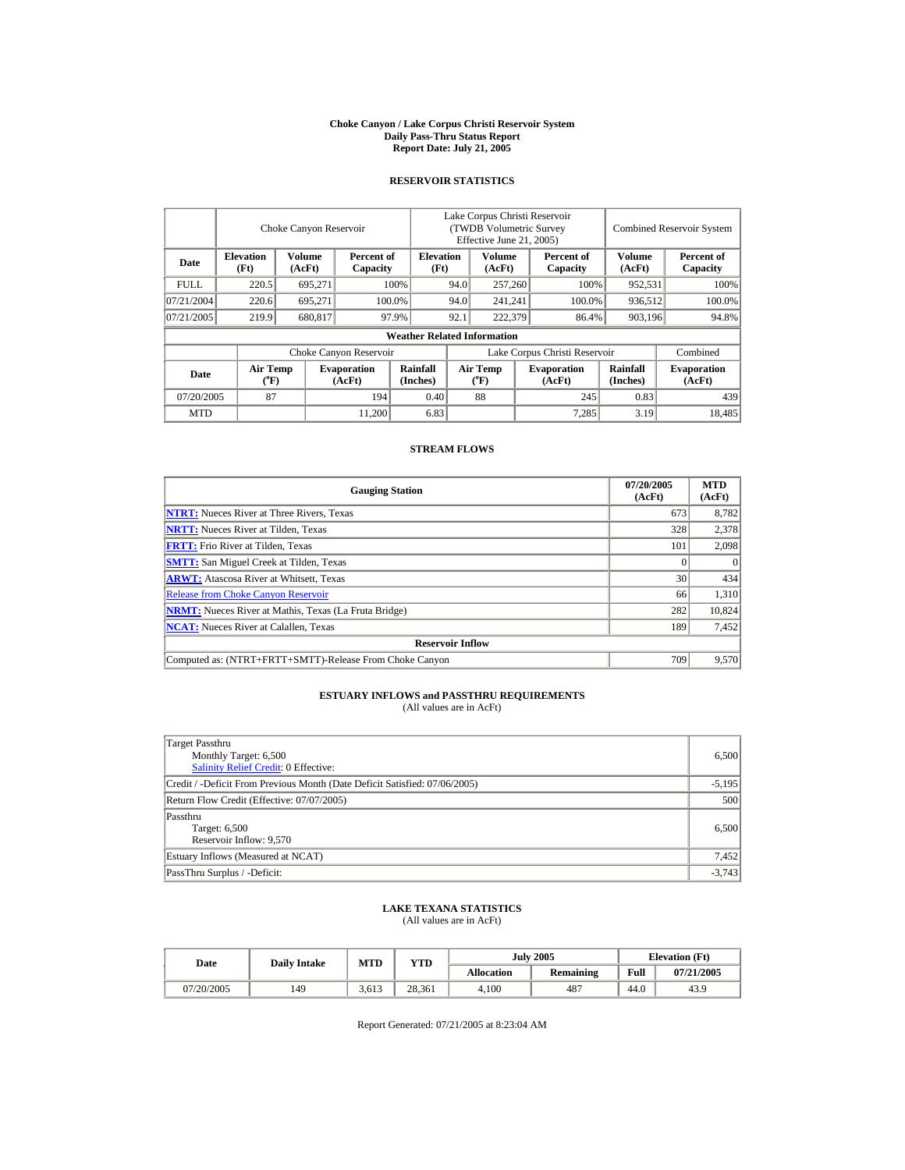#### **Choke Canyon / Lake Corpus Christi Reservoir System Daily Pass-Thru Status Report Report Date: July 21, 2005**

## **RESERVOIR STATISTICS**

|             | Choke Canyon Reservoir         |                         |                              |                                    | Lake Corpus Christi Reservoir<br>(TWDB Volumetric Survey<br>Effective June 21, 2005) |                                    |  |                              |                         | <b>Combined Reservoir System</b> |  |
|-------------|--------------------------------|-------------------------|------------------------------|------------------------------------|--------------------------------------------------------------------------------------|------------------------------------|--|------------------------------|-------------------------|----------------------------------|--|
| Date        | <b>Elevation</b><br>(Ft)       | <b>Volume</b><br>(AcFt) | Percent of<br>Capacity       |                                    | <b>Volume</b><br><b>Elevation</b><br>(AcFt)<br>(Ft)                                  |                                    |  | Percent of<br>Capacity       | <b>Volume</b><br>(AcFt) | Percent of<br>Capacity           |  |
| <b>FULL</b> | 220.5                          | 695.271                 |                              | 100%                               | 94.0                                                                                 | 257,260                            |  | 100%                         | 952,531                 | 100%                             |  |
| 07/21/2004  | 220.6                          | 695.271                 |                              | 100.0%                             | 94.0                                                                                 | 241.241                            |  | 100.0%                       | 936.512                 | 100.0%                           |  |
| 07/21/2005  | 219.9                          | 680,817                 |                              | 97.9%                              | 92.1                                                                                 | 222,379                            |  | 86.4%                        | 903,196                 | 94.8%                            |  |
|             |                                |                         |                              | <b>Weather Related Information</b> |                                                                                      |                                    |  |                              |                         |                                  |  |
|             |                                |                         | Choke Canyon Reservoir       |                                    | Lake Corpus Christi Reservoir                                                        |                                    |  |                              |                         | Combined                         |  |
| Date        | Air Temp<br>$({}^o\mathrm{F})$ |                         | <b>Evaporation</b><br>(AcFt) | Rainfall<br>(Inches)               |                                                                                      | Air Temp<br>$({}^{\circ}\text{F})$ |  | <b>Evaporation</b><br>(AcFt) | Rainfall<br>(Inches)    | <b>Evaporation</b><br>(AcFt)     |  |
| 07/20/2005  | 87                             |                         | 194                          | 0.40                               |                                                                                      | 88                                 |  | 245                          | 0.83                    | 439                              |  |
| <b>MTD</b>  |                                |                         | 11,200                       | 6.83                               |                                                                                      |                                    |  | 7,285                        | 3.19                    | 18,485                           |  |

## **STREAM FLOWS**

| <b>Gauging Station</b>                                       | 07/20/2005<br>(AcFt) | <b>MTD</b><br>(AcFt) |
|--------------------------------------------------------------|----------------------|----------------------|
| <b>NTRT:</b> Nueces River at Three Rivers, Texas             | 673                  | 8,782                |
| <b>NRTT:</b> Nueces River at Tilden, Texas                   | 328                  | 2,378                |
| <b>FRTT:</b> Frio River at Tilden, Texas                     | 101                  | 2,098                |
| <b>SMTT:</b> San Miguel Creek at Tilden, Texas               |                      |                      |
| <b>ARWT:</b> Atascosa River at Whitsett, Texas               | 30                   | 434                  |
| <b>Release from Choke Canyon Reservoir</b>                   | 66                   | 1,310                |
| <b>NRMT:</b> Nueces River at Mathis, Texas (La Fruta Bridge) | 282                  | 10,824               |
| <b>NCAT:</b> Nueces River at Calallen, Texas                 | 189                  | 7,452                |
| <b>Reservoir Inflow</b>                                      |                      |                      |
| Computed as: (NTRT+FRTT+SMTT)-Release From Choke Canyon      | 709                  | 9,570                |

# **ESTUARY INFLOWS and PASSTHRU REQUIREMENTS**<br>(All values are in AcFt)

| Target Passthru<br>Monthly Target: 6,500<br>Salinity Relief Credit: 0 Effective: | 6,500    |
|----------------------------------------------------------------------------------|----------|
| Credit / -Deficit From Previous Month (Date Deficit Satisfied: 07/06/2005)       | $-5,195$ |
| Return Flow Credit (Effective: 07/07/2005)                                       | 500      |
| Passthru<br>Target: 6,500<br>Reservoir Inflow: 9.570                             | 6,500    |
| Estuary Inflows (Measured at NCAT)                                               | 7,452    |
| PassThru Surplus / -Deficit:                                                     | $-3.743$ |

## **LAKE TEXANA STATISTICS** (All values are in AcFt)

| Date       | <b>Daily Intake</b> | <b>MTD</b> | <b>YTD</b> |            | <b>July 2005</b> | <b>Elevation</b> (Ft) |            |
|------------|---------------------|------------|------------|------------|------------------|-----------------------|------------|
|            |                     |            |            | Allocation | Remaining        | Full                  | 07/21/2005 |
| 07/20/2005 | 149                 | 3.613      | 28.361     | 4.100      | 487              | 44.0                  | 43.9       |

Report Generated: 07/21/2005 at 8:23:04 AM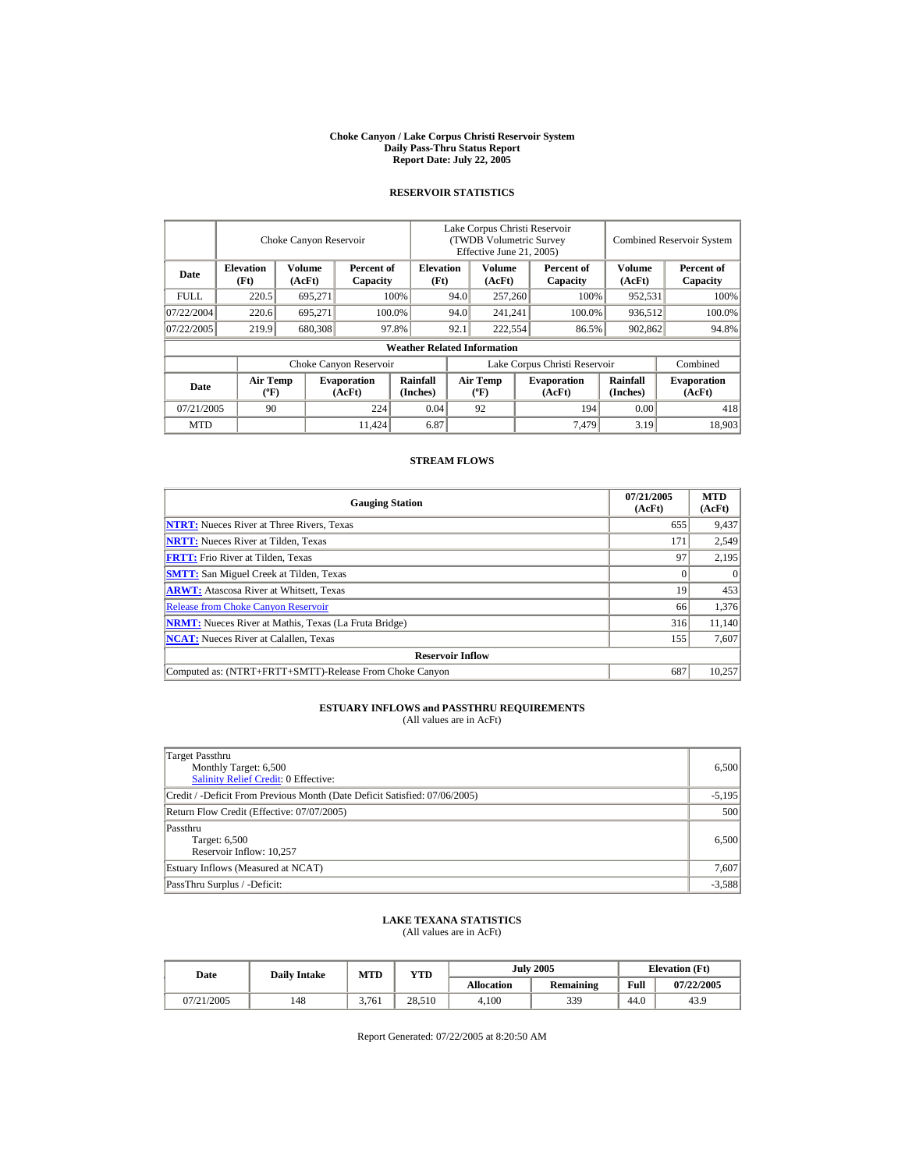#### **Choke Canyon / Lake Corpus Christi Reservoir System Daily Pass-Thru Status Report Report Date: July 22, 2005**

## **RESERVOIR STATISTICS**

|             |                                             | Choke Canyon Reservoir |                              |                                    |      | Lake Corpus Christi Reservoir<br>(TWDB Volumetric Survey<br>Effective June 21, 2005) |         |                               |                             | <b>Combined Reservoir System</b> |
|-------------|---------------------------------------------|------------------------|------------------------------|------------------------------------|------|--------------------------------------------------------------------------------------|---------|-------------------------------|-----------------------------|----------------------------------|
| Date        | <b>Elevation</b><br>(Ft)                    | Volume<br>(AcFt)       | Percent of<br>Capacity       | <b>Elevation</b><br>(Ft)           |      | Volume<br>Percent of<br>(AcFt)<br>Capacity                                           |         | Volume<br>(AcFt)              | Percent of<br>Capacity      |                                  |
| <b>FULL</b> | 220.5                                       | 695,271                |                              | 100%                               | 94.0 | 257,260                                                                              |         | 100%                          | 952,531                     | 100%                             |
| 07/22/2004  | 220.6                                       | 695.271                |                              | 100.0%                             | 94.0 |                                                                                      | 241,241 | 100.0%                        | 936,512                     | 100.0%                           |
| 07/22/2005  | 219.9                                       | 680,308                |                              | 97.8%                              | 92.1 | 222,554                                                                              |         | 86.5%                         | 902,862                     | 94.8%                            |
|             |                                             |                        |                              | <b>Weather Related Information</b> |      |                                                                                      |         |                               |                             |                                  |
|             |                                             |                        | Choke Canyon Reservoir       |                                    |      |                                                                                      |         | Lake Corpus Christi Reservoir |                             | Combined                         |
| Date        | <b>Air Temp</b><br>$({}^{\circ}\mathrm{F})$ |                        | <b>Evaporation</b><br>(AcFt) | Rainfall<br>(Inches)               |      | <b>Air Temp</b><br>$(^{\circ}F)$                                                     |         | <b>Evaporation</b><br>(AcFt)  | <b>Rainfall</b><br>(Inches) | <b>Evaporation</b><br>(AcFt)     |
| 07/21/2005  | 90                                          |                        | 224                          | 0.04                               |      | 92                                                                                   |         | 194                           | 0.00                        | 418                              |
| <b>MTD</b>  |                                             |                        | 11.424                       | 6.87                               |      |                                                                                      |         | 7,479                         | 3.19                        | 18.903                           |

## **STREAM FLOWS**

| <b>Gauging Station</b>                                       | 07/21/2005<br>(AcFt) | <b>MTD</b><br>(AcFt) |
|--------------------------------------------------------------|----------------------|----------------------|
| <b>NTRT:</b> Nueces River at Three Rivers, Texas             | 655                  | 9,437                |
| <b>NRTT:</b> Nueces River at Tilden, Texas                   | 171                  | 2,549                |
| <b>FRTT:</b> Frio River at Tilden, Texas                     | 97                   | 2,195                |
| <b>SMTT:</b> San Miguel Creek at Tilden, Texas               |                      | $\Omega$             |
| <b>ARWT:</b> Atascosa River at Whitsett, Texas               | 19                   | 453                  |
| <b>Release from Choke Canyon Reservoir</b>                   | 66                   | 1,376                |
| <b>NRMT:</b> Nueces River at Mathis, Texas (La Fruta Bridge) | 316                  | 11,140               |
| <b>NCAT:</b> Nueces River at Calallen, Texas                 | 155                  | 7,607                |
| <b>Reservoir Inflow</b>                                      |                      |                      |
| Computed as: (NTRT+FRTT+SMTT)-Release From Choke Canyon      | 687                  | 10,257               |

# **ESTUARY INFLOWS and PASSTHRU REQUIREMENTS**<br>(All values are in AcFt)

| Target Passthru<br>Monthly Target: 6,500<br><b>Salinity Relief Credit: 0 Effective:</b> | 6,500    |
|-----------------------------------------------------------------------------------------|----------|
| Credit / -Deficit From Previous Month (Date Deficit Satisfied: 07/06/2005)              | $-5,195$ |
| Return Flow Credit (Effective: 07/07/2005)                                              | 500      |
| Passthru<br>Target: 6,500<br>Reservoir Inflow: 10,257                                   | 6.500    |
| Estuary Inflows (Measured at NCAT)                                                      | 7,607    |
| PassThru Surplus / -Deficit:                                                            | $-3,588$ |

## **LAKE TEXANA STATISTICS**

(All values are in AcFt)

| Date       | <b>Daily Intake</b> | <b>MTD</b> | VTD    |            | <b>July 2005</b> | <b>Elevation</b> (Ft) |            |  |
|------------|---------------------|------------|--------|------------|------------------|-----------------------|------------|--|
|            |                     |            |        | Allocation | <b>Remaining</b> | Full                  | 07/22/2005 |  |
| 07/21/2005 | 148                 | 3.761      | 28.510 | 4.100      | 339              | 44.0                  | 43.9       |  |

Report Generated: 07/22/2005 at 8:20:50 AM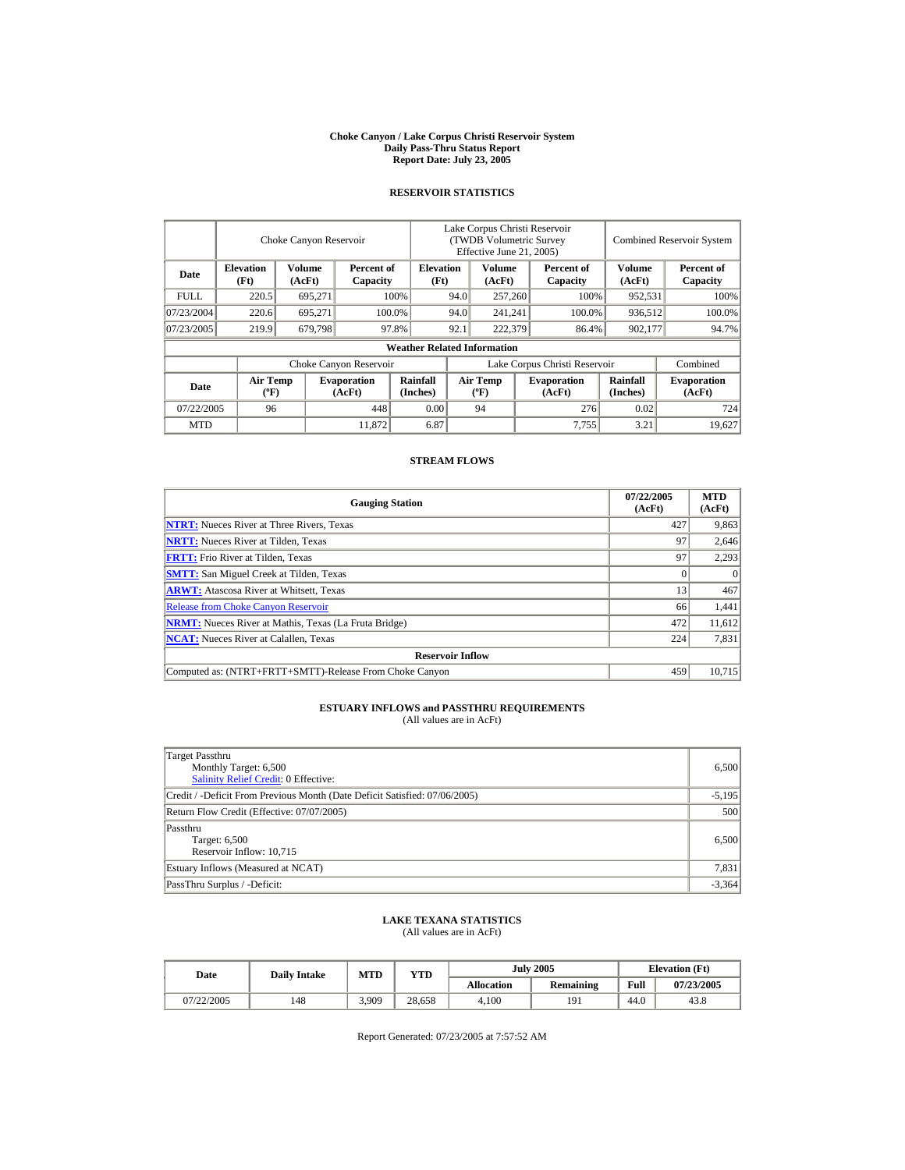#### **Choke Canyon / Lake Corpus Christi Reservoir System Daily Pass-Thru Status Report Report Date: July 23, 2005**

## **RESERVOIR STATISTICS**

|             |                                             | Choke Canyon Reservoir |                              |                                    |      | Lake Corpus Christi Reservoir<br>(TWDB Volumetric Survey<br>Effective June 21, 2005) |         |                               |                             | <b>Combined Reservoir System</b> |
|-------------|---------------------------------------------|------------------------|------------------------------|------------------------------------|------|--------------------------------------------------------------------------------------|---------|-------------------------------|-----------------------------|----------------------------------|
| Date        | <b>Elevation</b><br>(Ft)                    | Volume<br>(AcFt)       | Percent of<br>Capacity       | <b>Elevation</b><br>(Ft)           |      | Volume<br>Percent of<br>(AcFt)<br>Capacity                                           |         | Volume<br>(AcFt)              | Percent of<br>Capacity      |                                  |
| <b>FULL</b> | 220.5                                       | 695,271                |                              | 100%                               | 94.0 | 257,260                                                                              |         | 100%                          | 952,531                     | 100%                             |
| 07/23/2004  | 220.6                                       | 695.271                |                              | 100.0%                             | 94.0 |                                                                                      | 241,241 | 100.0%                        | 936,512                     | 100.0%                           |
| 07/23/2005  | 219.9                                       | 679.798                |                              | 97.8%                              | 92.1 | 222,379                                                                              |         | 86.4%                         | 902,177                     | 94.7%                            |
|             |                                             |                        |                              | <b>Weather Related Information</b> |      |                                                                                      |         |                               |                             |                                  |
|             |                                             |                        | Choke Canyon Reservoir       |                                    |      |                                                                                      |         | Lake Corpus Christi Reservoir |                             | Combined                         |
| Date        | <b>Air Temp</b><br>$({}^{\circ}\mathrm{F})$ |                        | <b>Evaporation</b><br>(AcFt) | Rainfall<br>(Inches)               |      | <b>Air Temp</b><br>$(^{\circ}F)$                                                     |         | <b>Evaporation</b><br>(AcFt)  | <b>Rainfall</b><br>(Inches) | <b>Evaporation</b><br>(AcFt)     |
| 07/22/2005  | 96                                          |                        | 448                          | 0.00                               |      | 94                                                                                   |         | 276                           | 0.02                        | 724                              |
| <b>MTD</b>  |                                             |                        | 11.872                       | 6.87                               |      |                                                                                      |         | 7,755                         | 3.21                        | 19.627                           |

## **STREAM FLOWS**

| <b>Gauging Station</b>                                       | 07/22/2005<br>(AcFt) | <b>MTD</b><br>(AcFt) |
|--------------------------------------------------------------|----------------------|----------------------|
| <b>NTRT:</b> Nueces River at Three Rivers, Texas             | 427                  | 9,863                |
| <b>NRTT:</b> Nueces River at Tilden, Texas                   | 97                   | 2,646                |
| <b>FRTT:</b> Frio River at Tilden, Texas                     | 97                   | 2,293                |
| <b>SMTT:</b> San Miguel Creek at Tilden, Texas               |                      | $\theta$             |
| <b>ARWT:</b> Atascosa River at Whitsett, Texas               | 13                   | 467                  |
| <b>Release from Choke Canyon Reservoir</b>                   | 66                   | 1,441                |
| <b>NRMT:</b> Nueces River at Mathis, Texas (La Fruta Bridge) | 472                  | 11,612               |
| <b>NCAT:</b> Nueces River at Calallen, Texas                 | 224                  | 7,831                |
| <b>Reservoir Inflow</b>                                      |                      |                      |
| Computed as: (NTRT+FRTT+SMTT)-Release From Choke Canyon      | 459                  | 10.715               |

# **ESTUARY INFLOWS and PASSTHRU REQUIREMENTS**<br>(All values are in AcFt)

| Target Passthru<br>Monthly Target: 6,500<br><b>Salinity Relief Credit: 0 Effective:</b> | 6,500    |
|-----------------------------------------------------------------------------------------|----------|
| Credit / -Deficit From Previous Month (Date Deficit Satisfied: 07/06/2005)              | $-5,195$ |
| Return Flow Credit (Effective: 07/07/2005)                                              | 500      |
| Passthru<br>Target: 6,500<br>Reservoir Inflow: 10,715                                   | 6,500    |
| Estuary Inflows (Measured at NCAT)                                                      | 7,831    |
| PassThru Surplus / -Deficit:                                                            | $-3,364$ |

## **LAKE TEXANA STATISTICS**

(All values are in AcFt)

| Date       | <b>Daily Intake</b> | MTD   | YTD    |                   | <b>July 2005</b> | <b>Elevation</b> (Ft) |            |  |
|------------|---------------------|-------|--------|-------------------|------------------|-----------------------|------------|--|
|            |                     |       |        | <b>Allocation</b> | <b>Remaining</b> | Full                  | 07/23/2005 |  |
| 07/22/2005 | 148                 | 3.909 | 28.658 | 4.100             | 191              | 44.0                  | 43.8       |  |

Report Generated: 07/23/2005 at 7:57:52 AM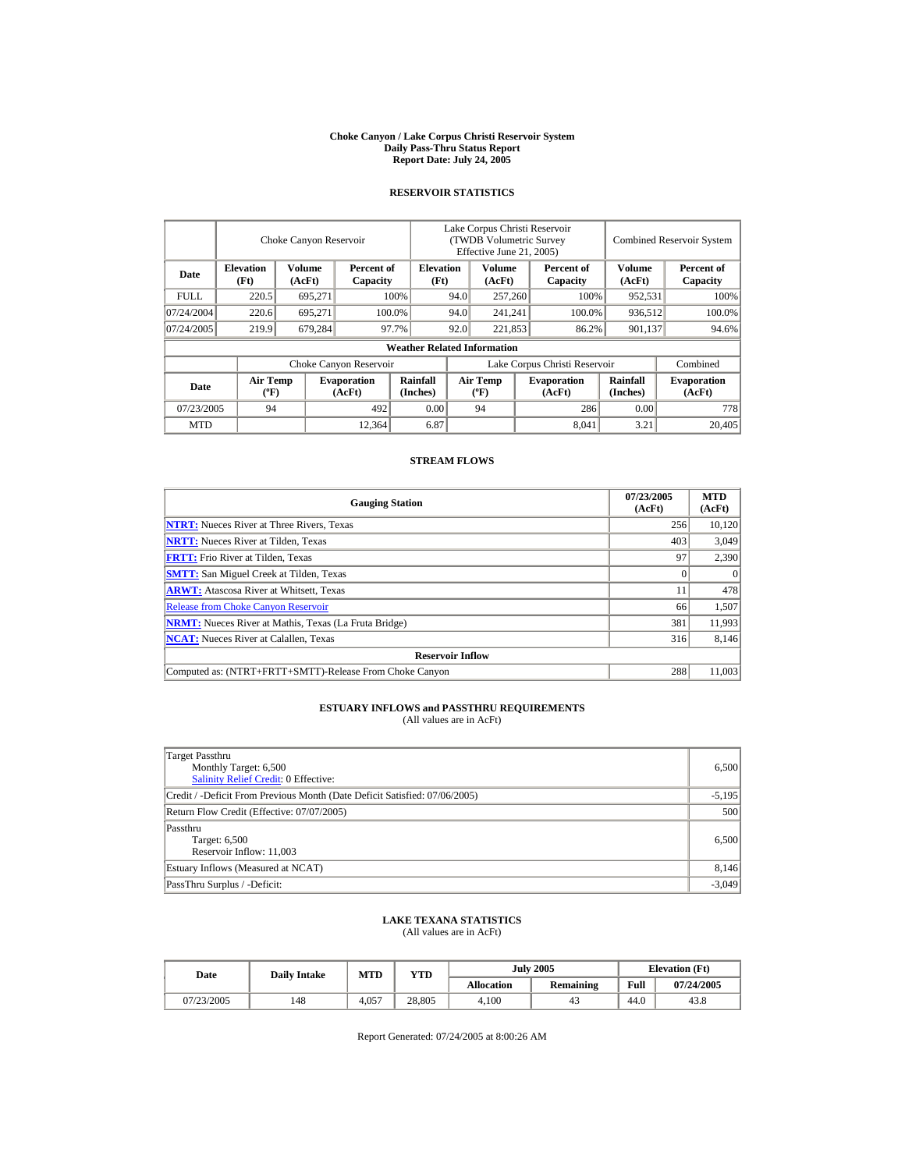#### **Choke Canyon / Lake Corpus Christi Reservoir System Daily Pass-Thru Status Report Report Date: July 24, 2005**

## **RESERVOIR STATISTICS**

|             |                                             | Lake Corpus Christi Reservoir<br>(TWDB Volumetric Survey<br>Choke Canyon Reservoir<br>Effective June 21, 2005) |                              |                                    |      |                                            |         | <b>Combined Reservoir System</b> |                             |                              |
|-------------|---------------------------------------------|----------------------------------------------------------------------------------------------------------------|------------------------------|------------------------------------|------|--------------------------------------------|---------|----------------------------------|-----------------------------|------------------------------|
| Date        | <b>Elevation</b><br>(Ft)                    | Volume<br>(AcFt)                                                                                               | Percent of<br>Capacity       | <b>Elevation</b><br>(Ft)           |      | Volume<br>Percent of<br>(AcFt)<br>Capacity |         | Volume<br>(AcFt)                 | Percent of<br>Capacity      |                              |
| <b>FULL</b> | 220.5                                       | 695,271                                                                                                        |                              | 100%                               | 94.0 | 257,260                                    |         | 100%                             | 952,531                     | 100%                         |
| 07/24/2004  | 220.6                                       | 695.271                                                                                                        |                              | 100.0%                             | 94.0 |                                            | 241,241 | 100.0%                           | 936,512                     | 100.0%                       |
| 07/24/2005  | 219.9                                       | 679,284                                                                                                        |                              | 97.7%                              | 92.0 | 221,853                                    |         | 86.2%<br>901,137                 |                             | 94.6%                        |
|             |                                             |                                                                                                                |                              | <b>Weather Related Information</b> |      |                                            |         |                                  |                             |                              |
|             |                                             |                                                                                                                | Choke Canyon Reservoir       |                                    |      |                                            |         | Lake Corpus Christi Reservoir    |                             | Combined                     |
| Date        | <b>Air Temp</b><br>$({}^{\circ}\mathrm{F})$ |                                                                                                                | <b>Evaporation</b><br>(AcFt) | Rainfall<br>(Inches)               |      | <b>Air Temp</b><br>$(^{\circ}F)$           |         | <b>Evaporation</b><br>(AcFt)     | <b>Rainfall</b><br>(Inches) | <b>Evaporation</b><br>(AcFt) |
| 07/23/2005  | 94                                          |                                                                                                                | 492                          | 0.00                               |      | 94                                         |         | 286                              | 0.00                        | 778                          |
| <b>MTD</b>  |                                             |                                                                                                                | 12,364                       | 6.87                               |      |                                            |         | 8.041                            | 3.21                        | 20,405                       |

## **STREAM FLOWS**

| <b>Gauging Station</b>                                       | 07/23/2005<br>(AcFt) | <b>MTD</b><br>(AcFt) |
|--------------------------------------------------------------|----------------------|----------------------|
| <b>NTRT:</b> Nueces River at Three Rivers, Texas             | 256                  | 10,120               |
| <b>NRTT:</b> Nueces River at Tilden, Texas                   | 403                  | 3,049                |
| <b>FRTT:</b> Frio River at Tilden, Texas                     | 97                   | 2,390                |
| <b>SMTT:</b> San Miguel Creek at Tilden, Texas               |                      | $\Omega$             |
| <b>ARWT:</b> Atascosa River at Whitsett, Texas               |                      | 478                  |
| <b>Release from Choke Canyon Reservoir</b>                   | 66                   | 1,507                |
| <b>NRMT:</b> Nueces River at Mathis, Texas (La Fruta Bridge) | 381                  | 11,993               |
| <b>NCAT:</b> Nueces River at Calallen, Texas                 | 316                  | 8,146                |
| <b>Reservoir Inflow</b>                                      |                      |                      |
| Computed as: (NTRT+FRTT+SMTT)-Release From Choke Canyon      | 288                  | 11.003               |

# **ESTUARY INFLOWS and PASSTHRU REQUIREMENTS**<br>(All values are in AcFt)

| Target Passthru<br>Monthly Target: 6,500<br><b>Salinity Relief Credit: 0 Effective:</b> | 6,500    |
|-----------------------------------------------------------------------------------------|----------|
| Credit / -Deficit From Previous Month (Date Deficit Satisfied: 07/06/2005)              | $-5,195$ |
| Return Flow Credit (Effective: 07/07/2005)                                              | 500      |
| Passthru<br>Target: 6,500<br>Reservoir Inflow: 11,003                                   | 6.500    |
| Estuary Inflows (Measured at NCAT)                                                      | 8,146    |
| PassThru Surplus / -Deficit:                                                            | $-3,049$ |

## **LAKE TEXANA STATISTICS**

(All values are in AcFt)

| Date       | <b>Daily Intake</b> | <b>MTD</b> | YTD    |                   | <b>July 2005</b> | <b>Elevation</b> (Ft) |            |  |
|------------|---------------------|------------|--------|-------------------|------------------|-----------------------|------------|--|
|            |                     |            |        | <b>Allocation</b> | <b>Remaining</b> | Full                  | 07/24/2005 |  |
| 07/23/2005 | 148                 | 4.057      | 28.805 | 4.100             | 43               | 44.0                  | 43.8       |  |

Report Generated: 07/24/2005 at 8:00:26 AM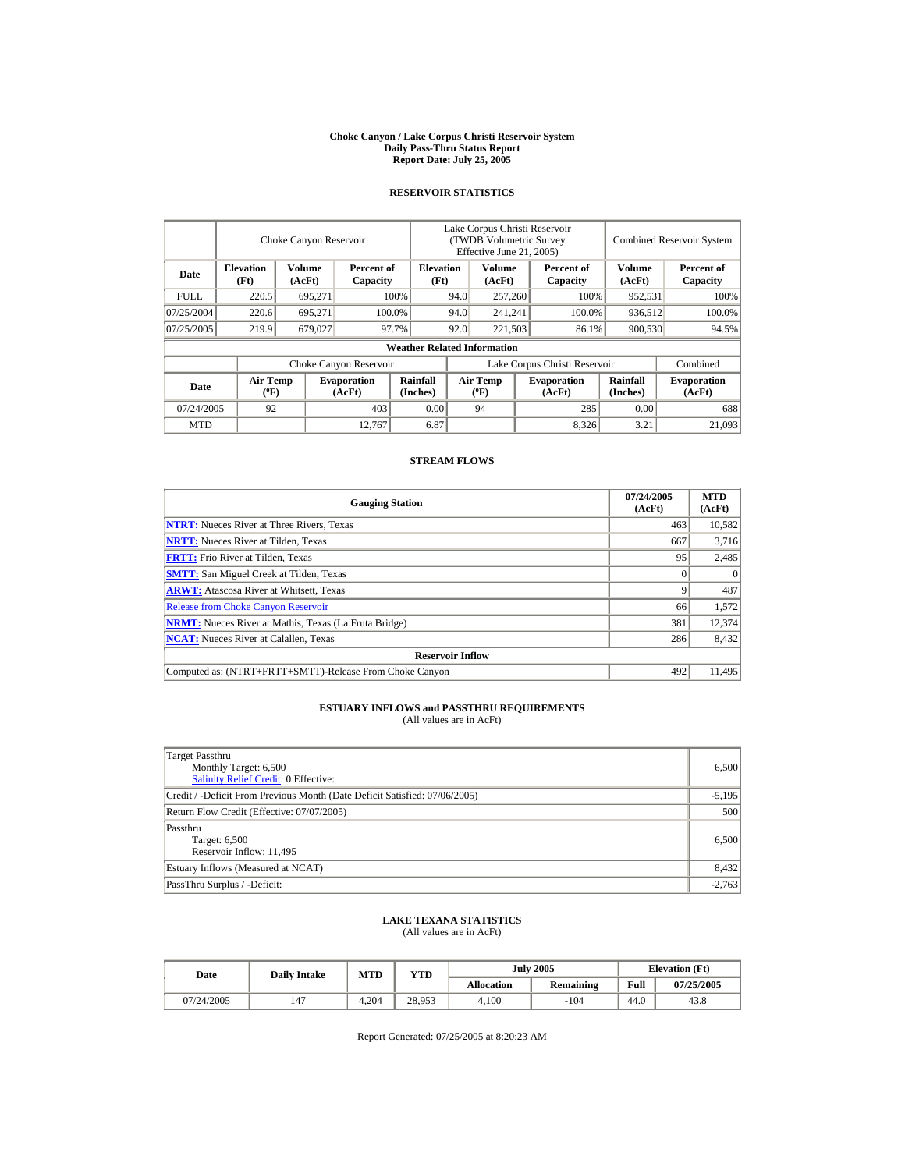#### **Choke Canyon / Lake Corpus Christi Reservoir System Daily Pass-Thru Status Report Report Date: July 25, 2005**

## **RESERVOIR STATISTICS**

|             |                                             | Choke Canyon Reservoir  |                              |                                    |                               | Lake Corpus Christi Reservoir<br><b>(TWDB Volumetric Survey)</b><br>Effective June 21, 2005) |  |                              |                             | <b>Combined Reservoir System</b> |
|-------------|---------------------------------------------|-------------------------|------------------------------|------------------------------------|-------------------------------|----------------------------------------------------------------------------------------------|--|------------------------------|-----------------------------|----------------------------------|
| Date        | <b>Elevation</b><br>(Ft)                    | <b>Volume</b><br>(AcFt) | Percent of<br>Capacity       | <b>Elevation</b><br>(Ft)           |                               | Volume<br>(AcFt)                                                                             |  | Percent of<br>Capacity       | <b>Volume</b><br>(AcFt)     | Percent of<br>Capacity           |
| <b>FULL</b> | 220.5                                       | 695,271                 |                              | 100%                               | 94.0                          | 257,260                                                                                      |  | 100%                         | 952,531                     | 100%                             |
| 07/25/2004  | 220.6                                       | 695.271                 |                              | 100.0%                             | 94.0                          | 241,241                                                                                      |  | 100.0%                       | 936,512                     | 100.0%                           |
| 07/25/2005  | 219.9                                       | 679,027                 |                              | 97.7%                              | 92.0                          | 221,503                                                                                      |  | 86.1%                        | 900,530                     | 94.5%                            |
|             |                                             |                         |                              | <b>Weather Related Information</b> |                               |                                                                                              |  |                              |                             |                                  |
|             |                                             |                         | Choke Canyon Reservoir       |                                    | Lake Corpus Christi Reservoir |                                                                                              |  |                              |                             | Combined                         |
| Date        | <b>Air Temp</b><br>$({}^{\circ}\mathrm{F})$ |                         | <b>Evaporation</b><br>(AcFt) | <b>Rainfall</b><br>(Inches)        |                               | Air Temp<br>$({}^{\circ}{\rm F})$                                                            |  | <b>Evaporation</b><br>(AcFt) | <b>Rainfall</b><br>(Inches) | <b>Evaporation</b><br>(AcFt)     |
| 07/24/2005  | 92                                          |                         | 403                          | 0.00                               |                               | 94                                                                                           |  | 285                          | 0.00                        | 688                              |
| <b>MTD</b>  |                                             |                         | 12.767                       | 6.87                               |                               |                                                                                              |  | 8,326                        | 3.21                        | 21,093                           |

## **STREAM FLOWS**

| <b>Gauging Station</b>                                       | 07/24/2005<br>(AcFt) | <b>MTD</b><br>(AcFt) |
|--------------------------------------------------------------|----------------------|----------------------|
| <b>NTRT:</b> Nueces River at Three Rivers, Texas             | 463                  | 10,582               |
| <b>NRTT:</b> Nueces River at Tilden, Texas                   | 667                  | 3,716                |
| <b>FRTT:</b> Frio River at Tilden, Texas                     | 95                   | 2,485                |
| <b>SMTT:</b> San Miguel Creek at Tilden, Texas               |                      | $\Omega$             |
| <b>ARWT:</b> Atascosa River at Whitsett, Texas               |                      | 487                  |
| <b>Release from Choke Canyon Reservoir</b>                   | 66                   | 1,572                |
| <b>NRMT:</b> Nueces River at Mathis, Texas (La Fruta Bridge) | 381                  | 12,374               |
| <b>NCAT:</b> Nueces River at Calallen. Texas                 | 286                  | 8,432                |
| <b>Reservoir Inflow</b>                                      |                      |                      |
| Computed as: (NTRT+FRTT+SMTT)-Release From Choke Canyon      | 492                  | 11.495               |

# **ESTUARY INFLOWS and PASSTHRU REQUIREMENTS**<br>(All values are in AcFt)

| Target Passthru<br>Monthly Target: 6,500<br><b>Salinity Relief Credit: 0 Effective:</b> | 6,500    |
|-----------------------------------------------------------------------------------------|----------|
| Credit / -Deficit From Previous Month (Date Deficit Satisfied: 07/06/2005)              | $-5,195$ |
| Return Flow Credit (Effective: 07/07/2005)                                              | 500      |
| Passthru<br>Target: 6,500<br>Reservoir Inflow: 11,495                                   | 6,500    |
| Estuary Inflows (Measured at NCAT)                                                      | 8,432    |
| PassThru Surplus / -Deficit:                                                            | $-2,763$ |

## **LAKE TEXANA STATISTICS**

(All values are in AcFt)

| Date       | <b>Daily Intake</b> | MTD   | YTD    |                   | <b>July 2005</b> | <b>Elevation</b> (Ft) |            |  |
|------------|---------------------|-------|--------|-------------------|------------------|-----------------------|------------|--|
|            |                     |       |        | <b>Allocation</b> | <b>Remaining</b> | Full                  | 07/25/2005 |  |
| 07/24/2005 | 147                 | 4.204 | 28.953 | 4.100             | $-104$           | 44.0                  | 43.8       |  |

Report Generated: 07/25/2005 at 8:20:23 AM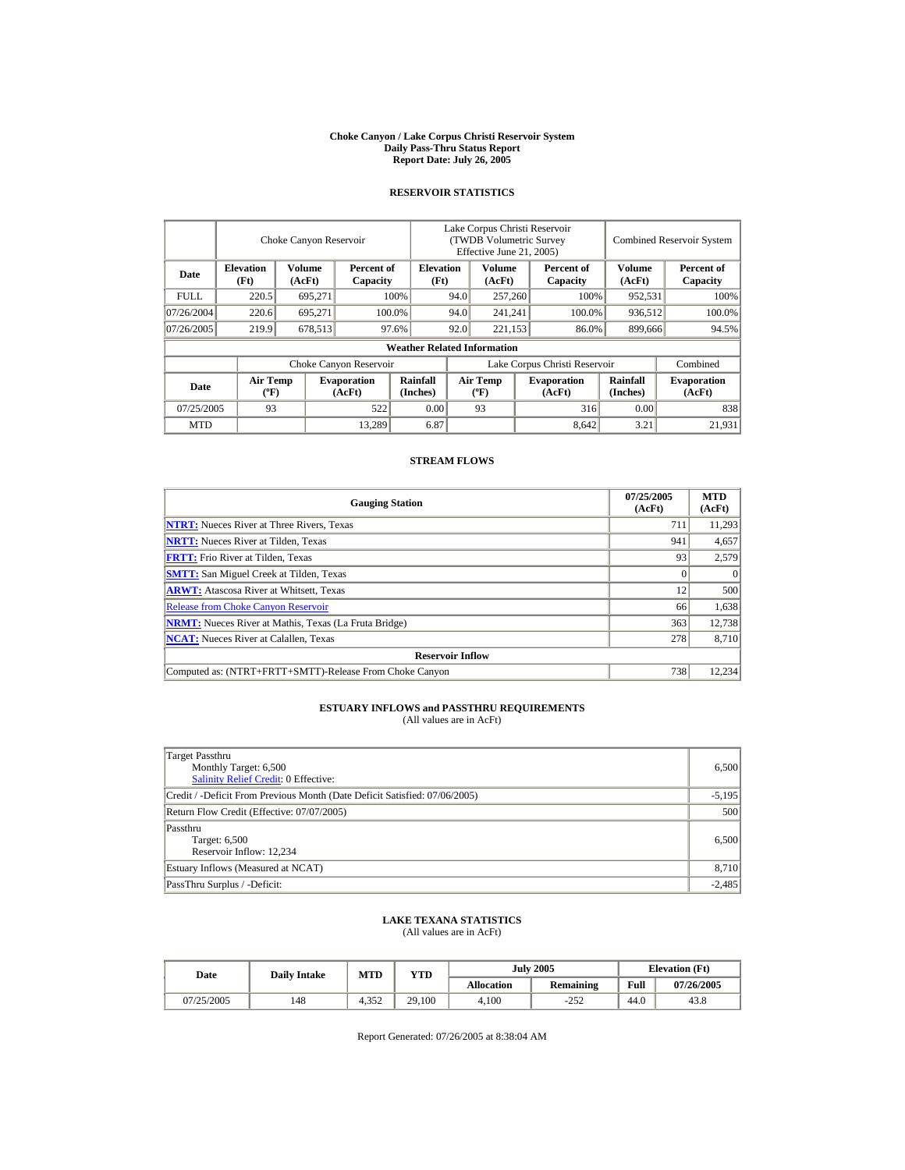#### **Choke Canyon / Lake Corpus Christi Reservoir System Daily Pass-Thru Status Report Report Date: July 26, 2005**

## **RESERVOIR STATISTICS**

|                                 | Choke Canyon Reservoir                      |                  | Lake Corpus Christi Reservoir<br>(TWDB Volumetric Survey<br>Effective June 21, 2005) |                                    |                               |                                  |     | <b>Combined Reservoir System</b> |                             |                              |
|---------------------------------|---------------------------------------------|------------------|--------------------------------------------------------------------------------------|------------------------------------|-------------------------------|----------------------------------|-----|----------------------------------|-----------------------------|------------------------------|
| Date                            | <b>Elevation</b><br>(Ft)                    | Volume<br>(AcFt) | Percent of<br>Capacity                                                               | <b>Elevation</b><br>(Ft)           |                               | Volume<br>(AcFt)                 |     | Percent of<br>Capacity           | Volume<br>(AcFt)            | Percent of<br>Capacity       |
| <b>FULL</b>                     | 220.5                                       | 695,271          |                                                                                      | 100%                               | 94.0                          | 257,260                          |     | 100%                             | 952,531                     | 100%                         |
| 07/26/2004                      | 220.6                                       | 695,271          |                                                                                      | 100.0%                             | 94.0                          | 241,241                          |     | 100.0%                           | 936,512                     | 100.0%                       |
| 07/26/2005                      | 219.9                                       | 678,513          |                                                                                      | 97.6%                              | 92.0                          | 221,153                          |     | 86.0%                            | 899,666                     | 94.5%                        |
|                                 |                                             |                  |                                                                                      | <b>Weather Related Information</b> |                               |                                  |     |                                  |                             |                              |
|                                 |                                             |                  | Choke Canyon Reservoir                                                               |                                    | Lake Corpus Christi Reservoir |                                  |     |                                  | Combined                    |                              |
| Date                            | <b>Air Temp</b><br>$({}^{\circ}\mathrm{F})$ |                  | <b>Evaporation</b><br>(AcFt)                                                         | Rainfall<br>(Inches)               |                               | <b>Air Temp</b><br>$(^{\circ}F)$ |     | <b>Evaporation</b><br>(AcFt)     | <b>Rainfall</b><br>(Inches) | <b>Evaporation</b><br>(AcFt) |
| 0.00<br>93<br>522<br>07/25/2005 |                                             |                  | 93                                                                                   |                                    | 316                           | 0.00                             | 838 |                                  |                             |                              |
| <b>MTD</b>                      |                                             |                  | 13.289                                                                               | 6.87                               |                               |                                  |     | 8.642                            | 3.21                        | 21.931                       |

## **STREAM FLOWS**

| <b>Gauging Station</b>                                       | 07/25/2005<br>(AcFt) | <b>MTD</b><br>(AcFt) |
|--------------------------------------------------------------|----------------------|----------------------|
| <b>NTRT:</b> Nueces River at Three Rivers, Texas             | 711                  | 11,293               |
| <b>NRTT:</b> Nueces River at Tilden, Texas                   | 941                  | 4,657                |
| <b>FRTT:</b> Frio River at Tilden, Texas                     | 93                   | 2,579                |
| <b>SMTT:</b> San Miguel Creek at Tilden, Texas               |                      | $\Omega$             |
| <b>ARWT:</b> Atascosa River at Whitsett, Texas               | 12                   | 500                  |
| <b>Release from Choke Canyon Reservoir</b>                   | 66                   | 1,638                |
| <b>NRMT:</b> Nueces River at Mathis, Texas (La Fruta Bridge) | 363                  | 12,738               |
| <b>NCAT:</b> Nueces River at Calallen. Texas                 | 278                  | 8,710                |
| <b>Reservoir Inflow</b>                                      |                      |                      |
| Computed as: (NTRT+FRTT+SMTT)-Release From Choke Canyon      | 738                  | 12.234               |

# **ESTUARY INFLOWS and PASSTHRU REQUIREMENTS**<br>(All values are in AcFt)

| Target Passthru<br>Monthly Target: 6,500<br><b>Salinity Relief Credit: 0 Effective:</b> | 6,500    |
|-----------------------------------------------------------------------------------------|----------|
| Credit / -Deficit From Previous Month (Date Deficit Satisfied: 07/06/2005)              | $-5,195$ |
| Return Flow Credit (Effective: 07/07/2005)                                              | 500      |
| Passthru<br>Target: 6,500<br>Reservoir Inflow: 12,234                                   | 6,500    |
| Estuary Inflows (Measured at NCAT)                                                      | 8,710    |
| PassThru Surplus / -Deficit:                                                            | $-2,485$ |

## **LAKE TEXANA STATISTICS**

(All values are in AcFt)

| Date       | <b>Daily Intake</b> | MTD   | YTD    |                   | <b>July 2005</b> | <b>Elevation</b> (Ft) |            |
|------------|---------------------|-------|--------|-------------------|------------------|-----------------------|------------|
|            |                     |       |        | <b>Allocation</b> | <b>Remaining</b> | Full                  | 07/26/2005 |
| 07/25/2005 | 148                 | 4.352 | 29.100 | 4.100             | $-252$           | 44.0                  | 43.8       |

Report Generated: 07/26/2005 at 8:38:04 AM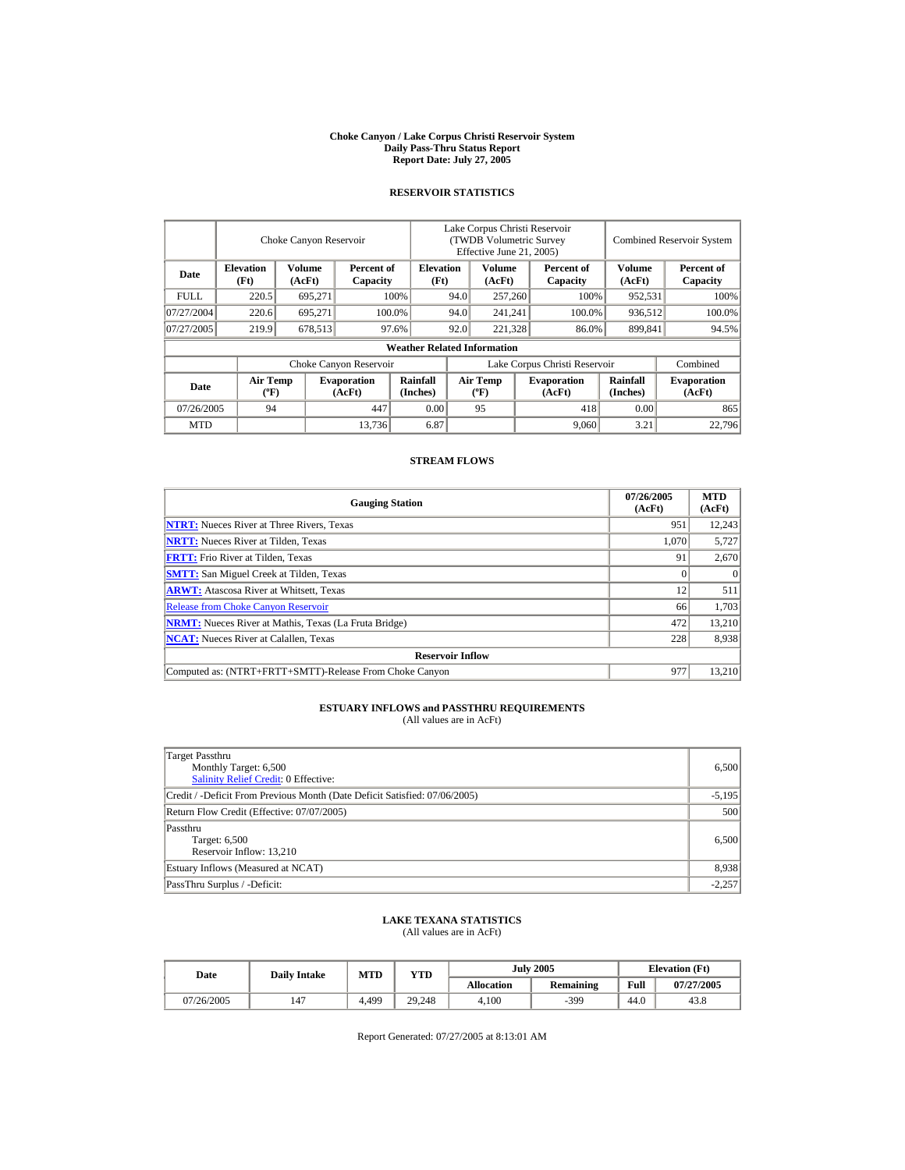#### **Choke Canyon / Lake Corpus Christi Reservoir System Daily Pass-Thru Status Report Report Date: July 27, 2005**

## **RESERVOIR STATISTICS**

|             |                                             | Choke Canyon Reservoir |                              |                                    |                               | Lake Corpus Christi Reservoir<br>(TWDB Volumetric Survey<br>Effective June 21, 2005) |     |                              |                             | <b>Combined Reservoir System</b> |
|-------------|---------------------------------------------|------------------------|------------------------------|------------------------------------|-------------------------------|--------------------------------------------------------------------------------------|-----|------------------------------|-----------------------------|----------------------------------|
| Date        | <b>Elevation</b><br>(Ft)                    | Volume<br>(AcFt)       | Percent of<br>Capacity       | <b>Elevation</b><br>(Ft)           |                               | Volume<br>(AcFt)                                                                     |     | Percent of<br>Capacity       | Volume<br>(AcFt)            | Percent of<br>Capacity           |
| <b>FULL</b> | 220.5                                       | 695,271                |                              | 100%                               | 94.0                          | 257,260                                                                              |     | 100%                         | 952,531                     | 100%                             |
| 07/27/2004  | 220.6                                       | 695,271                |                              | 100.0%                             | 94.0                          | 241,241                                                                              |     | 100.0%                       | 936,512                     | 100.0%                           |
| 07/27/2005  | 219.9                                       | 678,513                |                              | 97.6%                              | 92.0                          | 221,328                                                                              |     | 86.0%                        | 899,841                     | 94.5%                            |
|             |                                             |                        |                              | <b>Weather Related Information</b> |                               |                                                                                      |     |                              |                             |                                  |
|             |                                             |                        | Choke Canyon Reservoir       |                                    | Lake Corpus Christi Reservoir |                                                                                      |     |                              |                             | Combined                         |
| Date        | <b>Air Temp</b><br>$({}^{\circ}\mathrm{F})$ |                        | <b>Evaporation</b><br>(AcFt) | <b>Rainfall</b><br>(Inches)        |                               | Air Temp<br>$({}^{\circ}{\rm F})$                                                    |     | <b>Evaporation</b><br>(AcFt) | <b>Rainfall</b><br>(Inches) | <b>Evaporation</b><br>(AcFt)     |
|             | 447<br>07/26/2005<br>94                     |                        | 0.00                         |                                    | 95                            |                                                                                      | 418 | 0.00                         | 865                         |                                  |
| <b>MTD</b>  |                                             |                        | 13.736                       | 6.87                               |                               |                                                                                      |     | 9,060                        | 3.21                        | 22,796                           |

## **STREAM FLOWS**

| <b>Gauging Station</b>                                       | 07/26/2005<br>(AcFt) | <b>MTD</b><br>(AcFt) |
|--------------------------------------------------------------|----------------------|----------------------|
| <b>NTRT:</b> Nueces River at Three Rivers, Texas             | 951                  | 12,243               |
| <b>NRTT:</b> Nueces River at Tilden, Texas                   | 1.070                | 5,727                |
| <b>FRTT:</b> Frio River at Tilden, Texas                     | 91                   | 2,670                |
| <b>SMTT:</b> San Miguel Creek at Tilden, Texas               |                      | $\Omega$             |
| <b>ARWT:</b> Atascosa River at Whitsett, Texas               | 12                   | 511                  |
| <b>Release from Choke Canyon Reservoir</b>                   | 66                   | 1,703                |
| <b>NRMT:</b> Nueces River at Mathis, Texas (La Fruta Bridge) | 472                  | 13,210               |
| <b>NCAT:</b> Nueces River at Calallen, Texas                 | 228                  | 8,938                |
| <b>Reservoir Inflow</b>                                      |                      |                      |
| Computed as: (NTRT+FRTT+SMTT)-Release From Choke Canyon      | 977                  | 13,210               |

# **ESTUARY INFLOWS and PASSTHRU REQUIREMENTS**<br>(All values are in AcFt)

| Target Passthru<br>Monthly Target: 6,500<br><b>Salinity Relief Credit: 0 Effective:</b> | 6,500    |
|-----------------------------------------------------------------------------------------|----------|
| Credit / -Deficit From Previous Month (Date Deficit Satisfied: 07/06/2005)              | $-5,195$ |
| Return Flow Credit (Effective: 07/07/2005)                                              | 500      |
| Passthru<br>Target: 6,500<br>Reservoir Inflow: 13,210                                   | 6,500    |
| Estuary Inflows (Measured at NCAT)                                                      | 8,938    |
| PassThru Surplus / -Deficit:                                                            | $-2,257$ |

## **LAKE TEXANA STATISTICS**

(All values are in AcFt)

| Date       | <b>Daily Intake</b> | MTD   | YTD    |                   | <b>July 2005</b> | <b>Elevation</b> (Ft) |            |
|------------|---------------------|-------|--------|-------------------|------------------|-----------------------|------------|
|            |                     |       |        | <b>Allocation</b> | <b>Remaining</b> | Full                  | 07/27/2005 |
| 07/26/2005 | 147                 | 4.499 | 29.248 | 4.100             | $-399$           | 44.0                  | 43.8       |

Report Generated: 07/27/2005 at 8:13:01 AM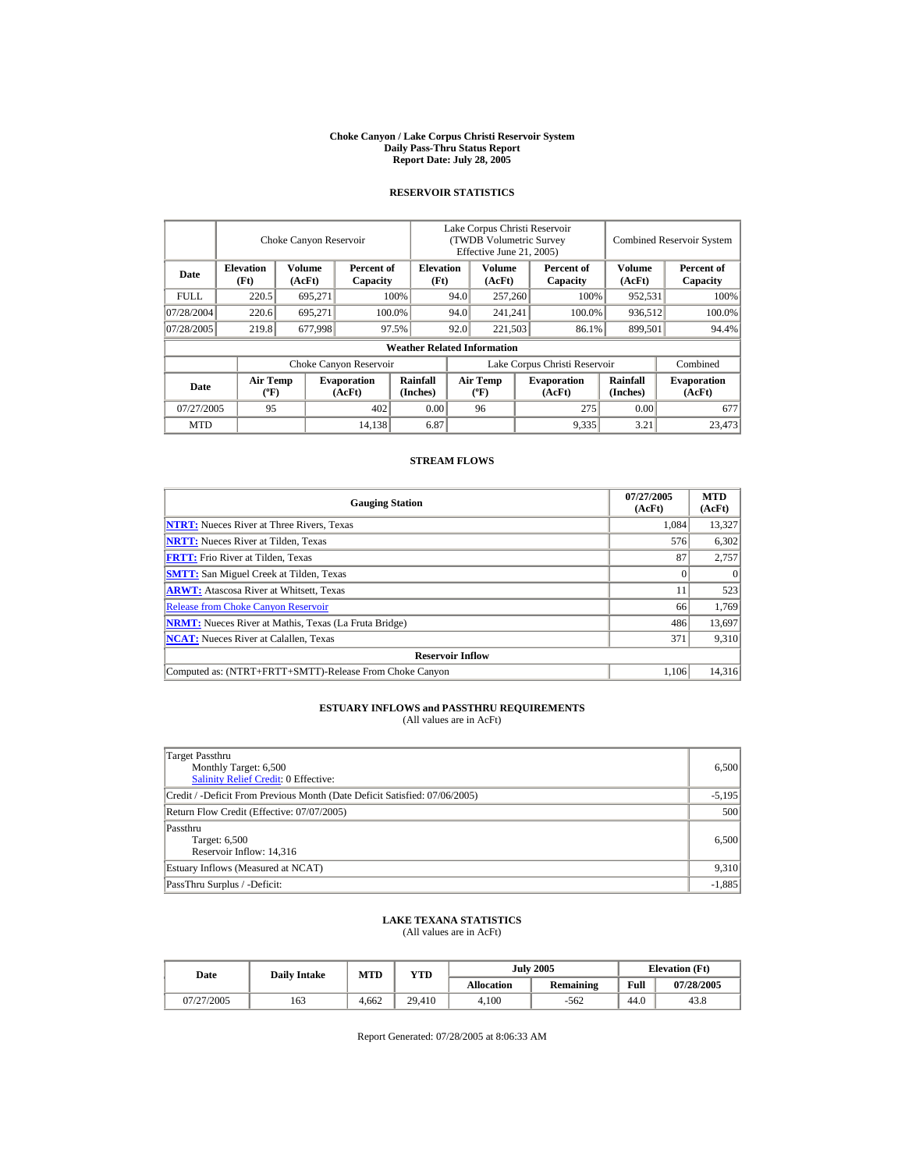#### **Choke Canyon / Lake Corpus Christi Reservoir System Daily Pass-Thru Status Report Report Date: July 28, 2005**

## **RESERVOIR STATISTICS**

|                         |                                             | Choke Canyon Reservoir |                              | Lake Corpus Christi Reservoir<br>(TWDB Volumetric Survey<br>Effective June 21, 2005) |                               |                                             |         |                              | <b>Combined Reservoir System</b> |                              |  |
|-------------------------|---------------------------------------------|------------------------|------------------------------|--------------------------------------------------------------------------------------|-------------------------------|---------------------------------------------|---------|------------------------------|----------------------------------|------------------------------|--|
| Date                    | <b>Elevation</b><br>(Ft)                    | Volume<br>(AcFt)       | Percent of<br>Capacity       | <b>Elevation</b><br>(Ft)                                                             |                               | Volume<br>(AcFt)                            |         | Percent of<br>Capacity       | Volume<br>(AcFt)                 | Percent of<br>Capacity       |  |
| FULL.                   | 220.5                                       | 695.271                |                              | 100%                                                                                 | 94.0                          | 257,260                                     |         | 100%                         | 952,531                          | 100%                         |  |
| 07/28/2004              | 220.6                                       | 695.271                |                              | 100.0%                                                                               | 94.0                          |                                             | 241.241 | 100.0%                       | 936,512                          | 100.0%                       |  |
| 07/28/2005              | 219.8                                       | 677,998                |                              | 97.5%                                                                                | 92.0                          | 221,503                                     |         | 86.1%                        | 899,501                          | 94.4%                        |  |
|                         |                                             |                        |                              | <b>Weather Related Information</b>                                                   |                               |                                             |         |                              |                                  |                              |  |
|                         |                                             |                        | Choke Canyon Reservoir       |                                                                                      | Lake Corpus Christi Reservoir |                                             |         |                              | Combined                         |                              |  |
| Date                    | <b>Air Temp</b><br>$({}^{\circ}\mathrm{F})$ |                        | <b>Evaporation</b><br>(AcFt) | Rainfall<br>(Inches)                                                                 |                               | <b>Air Temp</b><br>$({}^{\circ}\mathbf{F})$ |         | <b>Evaporation</b><br>(AcFt) | Rainfall<br>(Inches)             | <b>Evaporation</b><br>(AcFt) |  |
| 07/27/2005<br>95<br>402 |                                             | 0.00                   |                              | 96                                                                                   |                               | 275                                         | 0.00    | 677                          |                                  |                              |  |
| <b>MTD</b>              |                                             |                        | 14,138                       | 6.87                                                                                 |                               |                                             |         | 9,335                        | 3.21                             | 23,473                       |  |

## **STREAM FLOWS**

| <b>Gauging Station</b>                                       | 07/27/2005<br>(AcFt) | <b>MTD</b><br>(AcFt) |
|--------------------------------------------------------------|----------------------|----------------------|
| <b>NTRT:</b> Nueces River at Three Rivers, Texas             | 1,084                | 13,327               |
| <b>NRTT:</b> Nueces River at Tilden, Texas                   | 576                  | 6,302                |
| <b>FRTT:</b> Frio River at Tilden, Texas                     | 87                   | 2,757                |
| <b>SMTT:</b> San Miguel Creek at Tilden, Texas               |                      | $\Omega$             |
| <b>ARWT:</b> Atascosa River at Whitsett, Texas               |                      | 523                  |
| <b>Release from Choke Canyon Reservoir</b>                   | 66                   | 1.769                |
| <b>NRMT:</b> Nueces River at Mathis, Texas (La Fruta Bridge) | 486                  | 13,697               |
| <b>NCAT:</b> Nueces River at Calallen. Texas                 | 371                  | 9,310                |
| <b>Reservoir Inflow</b>                                      |                      |                      |
| Computed as: (NTRT+FRTT+SMTT)-Release From Choke Canyon      | 1.106                | 14.316               |

# **ESTUARY INFLOWS and PASSTHRU REQUIREMENTS**<br>(All values are in AcFt)

| Target Passthru<br>Monthly Target: 6,500<br><b>Salinity Relief Credit: 0 Effective:</b> | 6,500    |
|-----------------------------------------------------------------------------------------|----------|
| Credit / -Deficit From Previous Month (Date Deficit Satisfied: 07/06/2005)              | $-5,195$ |
| Return Flow Credit (Effective: 07/07/2005)                                              | 500      |
| Passthru<br>Target: 6,500<br>Reservoir Inflow: 14,316                                   | 6,500    |
| Estuary Inflows (Measured at NCAT)                                                      | 9,310    |
| PassThru Surplus / -Deficit:                                                            | $-1,885$ |

## **LAKE TEXANA STATISTICS**

(All values are in AcFt)

| Date       | <b>Daily Intake</b> | <b>MTD</b> | VTD    |            | <b>July 2005</b> | <b>Elevation</b> (Ft) |            |
|------------|---------------------|------------|--------|------------|------------------|-----------------------|------------|
|            |                     |            |        | Allocation | <b>Remaining</b> | Full                  | 07/28/2005 |
| 07/27/2005 | 163                 | 4.662      | 29.410 | 4.100      | $-562$           | 44.0                  | 43.8       |

Report Generated: 07/28/2005 at 8:06:33 AM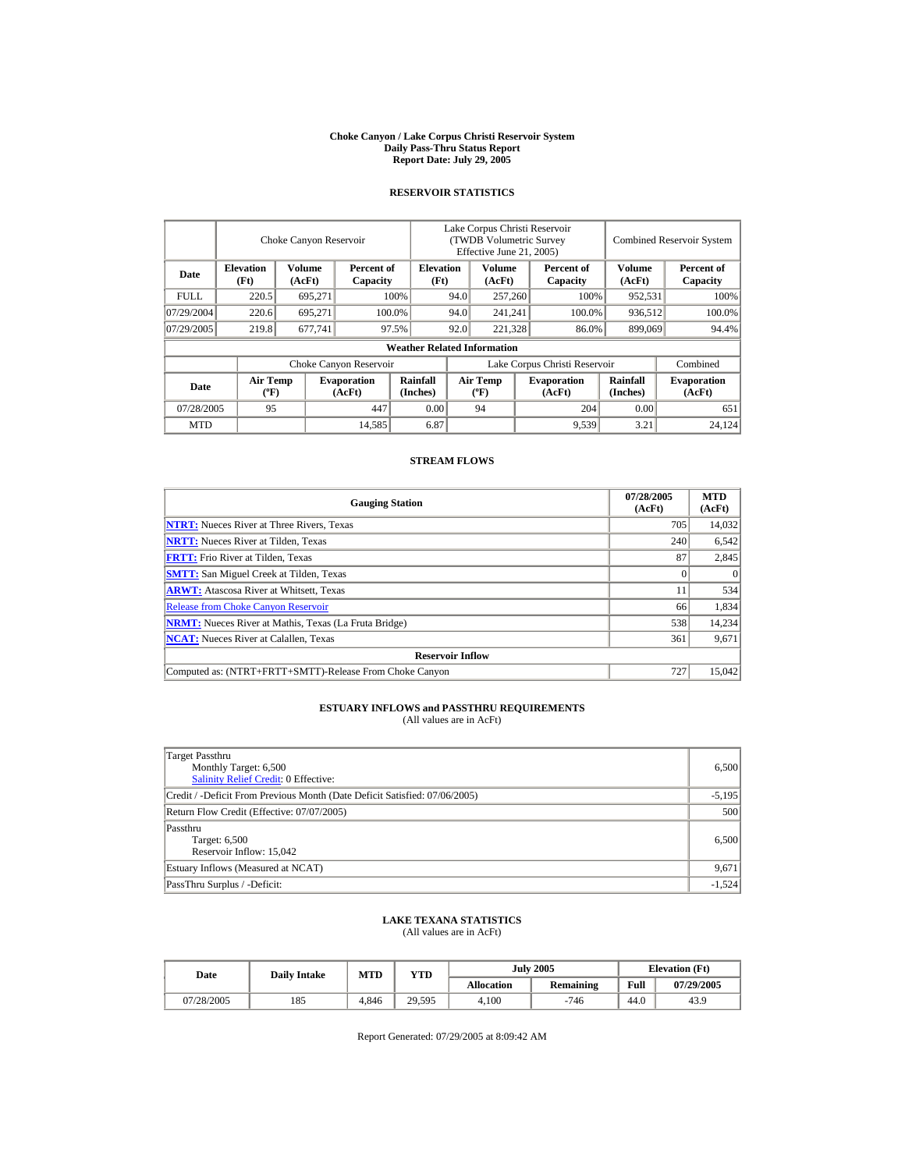#### **Choke Canyon / Lake Corpus Christi Reservoir System Daily Pass-Thru Status Report Report Date: July 29, 2005**

## **RESERVOIR STATISTICS**

|                                                                                |                                             | Choke Canyon Reservoir   |                              | Lake Corpus Christi Reservoir<br>(TWDB Volumetric Survey<br>Effective June 21, 2005) |                               |                                  |                  |                              | <b>Combined Reservoir System</b> |                              |  |
|--------------------------------------------------------------------------------|---------------------------------------------|--------------------------|------------------------------|--------------------------------------------------------------------------------------|-------------------------------|----------------------------------|------------------|------------------------------|----------------------------------|------------------------------|--|
| <b>Elevation</b><br>Volume<br>Percent of<br>Date<br>(Ft)<br>(AcFt)<br>Capacity |                                             | <b>Elevation</b><br>(Ft) |                              | Volume<br>(AcFt)                                                                     |                               | Percent of<br>Capacity           | Volume<br>(AcFt) | Percent of<br>Capacity       |                                  |                              |  |
| <b>FULL</b>                                                                    | 220.5                                       | 695,271                  |                              | 100%                                                                                 | 94.0                          | 257,260                          |                  | 100%                         | 952,531                          | 100%                         |  |
| 07/29/2004                                                                     | 220.6                                       | 695.271                  |                              | 100.0%                                                                               | 94.0                          |                                  | 241,241          | 100.0%                       | 936,512                          | 100.0%                       |  |
| 07/29/2005                                                                     | 219.8                                       | 677,741                  |                              | 97.5%                                                                                | 92.0                          | 221,328                          |                  | 86.0%                        | 899,069                          | 94.4%                        |  |
|                                                                                |                                             |                          |                              | <b>Weather Related Information</b>                                                   |                               |                                  |                  |                              |                                  |                              |  |
|                                                                                |                                             |                          | Choke Canyon Reservoir       |                                                                                      | Lake Corpus Christi Reservoir |                                  |                  |                              | Combined                         |                              |  |
| Date                                                                           | <b>Air Temp</b><br>$({}^{\circ}\mathrm{F})$ |                          | <b>Evaporation</b><br>(AcFt) | Rainfall<br>(Inches)                                                                 |                               | <b>Air Temp</b><br>$(^{\circ}F)$ |                  | <b>Evaporation</b><br>(AcFt) | <b>Rainfall</b><br>(Inches)      | <b>Evaporation</b><br>(AcFt) |  |
| 447<br>07/28/2005<br>95                                                        |                                             | 0.00                     |                              | 94                                                                                   |                               | 204                              | 0.00             | 651                          |                                  |                              |  |
| <b>MTD</b>                                                                     |                                             |                          | 14,585                       | 6.87                                                                                 |                               |                                  |                  | 9,539                        | 3.21                             | 24.124                       |  |

## **STREAM FLOWS**

| <b>Gauging Station</b>                                       | 07/28/2005<br>(AcFt) | <b>MTD</b><br>(AcFt) |
|--------------------------------------------------------------|----------------------|----------------------|
| <b>NTRT:</b> Nueces River at Three Rivers, Texas             | 705                  | 14,032               |
| <b>NRTT:</b> Nueces River at Tilden, Texas                   | 240                  | 6,542                |
| <b>FRTT:</b> Frio River at Tilden, Texas                     | 87                   | 2,845                |
| <b>SMTT:</b> San Miguel Creek at Tilden, Texas               |                      | $\Omega$             |
| <b>ARWT:</b> Atascosa River at Whitsett, Texas               |                      | 534                  |
| <b>Release from Choke Canyon Reservoir</b>                   | 66                   | 1,834                |
| <b>NRMT:</b> Nueces River at Mathis, Texas (La Fruta Bridge) | 538                  | 14,234               |
| <b>NCAT:</b> Nueces River at Calallen, Texas                 | 361                  | 9,671                |
| <b>Reservoir Inflow</b>                                      |                      |                      |
| Computed as: (NTRT+FRTT+SMTT)-Release From Choke Canyon      | 727                  | 15,042               |

# **ESTUARY INFLOWS and PASSTHRU REQUIREMENTS**<br>(All values are in AcFt)

| Target Passthru<br>Monthly Target: 6,500<br><b>Salinity Relief Credit: 0 Effective:</b> | 6,500    |
|-----------------------------------------------------------------------------------------|----------|
| Credit / -Deficit From Previous Month (Date Deficit Satisfied: 07/06/2005)              | $-5,195$ |
| Return Flow Credit (Effective: 07/07/2005)                                              | 500      |
| Passthru<br>Target: 6,500<br>Reservoir Inflow: 15,042                                   | 6,500    |
| Estuary Inflows (Measured at NCAT)                                                      | 9,671    |
| PassThru Surplus / -Deficit:                                                            | $-1,524$ |

## **LAKE TEXANA STATISTICS**

(All values are in AcFt)

| Date       | <b>Daily Intake</b> | MTD   | YTD    |                   | <b>July 2005</b> | <b>Elevation</b> (Ft) |            |  |
|------------|---------------------|-------|--------|-------------------|------------------|-----------------------|------------|--|
|            |                     |       |        | <b>Allocation</b> | <b>Remaining</b> | Full                  | 07/29/2005 |  |
| 07/28/2005 | 185                 | 4.846 | 29.595 | 4.100             | $-746$           | 44.0                  | 43.9       |  |

Report Generated: 07/29/2005 at 8:09:42 AM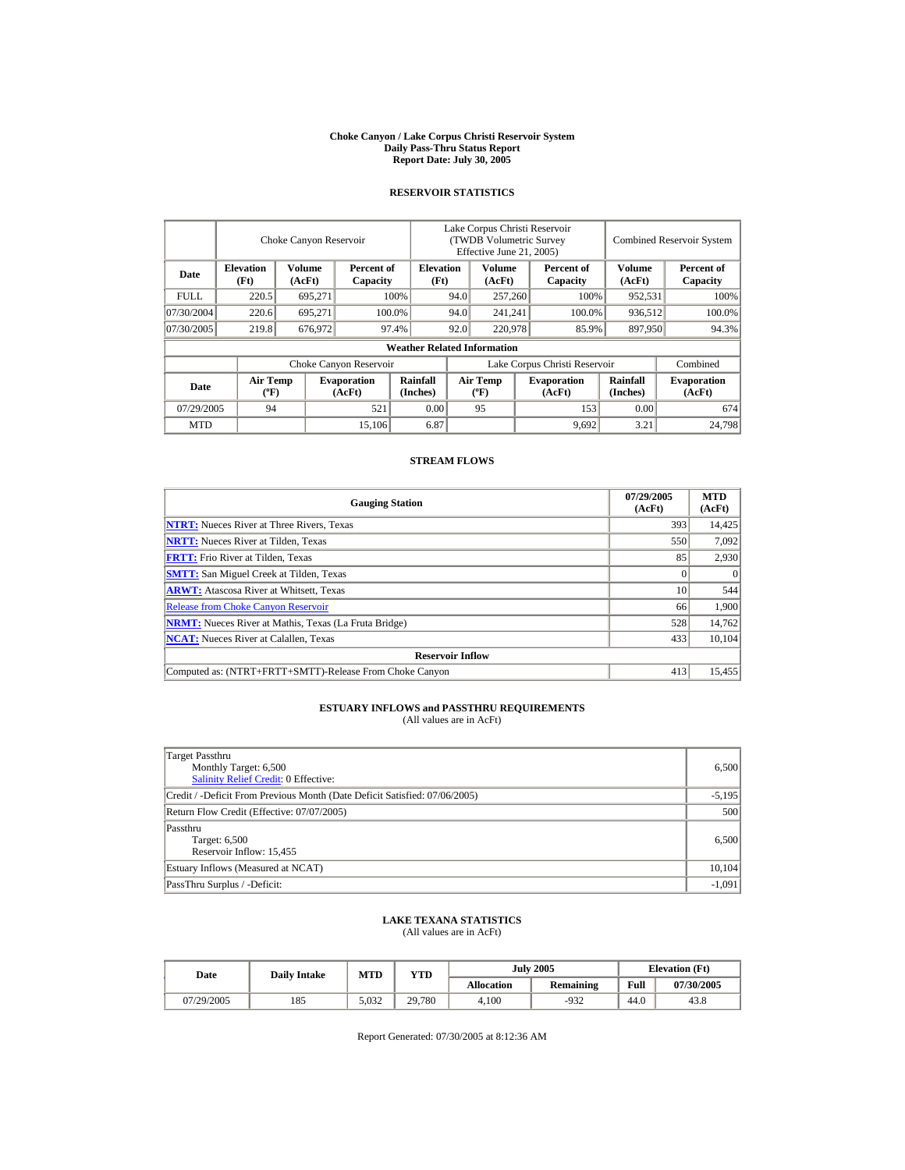#### **Choke Canyon / Lake Corpus Christi Reservoir System Daily Pass-Thru Status Report Report Date: July 30, 2005**

## **RESERVOIR STATISTICS**

|                         |                                             | Choke Canyon Reservoir |                              | Lake Corpus Christi Reservoir<br>(TWDB Volumetric Survey<br>Effective June 21, 2005) |                               |                                  |         |                              | <b>Combined Reservoir System</b> |                              |  |
|-------------------------|---------------------------------------------|------------------------|------------------------------|--------------------------------------------------------------------------------------|-------------------------------|----------------------------------|---------|------------------------------|----------------------------------|------------------------------|--|
| Date                    | <b>Elevation</b><br>(Ft)                    | Volume<br>(AcFt)       | Percent of<br>Capacity       | <b>Elevation</b><br>(Ft)                                                             |                               | Volume<br>(AcFt)                 |         | Percent of<br>Capacity       | Volume<br>(AcFt)                 | Percent of<br>Capacity       |  |
| <b>FULL</b>             | 220.5                                       | 695,271                |                              | 100%                                                                                 | 94.0                          | 257,260                          |         | 100%                         | 952,531                          | 100%                         |  |
| 07/30/2004              | 220.6                                       | 695.271                |                              | 100.0%                                                                               | 94.0                          |                                  | 241,241 | 100.0%                       | 936,512                          | 100.0%                       |  |
| 07/30/2005              | 219.8                                       | 676,972                |                              | 97.4%                                                                                | 92.0                          | 220,978                          |         | 85.9%                        | 897,950                          | 94.3%                        |  |
|                         |                                             |                        |                              | <b>Weather Related Information</b>                                                   |                               |                                  |         |                              |                                  |                              |  |
|                         |                                             |                        | Choke Canyon Reservoir       |                                                                                      | Lake Corpus Christi Reservoir |                                  |         |                              | Combined                         |                              |  |
| Date                    | <b>Air Temp</b><br>$({}^{\circ}\mathrm{F})$ |                        | <b>Evaporation</b><br>(AcFt) | Rainfall<br>(Inches)                                                                 |                               | <b>Air Temp</b><br>$(^{\circ}F)$ |         | <b>Evaporation</b><br>(AcFt) | <b>Rainfall</b><br>(Inches)      | <b>Evaporation</b><br>(AcFt) |  |
| 521<br>07/29/2005<br>94 |                                             | 0.00                   |                              | 95                                                                                   |                               | 153                              | 0.00    | 674                          |                                  |                              |  |
| <b>MTD</b>              |                                             |                        | 15,106                       | 6.87                                                                                 |                               |                                  |         | 9,692                        | 3.21                             | 24,798                       |  |

## **STREAM FLOWS**

| <b>Gauging Station</b>                                       | 07/29/2005<br>(AcFt) | <b>MTD</b><br>(AcFt) |
|--------------------------------------------------------------|----------------------|----------------------|
| <b>NTRT:</b> Nueces River at Three Rivers, Texas             | 393                  | 14,425               |
| <b>NRTT:</b> Nueces River at Tilden, Texas                   | 550                  | 7,092                |
| <b>FRTT:</b> Frio River at Tilden, Texas                     | 85                   | 2,930                |
| <b>SMTT:</b> San Miguel Creek at Tilden, Texas               |                      | $\Omega$             |
| <b>ARWT:</b> Atascosa River at Whitsett, Texas               | 10                   | 544                  |
| <b>Release from Choke Canyon Reservoir</b>                   | 66                   | 1.900                |
| <b>NRMT:</b> Nueces River at Mathis, Texas (La Fruta Bridge) | 528                  | 14,762               |
| <b>NCAT:</b> Nueces River at Calallen, Texas                 | 433                  | 10,104               |
| <b>Reservoir Inflow</b>                                      |                      |                      |
| Computed as: (NTRT+FRTT+SMTT)-Release From Choke Canyon      | 413                  | 15,455               |

# **ESTUARY INFLOWS and PASSTHRU REQUIREMENTS**<br>(All values are in AcFt)

| Target Passthru<br>Monthly Target: 6,500<br><b>Salinity Relief Credit: 0 Effective:</b> | 6,500    |
|-----------------------------------------------------------------------------------------|----------|
| Credit / -Deficit From Previous Month (Date Deficit Satisfied: 07/06/2005)              | $-5,195$ |
| Return Flow Credit (Effective: 07/07/2005)                                              | 500      |
| Passthru<br>Target: 6,500<br>Reservoir Inflow: 15,455                                   | 6,500    |
| Estuary Inflows (Measured at NCAT)                                                      | 10.104   |
| PassThru Surplus / -Deficit:                                                            | $-1,091$ |

## **LAKE TEXANA STATISTICS**

(All values are in AcFt)

|  | Date       | <b>Daily Intake</b> | MTD   | YTD    | <b>July 2005</b>  |                  | <b>Elevation</b> (Ft) |            |
|--|------------|---------------------|-------|--------|-------------------|------------------|-----------------------|------------|
|  |            |                     |       |        | <b>Allocation</b> | <b>Remaining</b> | Full                  | 07/30/2005 |
|  | 07/29/2005 | 185                 | 5,032 | 29.780 | 4.100             | $-932$           | 44.0                  | 43.8       |

Report Generated: 07/30/2005 at 8:12:36 AM